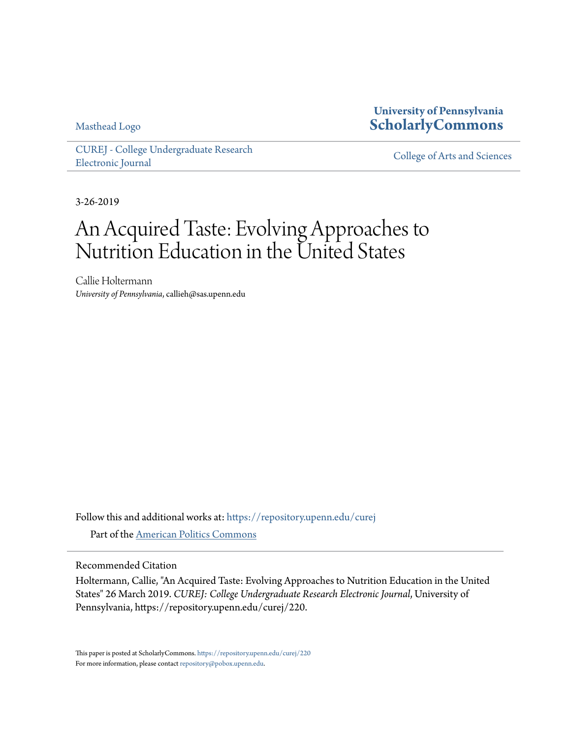Masthead Logo

**University of Pennsylvania [ScholarlyCommons](https://repository.upenn.edu?utm_source=repository.upenn.edu%2Fcurej%2F220&utm_medium=PDF&utm_campaign=PDFCoverPages)**

[CUREJ - College Undergraduate Research](https://repository.upenn.edu/curej?utm_source=repository.upenn.edu%2Fcurej%2F220&utm_medium=PDF&utm_campaign=PDFCoverPages) [Electronic Journal](https://repository.upenn.edu/curej?utm_source=repository.upenn.edu%2Fcurej%2F220&utm_medium=PDF&utm_campaign=PDFCoverPages) [College of Arts and Sciences](https://repository.upenn.edu/college?utm_source=repository.upenn.edu%2Fcurej%2F220&utm_medium=PDF&utm_campaign=PDFCoverPages)

3-26-2019

# An Acquired Taste: Evolving Approaches to Nutrition Education in the United States

Callie Holtermann *University of Pennsylvania*, callieh@sas.upenn.edu

Follow this and additional works at: [https://repository.upenn.edu/curej](https://repository.upenn.edu/curej?utm_source=repository.upenn.edu%2Fcurej%2F220&utm_medium=PDF&utm_campaign=PDFCoverPages) Part of the [American Politics Commons](http://network.bepress.com/hgg/discipline/387?utm_source=repository.upenn.edu%2Fcurej%2F220&utm_medium=PDF&utm_campaign=PDFCoverPages)

Recommended Citation

Holtermann, Callie, "An Acquired Taste: Evolving Approaches to Nutrition Education in the United States" 26 March 2019. *CUREJ: College Undergraduate Research Electronic Journal*, University of Pennsylvania, https://repository.upenn.edu/curej/220.

This paper is posted at ScholarlyCommons. <https://repository.upenn.edu/curej/220> For more information, please contact [repository@pobox.upenn.edu.](mailto:repository@pobox.upenn.edu)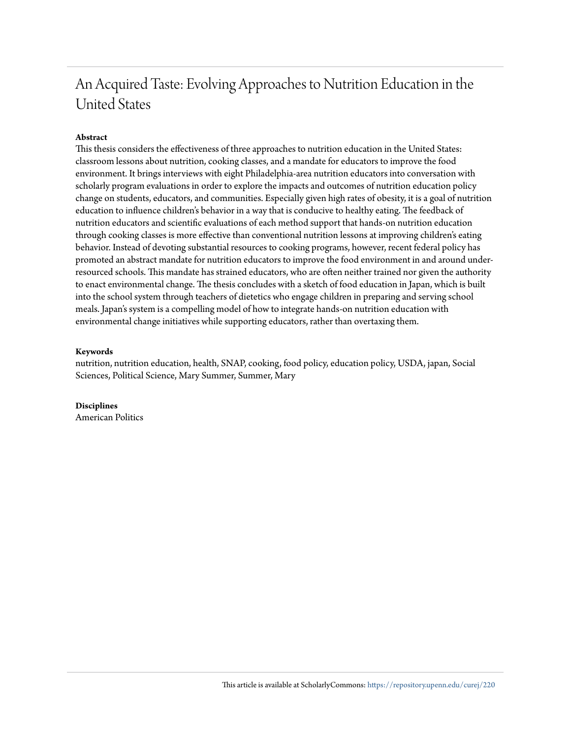# An Acquired Taste: Evolving Approaches to Nutrition Education in the United States

#### **Abstract**

This thesis considers the effectiveness of three approaches to nutrition education in the United States: classroom lessons about nutrition, cooking classes, and a mandate for educators to improve the food environment. It brings interviews with eight Philadelphia-area nutrition educators into conversation with scholarly program evaluations in order to explore the impacts and outcomes of nutrition education policy change on students, educators, and communities. Especially given high rates of obesity, it is a goal of nutrition education to influence children's behavior in a way that is conducive to healthy eating. The feedback of nutrition educators and scientific evaluations of each method support that hands-on nutrition education through cooking classes is more effective than conventional nutrition lessons at improving children's eating behavior. Instead of devoting substantial resources to cooking programs, however, recent federal policy has promoted an abstract mandate for nutrition educators to improve the food environment in and around underresourced schools. This mandate has strained educators, who are often neither trained nor given the authority to enact environmental change. The thesis concludes with a sketch of food education in Japan, which is built into the school system through teachers of dietetics who engage children in preparing and serving school meals. Japan's system is a compelling model of how to integrate hands-on nutrition education with environmental change initiatives while supporting educators, rather than overtaxing them.

#### **Keywords**

nutrition, nutrition education, health, SNAP, cooking, food policy, education policy, USDA, japan, Social Sciences, Political Science, Mary Summer, Summer, Mary

**Disciplines** American Politics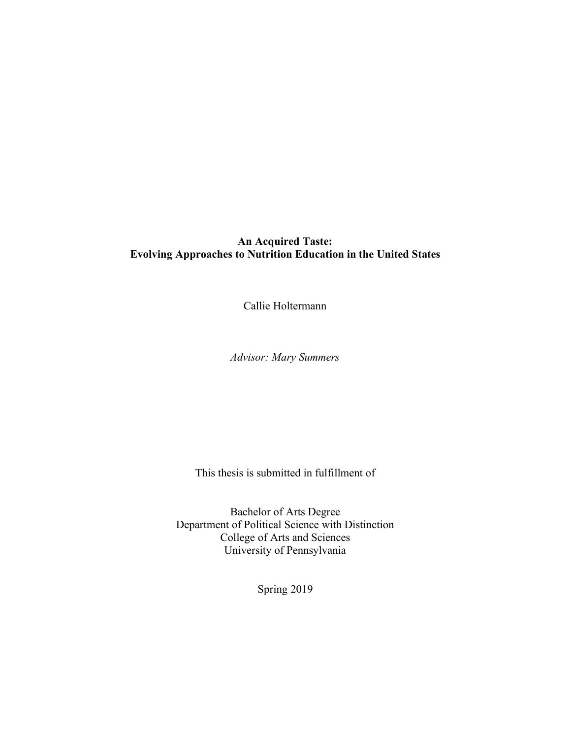# **An Acquired Taste: Evolving Approaches to Nutrition Education in the United States**

Callie Holtermann

*Advisor: Mary Summers*

This thesis is submitted in fulfillment of

Bachelor of Arts Degree Department of Political Science with Distinction College of Arts and Sciences University of Pennsylvania

Spring 2019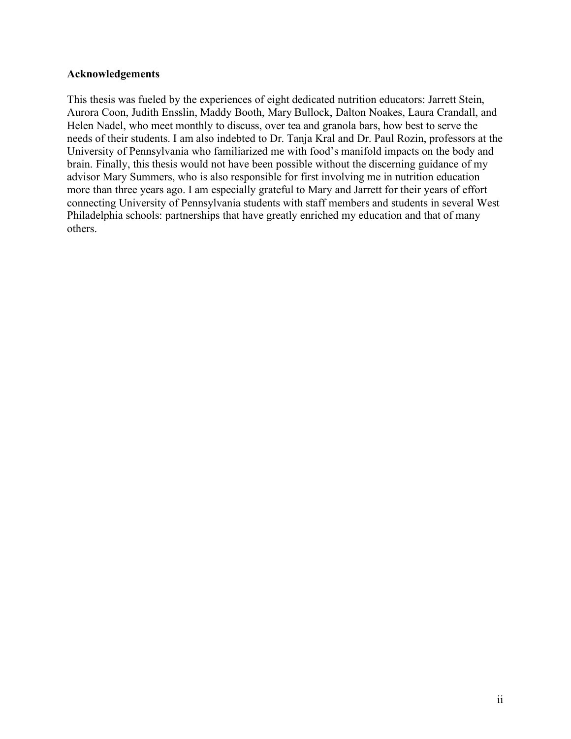## **Acknowledgements**

This thesis was fueled by the experiences of eight dedicated nutrition educators: Jarrett Stein, Aurora Coon, Judith Ensslin, Maddy Booth, Mary Bullock, Dalton Noakes, Laura Crandall, and Helen Nadel, who meet monthly to discuss, over tea and granola bars, how best to serve the needs of their students. I am also indebted to Dr. Tanja Kral and Dr. Paul Rozin, professors at the University of Pennsylvania who familiarized me with food's manifold impacts on the body and brain. Finally, this thesis would not have been possible without the discerning guidance of my advisor Mary Summers, who is also responsible for first involving me in nutrition education more than three years ago. I am especially grateful to Mary and Jarrett for their years of effort connecting University of Pennsylvania students with staff members and students in several West Philadelphia schools: partnerships that have greatly enriched my education and that of many others.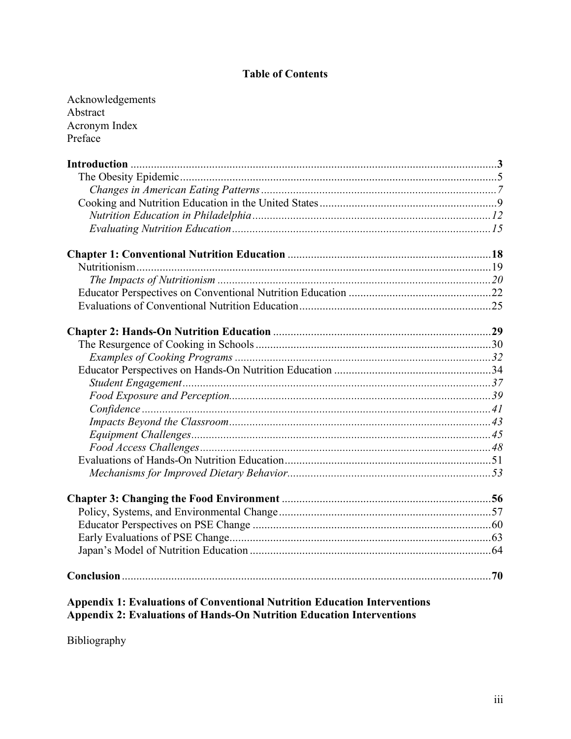# **Table of Contents**

| Acknowledgements                                                                                                                                                 |  |
|------------------------------------------------------------------------------------------------------------------------------------------------------------------|--|
| Abstract                                                                                                                                                         |  |
| Acronym Index                                                                                                                                                    |  |
| Preface                                                                                                                                                          |  |
|                                                                                                                                                                  |  |
|                                                                                                                                                                  |  |
|                                                                                                                                                                  |  |
|                                                                                                                                                                  |  |
|                                                                                                                                                                  |  |
|                                                                                                                                                                  |  |
|                                                                                                                                                                  |  |
|                                                                                                                                                                  |  |
|                                                                                                                                                                  |  |
|                                                                                                                                                                  |  |
|                                                                                                                                                                  |  |
|                                                                                                                                                                  |  |
|                                                                                                                                                                  |  |
|                                                                                                                                                                  |  |
|                                                                                                                                                                  |  |
|                                                                                                                                                                  |  |
|                                                                                                                                                                  |  |
|                                                                                                                                                                  |  |
|                                                                                                                                                                  |  |
|                                                                                                                                                                  |  |
|                                                                                                                                                                  |  |
|                                                                                                                                                                  |  |
|                                                                                                                                                                  |  |
|                                                                                                                                                                  |  |
|                                                                                                                                                                  |  |
|                                                                                                                                                                  |  |
|                                                                                                                                                                  |  |
|                                                                                                                                                                  |  |
|                                                                                                                                                                  |  |
| <b>Appendix 1: Evaluations of Conventional Nutrition Education Interventions</b><br><b>Appendix 2: Evaluations of Hands-On Nutrition Education Interventions</b> |  |

Bibliography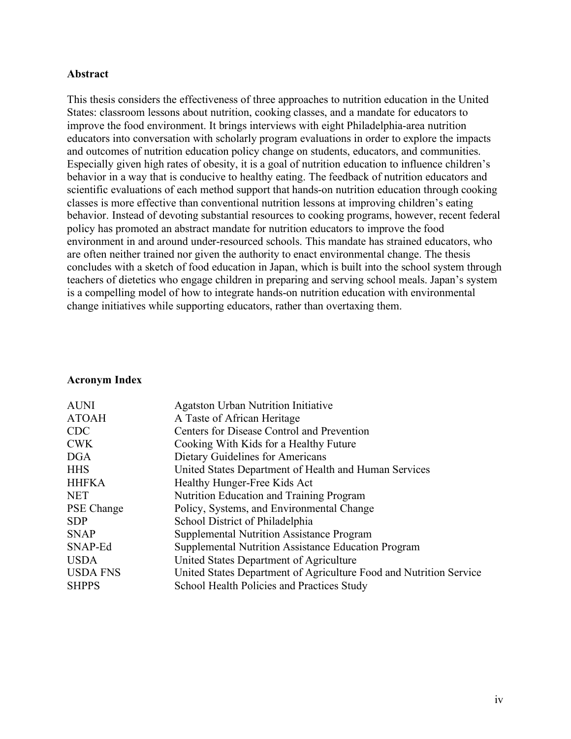#### **Abstract**

This thesis considers the effectiveness of three approaches to nutrition education in the United States: classroom lessons about nutrition, cooking classes, and a mandate for educators to improve the food environment. It brings interviews with eight Philadelphia-area nutrition educators into conversation with scholarly program evaluations in order to explore the impacts and outcomes of nutrition education policy change on students, educators, and communities. Especially given high rates of obesity, it is a goal of nutrition education to influence children's behavior in a way that is conducive to healthy eating. The feedback of nutrition educators and scientific evaluations of each method support that hands-on nutrition education through cooking classes is more effective than conventional nutrition lessons at improving children's eating behavior. Instead of devoting substantial resources to cooking programs, however, recent federal policy has promoted an abstract mandate for nutrition educators to improve the food environment in and around under-resourced schools. This mandate has strained educators, who are often neither trained nor given the authority to enact environmental change. The thesis concludes with a sketch of food education in Japan, which is built into the school system through teachers of dietetics who engage children in preparing and serving school meals. Japan's system is a compelling model of how to integrate hands-on nutrition education with environmental change initiatives while supporting educators, rather than overtaxing them.

#### **Acronym Index**

| <b>Agatston Urban Nutrition Initiative</b>                         |
|--------------------------------------------------------------------|
| A Taste of African Heritage                                        |
| Centers for Disease Control and Prevention                         |
| Cooking With Kids for a Healthy Future                             |
| Dietary Guidelines for Americans                                   |
| United States Department of Health and Human Services              |
| Healthy Hunger-Free Kids Act                                       |
| Nutrition Education and Training Program                           |
| Policy, Systems, and Environmental Change                          |
| School District of Philadelphia                                    |
| <b>Supplemental Nutrition Assistance Program</b>                   |
| Supplemental Nutrition Assistance Education Program                |
| United States Department of Agriculture                            |
| United States Department of Agriculture Food and Nutrition Service |
| School Health Policies and Practices Study                         |
|                                                                    |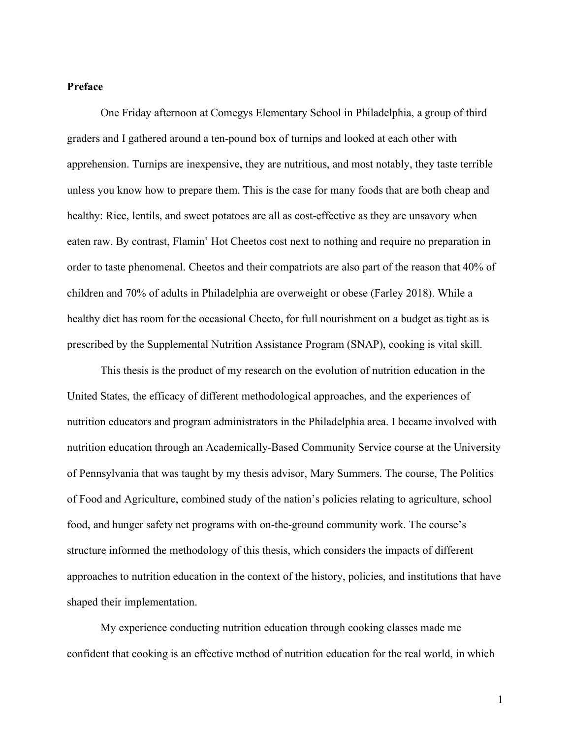#### **Preface**

One Friday afternoon at Comegys Elementary School in Philadelphia, a group of third graders and I gathered around a ten-pound box of turnips and looked at each other with apprehension. Turnips are inexpensive, they are nutritious, and most notably, they taste terrible unless you know how to prepare them. This is the case for many foods that are both cheap and healthy: Rice, lentils, and sweet potatoes are all as cost-effective as they are unsavory when eaten raw. By contrast, Flamin' Hot Cheetos cost next to nothing and require no preparation in order to taste phenomenal. Cheetos and their compatriots are also part of the reason that 40% of children and 70% of adults in Philadelphia are overweight or obese (Farley 2018). While a healthy diet has room for the occasional Cheeto, for full nourishment on a budget as tight as is prescribed by the Supplemental Nutrition Assistance Program (SNAP), cooking is vital skill.

This thesis is the product of my research on the evolution of nutrition education in the United States, the efficacy of different methodological approaches, and the experiences of nutrition educators and program administrators in the Philadelphia area. I became involved with nutrition education through an Academically-Based Community Service course at the University of Pennsylvania that was taught by my thesis advisor, Mary Summers. The course, The Politics of Food and Agriculture, combined study of the nation's policies relating to agriculture, school food, and hunger safety net programs with on-the-ground community work. The course's structure informed the methodology of this thesis, which considers the impacts of different approaches to nutrition education in the context of the history, policies, and institutions that have shaped their implementation.

My experience conducting nutrition education through cooking classes made me confident that cooking is an effective method of nutrition education for the real world, in which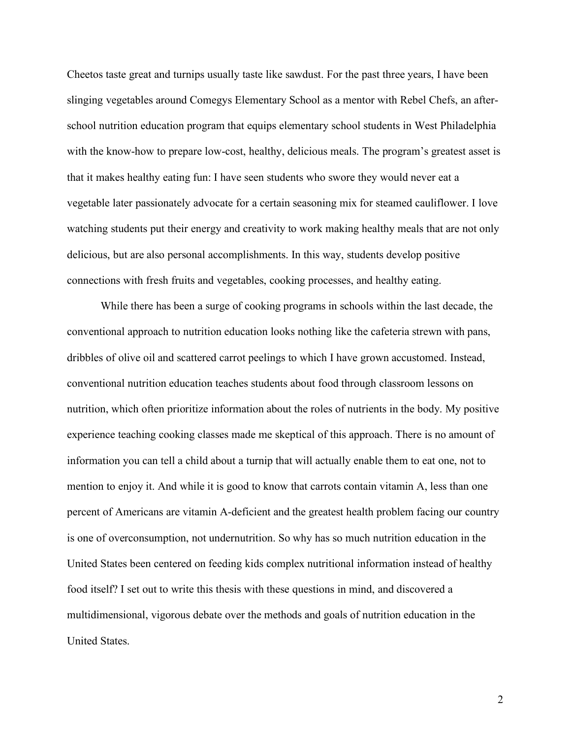Cheetos taste great and turnips usually taste like sawdust. For the past three years, I have been slinging vegetables around Comegys Elementary School as a mentor with Rebel Chefs, an afterschool nutrition education program that equips elementary school students in West Philadelphia with the know-how to prepare low-cost, healthy, delicious meals. The program's greatest asset is that it makes healthy eating fun: I have seen students who swore they would never eat a vegetable later passionately advocate for a certain seasoning mix for steamed cauliflower. I love watching students put their energy and creativity to work making healthy meals that are not only delicious, but are also personal accomplishments. In this way, students develop positive connections with fresh fruits and vegetables, cooking processes, and healthy eating.

While there has been a surge of cooking programs in schools within the last decade, the conventional approach to nutrition education looks nothing like the cafeteria strewn with pans, dribbles of olive oil and scattered carrot peelings to which I have grown accustomed. Instead, conventional nutrition education teaches students about food through classroom lessons on nutrition, which often prioritize information about the roles of nutrients in the body. My positive experience teaching cooking classes made me skeptical of this approach. There is no amount of information you can tell a child about a turnip that will actually enable them to eat one, not to mention to enjoy it. And while it is good to know that carrots contain vitamin A, less than one percent of Americans are vitamin A-deficient and the greatest health problem facing our country is one of overconsumption, not undernutrition. So why has so much nutrition education in the United States been centered on feeding kids complex nutritional information instead of healthy food itself? I set out to write this thesis with these questions in mind, and discovered a multidimensional, vigorous debate over the methods and goals of nutrition education in the United States.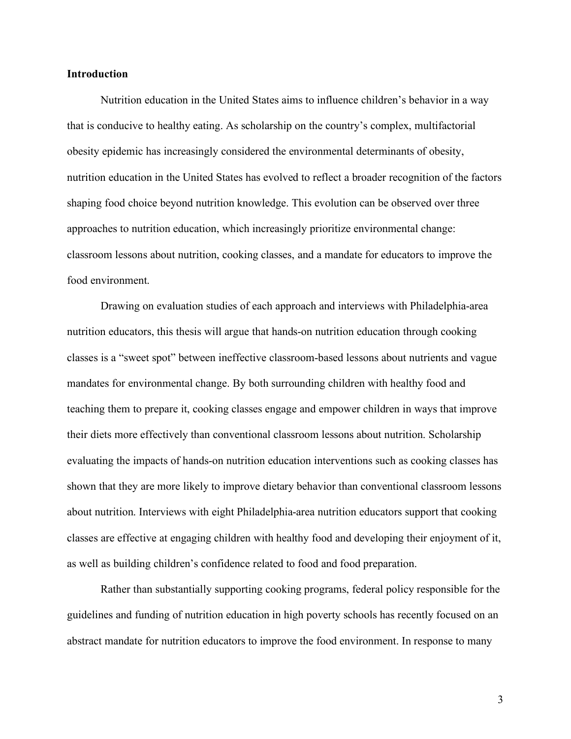#### **Introduction**

Nutrition education in the United States aims to influence children's behavior in a way that is conducive to healthy eating. As scholarship on the country's complex, multifactorial obesity epidemic has increasingly considered the environmental determinants of obesity, nutrition education in the United States has evolved to reflect a broader recognition of the factors shaping food choice beyond nutrition knowledge. This evolution can be observed over three approaches to nutrition education, which increasingly prioritize environmental change: classroom lessons about nutrition, cooking classes, and a mandate for educators to improve the food environment.

Drawing on evaluation studies of each approach and interviews with Philadelphia-area nutrition educators, this thesis will argue that hands-on nutrition education through cooking classes is a "sweet spot" between ineffective classroom-based lessons about nutrients and vague mandates for environmental change. By both surrounding children with healthy food and teaching them to prepare it, cooking classes engage and empower children in ways that improve their diets more effectively than conventional classroom lessons about nutrition. Scholarship evaluating the impacts of hands-on nutrition education interventions such as cooking classes has shown that they are more likely to improve dietary behavior than conventional classroom lessons about nutrition. Interviews with eight Philadelphia-area nutrition educators support that cooking classes are effective at engaging children with healthy food and developing their enjoyment of it, as well as building children's confidence related to food and food preparation.

Rather than substantially supporting cooking programs, federal policy responsible for the guidelines and funding of nutrition education in high poverty schools has recently focused on an abstract mandate for nutrition educators to improve the food environment. In response to many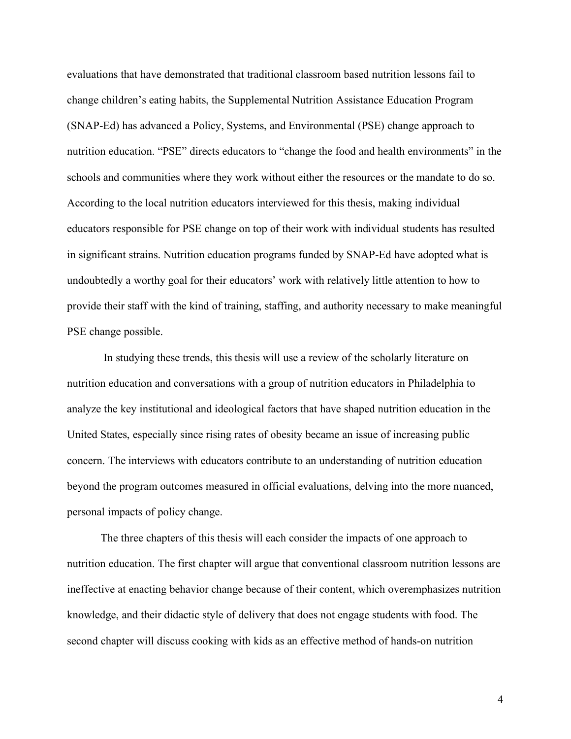evaluations that have demonstrated that traditional classroom based nutrition lessons fail to change children's eating habits, the Supplemental Nutrition Assistance Education Program (SNAP-Ed) has advanced a Policy, Systems, and Environmental (PSE) change approach to nutrition education. "PSE" directs educators to "change the food and health environments" in the schools and communities where they work without either the resources or the mandate to do so. According to the local nutrition educators interviewed for this thesis, making individual educators responsible for PSE change on top of their work with individual students has resulted in significant strains. Nutrition education programs funded by SNAP-Ed have adopted what is undoubtedly a worthy goal for their educators' work with relatively little attention to how to provide their staff with the kind of training, staffing, and authority necessary to make meaningful PSE change possible.

In studying these trends, this thesis will use a review of the scholarly literature on nutrition education and conversations with a group of nutrition educators in Philadelphia to analyze the key institutional and ideological factors that have shaped nutrition education in the United States, especially since rising rates of obesity became an issue of increasing public concern. The interviews with educators contribute to an understanding of nutrition education beyond the program outcomes measured in official evaluations, delving into the more nuanced, personal impacts of policy change.

The three chapters of this thesis will each consider the impacts of one approach to nutrition education. The first chapter will argue that conventional classroom nutrition lessons are ineffective at enacting behavior change because of their content, which overemphasizes nutrition knowledge, and their didactic style of delivery that does not engage students with food. The second chapter will discuss cooking with kids as an effective method of hands-on nutrition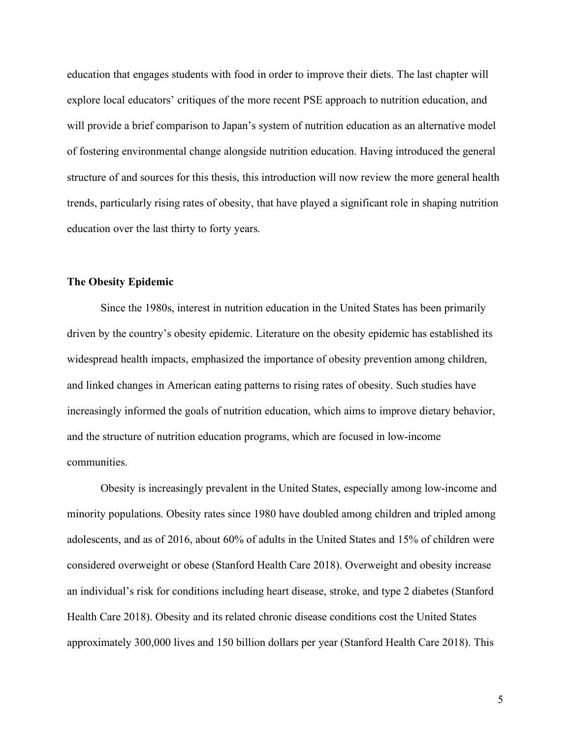education that engages students with food in order to improve their diets. The last chapter will explore local educators' critiques of the more recent PSE approach to nutrition education, and will provide a brief comparison to Japan's system of nutrition education as an alternative model of fostering environmental change alongside nutrition education. Having introduced the general structure of and sources for this thesis, this introduction will now review the more general health trends, particularly rising rates of obesity, that have played a significant role in shaping nutrition education over the last thirty to forty years.

#### **The Obesity Epidemic**

Since the 1980s, interest in nutrition education in the United States has been primarily driven by the country's obesity epidemic. Literature on the obesity epidemic has established its widespread health impacts, emphasized the importance of obesity prevention among children, and linked changes in American eating patterns to rising rates of obesity. Such studies have increasingly informed the goals of nutrition education, which aims to improve dietary behavior, and the structure of nutrition education programs, which are focused in low-income communities.

Obesity is increasingly prevalent in the United States, especially among low-income and minority populations. Obesity rates since 1980 have doubled among children and tripled among adolescents, and as of 2016, about 60% of adults in the United States and 15% of children were considered overweight or obese (Stanford Health Care 2018). Overweight and obesity increase an individual's risk for conditions including heart disease, stroke, and type 2 diabetes (Stanford Health Care 2018). Obesity and its related chronic disease conditions cost the United States approximately 300,000 lives and 150 billion dollars per year (Stanford Health Care 2018). This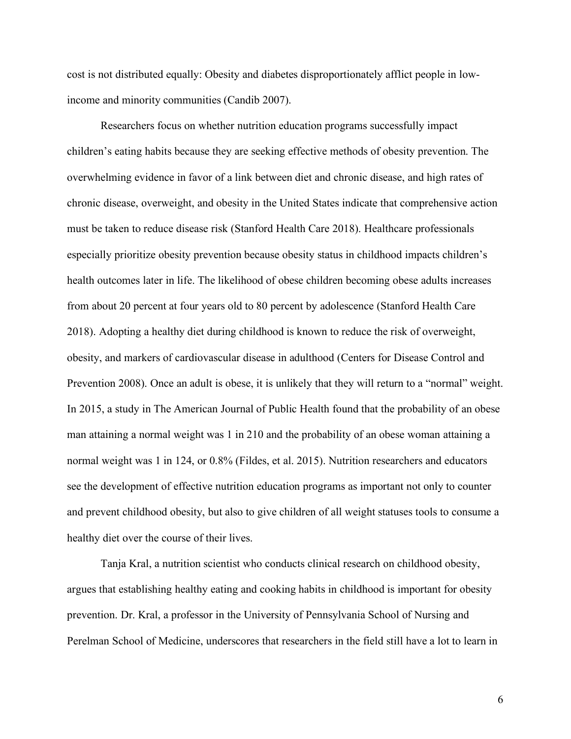cost is not distributed equally: Obesity and diabetes disproportionately afflict people in lowincome and minority communities (Candib 2007).

Researchers focus on whether nutrition education programs successfully impact children's eating habits because they are seeking effective methods of obesity prevention. The overwhelming evidence in favor of a link between diet and chronic disease, and high rates of chronic disease, overweight, and obesity in the United States indicate that comprehensive action must be taken to reduce disease risk (Stanford Health Care 2018). Healthcare professionals especially prioritize obesity prevention because obesity status in childhood impacts children's health outcomes later in life. The likelihood of obese children becoming obese adults increases from about 20 percent at four years old to 80 percent by adolescence (Stanford Health Care 2018). Adopting a healthy diet during childhood is known to reduce the risk of overweight, obesity, and markers of cardiovascular disease in adulthood (Centers for Disease Control and Prevention 2008). Once an adult is obese, it is unlikely that they will return to a "normal" weight. In 2015, a study in The American Journal of Public Health found that the probability of an obese man attaining a normal weight was 1 in 210 and the probability of an obese woman attaining a normal weight was 1 in 124, or 0.8% (Fildes, et al. 2015). Nutrition researchers and educators see the development of effective nutrition education programs as important not only to counter and prevent childhood obesity, but also to give children of all weight statuses tools to consume a healthy diet over the course of their lives.

Tanja Kral, a nutrition scientist who conducts clinical research on childhood obesity, argues that establishing healthy eating and cooking habits in childhood is important for obesity prevention. Dr. Kral, a professor in the University of Pennsylvania School of Nursing and Perelman School of Medicine, underscores that researchers in the field still have a lot to learn in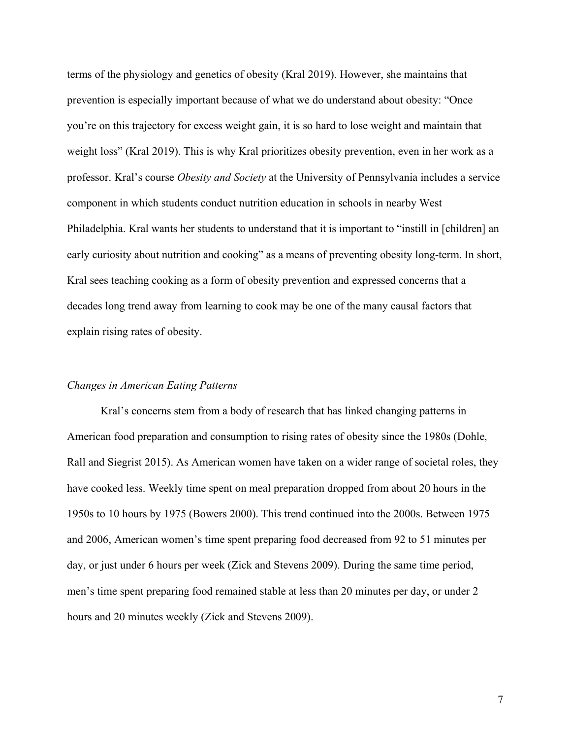terms of the physiology and genetics of obesity (Kral 2019). However, she maintains that prevention is especially important because of what we do understand about obesity: "Once you're on this trajectory for excess weight gain, it is so hard to lose weight and maintain that weight loss" (Kral 2019). This is why Kral prioritizes obesity prevention, even in her work as a professor. Kral's course *Obesity and Society* at the University of Pennsylvania includes a service component in which students conduct nutrition education in schools in nearby West Philadelphia. Kral wants her students to understand that it is important to "instill in [children] an early curiosity about nutrition and cooking" as a means of preventing obesity long-term. In short, Kral sees teaching cooking as a form of obesity prevention and expressed concerns that a decades long trend away from learning to cook may be one of the many causal factors that explain rising rates of obesity.

#### *Changes in American Eating Patterns*

Kral's concerns stem from a body of research that has linked changing patterns in American food preparation and consumption to rising rates of obesity since the 1980s (Dohle, Rall and Siegrist 2015). As American women have taken on a wider range of societal roles, they have cooked less. Weekly time spent on meal preparation dropped from about 20 hours in the 1950s to 10 hours by 1975 (Bowers 2000). This trend continued into the 2000s. Between 1975 and 2006, American women's time spent preparing food decreased from 92 to 51 minutes per day, or just under 6 hours per week (Zick and Stevens 2009). During the same time period, men's time spent preparing food remained stable at less than 20 minutes per day, or under 2 hours and 20 minutes weekly (Zick and Stevens 2009).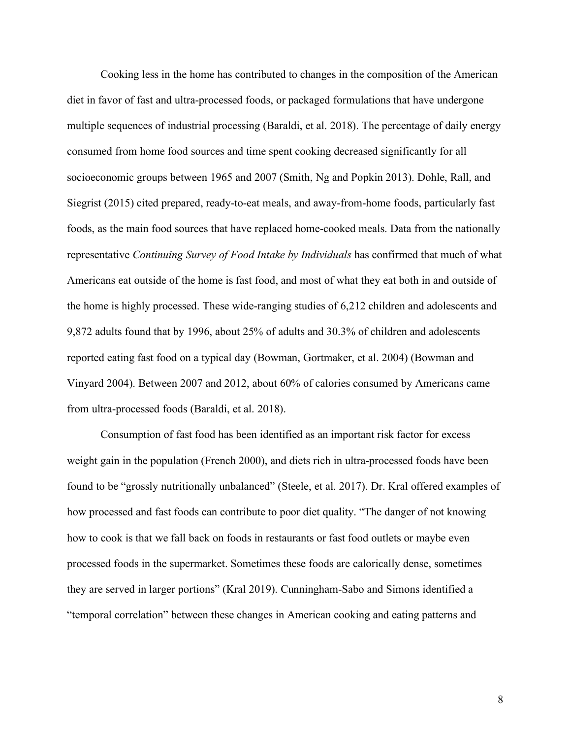Cooking less in the home has contributed to changes in the composition of the American diet in favor of fast and ultra-processed foods, or packaged formulations that have undergone multiple sequences of industrial processing (Baraldi, et al. 2018). The percentage of daily energy consumed from home food sources and time spent cooking decreased significantly for all socioeconomic groups between 1965 and 2007 (Smith, Ng and Popkin 2013). Dohle, Rall, and Siegrist (2015) cited prepared, ready-to-eat meals, and away-from-home foods, particularly fast foods, as the main food sources that have replaced home-cooked meals. Data from the nationally representative *Continuing Survey of Food Intake by Individuals* has confirmed that much of what Americans eat outside of the home is fast food, and most of what they eat both in and outside of the home is highly processed. These wide-ranging studies of 6,212 children and adolescents and 9,872 adults found that by 1996, about 25% of adults and 30.3% of children and adolescents reported eating fast food on a typical day (Bowman, Gortmaker, et al. 2004) (Bowman and Vinyard 2004). Between 2007 and 2012, about 60% of calories consumed by Americans came from ultra-processed foods (Baraldi, et al. 2018).

Consumption of fast food has been identified as an important risk factor for excess weight gain in the population (French 2000), and diets rich in ultra-processed foods have been found to be "grossly nutritionally unbalanced" (Steele, et al. 2017). Dr. Kral offered examples of how processed and fast foods can contribute to poor diet quality. "The danger of not knowing how to cook is that we fall back on foods in restaurants or fast food outlets or maybe even processed foods in the supermarket. Sometimes these foods are calorically dense, sometimes they are served in larger portions" (Kral 2019). Cunningham-Sabo and Simons identified a "temporal correlation" between these changes in American cooking and eating patterns and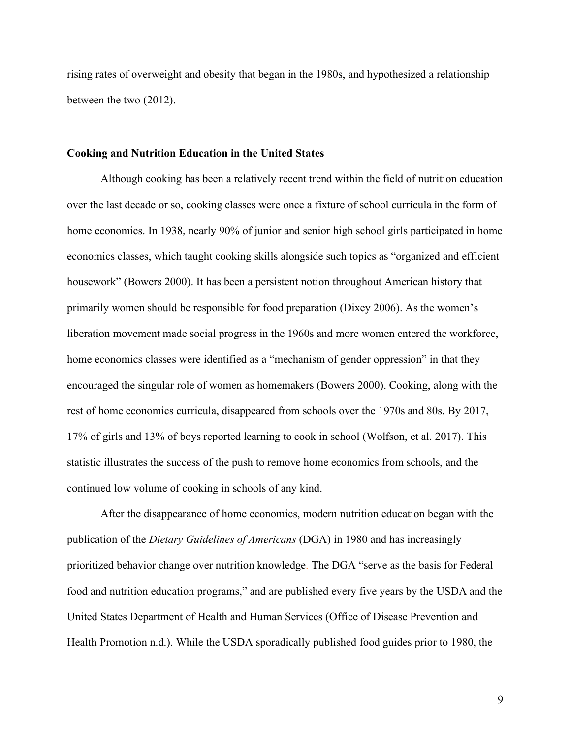rising rates of overweight and obesity that began in the 1980s, and hypothesized a relationship between the two (2012).

#### **Cooking and Nutrition Education in the United States**

Although cooking has been a relatively recent trend within the field of nutrition education over the last decade or so, cooking classes were once a fixture of school curricula in the form of home economics. In 1938, nearly 90% of junior and senior high school girls participated in home economics classes, which taught cooking skills alongside such topics as "organized and efficient housework" (Bowers 2000). It has been a persistent notion throughout American history that primarily women should be responsible for food preparation (Dixey 2006). As the women's liberation movement made social progress in the 1960s and more women entered the workforce, home economics classes were identified as a "mechanism of gender oppression" in that they encouraged the singular role of women as homemakers (Bowers 2000). Cooking, along with the rest of home economics curricula, disappeared from schools over the 1970s and 80s. By 2017, 17% of girls and 13% of boys reported learning to cook in school (Wolfson, et al. 2017). This statistic illustrates the success of the push to remove home economics from schools, and the continued low volume of cooking in schools of any kind.

After the disappearance of home economics, modern nutrition education began with the publication of the *Dietary Guidelines of Americans* (DGA) in 1980 and has increasingly prioritized behavior change over nutrition knowledge. The DGA "serve as the basis for Federal food and nutrition education programs," and are published every five years by the USDA and the United States Department of Health and Human Services (Office of Disease Prevention and Health Promotion n.d.). While the USDA sporadically published food guides prior to 1980, the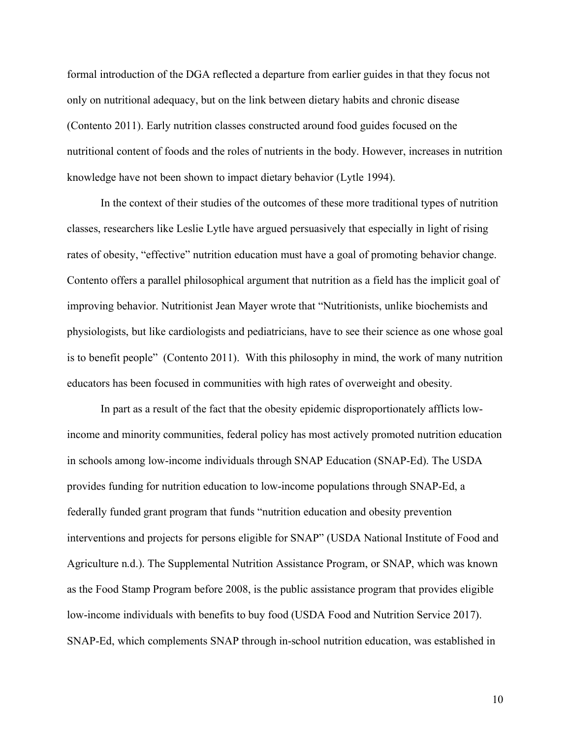formal introduction of the DGA reflected a departure from earlier guides in that they focus not only on nutritional adequacy, but on the link between dietary habits and chronic disease (Contento 2011). Early nutrition classes constructed around food guides focused on the nutritional content of foods and the roles of nutrients in the body. However, increases in nutrition knowledge have not been shown to impact dietary behavior (Lytle 1994).

In the context of their studies of the outcomes of these more traditional types of nutrition classes, researchers like Leslie Lytle have argued persuasively that especially in light of rising rates of obesity, "effective" nutrition education must have a goal of promoting behavior change. Contento offers a parallel philosophical argument that nutrition as a field has the implicit goal of improving behavior. Nutritionist Jean Mayer wrote that "Nutritionists, unlike biochemists and physiologists, but like cardiologists and pediatricians, have to see their science as one whose goal is to benefit people" (Contento 2011). With this philosophy in mind, the work of many nutrition educators has been focused in communities with high rates of overweight and obesity.

In part as a result of the fact that the obesity epidemic disproportionately afflicts lowincome and minority communities, federal policy has most actively promoted nutrition education in schools among low-income individuals through SNAP Education (SNAP-Ed). The USDA provides funding for nutrition education to low-income populations through SNAP-Ed, a federally funded grant program that funds "nutrition education and obesity prevention interventions and projects for persons eligible for SNAP" (USDA National Institute of Food and Agriculture n.d.). The Supplemental Nutrition Assistance Program, or SNAP, which was known as the Food Stamp Program before 2008, is the public assistance program that provides eligible low-income individuals with benefits to buy food (USDA Food and Nutrition Service 2017). SNAP-Ed, which complements SNAP through in-school nutrition education, was established in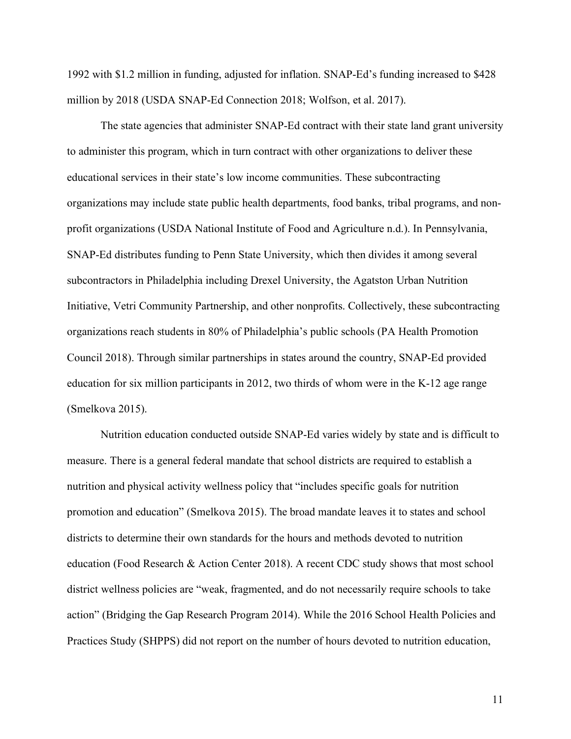1992 with \$1.2 million in funding, adjusted for inflation. SNAP-Ed's funding increased to \$428 million by 2018 (USDA SNAP-Ed Connection 2018; Wolfson, et al. 2017).

The state agencies that administer SNAP-Ed contract with their state land grant university to administer this program, which in turn contract with other organizations to deliver these educational services in their state's low income communities. These subcontracting organizations may include state public health departments, food banks, tribal programs, and nonprofit organizations (USDA National Institute of Food and Agriculture n.d.). In Pennsylvania, SNAP-Ed distributes funding to Penn State University, which then divides it among several subcontractors in Philadelphia including Drexel University, the Agatston Urban Nutrition Initiative, Vetri Community Partnership, and other nonprofits. Collectively, these subcontracting organizations reach students in 80% of Philadelphia's public schools (PA Health Promotion Council 2018). Through similar partnerships in states around the country, SNAP-Ed provided education for six million participants in 2012, two thirds of whom were in the K-12 age range (Smelkova 2015).

Nutrition education conducted outside SNAP-Ed varies widely by state and is difficult to measure. There is a general federal mandate that school districts are required to establish a nutrition and physical activity wellness policy that "includes specific goals for nutrition promotion and education" (Smelkova 2015). The broad mandate leaves it to states and school districts to determine their own standards for the hours and methods devoted to nutrition education (Food Research & Action Center 2018). A recent CDC study shows that most school district wellness policies are "weak, fragmented, and do not necessarily require schools to take action" (Bridging the Gap Research Program 2014). While the 2016 School Health Policies and Practices Study (SHPPS) did not report on the number of hours devoted to nutrition education,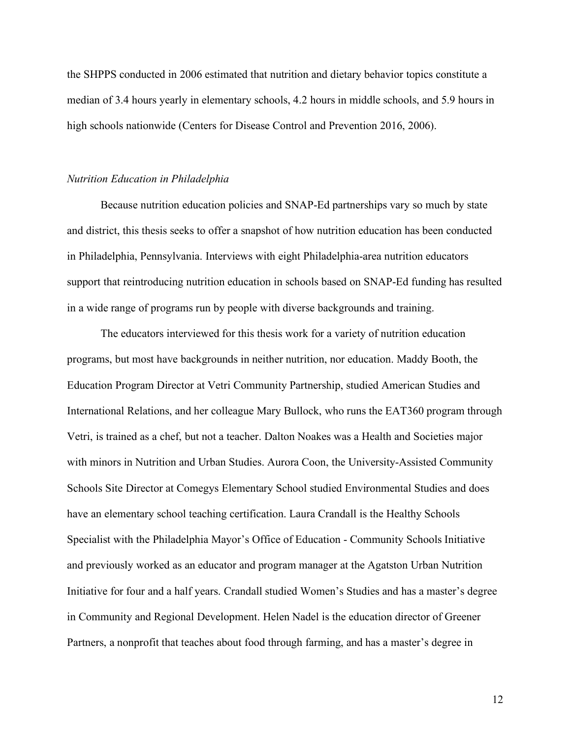the SHPPS conducted in 2006 estimated that nutrition and dietary behavior topics constitute a median of 3.4 hours yearly in elementary schools, 4.2 hours in middle schools, and 5.9 hours in high schools nationwide (Centers for Disease Control and Prevention 2016, 2006).

#### *Nutrition Education in Philadelphia*

Because nutrition education policies and SNAP-Ed partnerships vary so much by state and district, this thesis seeks to offer a snapshot of how nutrition education has been conducted in Philadelphia, Pennsylvania. Interviews with eight Philadelphia-area nutrition educators support that reintroducing nutrition education in schools based on SNAP-Ed funding has resulted in a wide range of programs run by people with diverse backgrounds and training.

The educators interviewed for this thesis work for a variety of nutrition education programs, but most have backgrounds in neither nutrition, nor education. Maddy Booth, the Education Program Director at Vetri Community Partnership, studied American Studies and International Relations, and her colleague Mary Bullock, who runs the EAT360 program through Vetri, is trained as a chef, but not a teacher. Dalton Noakes was a Health and Societies major with minors in Nutrition and Urban Studies. Aurora Coon, the University-Assisted Community Schools Site Director at Comegys Elementary School studied Environmental Studies and does have an elementary school teaching certification. Laura Crandall is the Healthy Schools Specialist with the Philadelphia Mayor's Office of Education - Community Schools Initiative and previously worked as an educator and program manager at the Agatston Urban Nutrition Initiative for four and a half years. Crandall studied Women's Studies and has a master's degree in Community and Regional Development. Helen Nadel is the education director of Greener Partners, a nonprofit that teaches about food through farming, and has a master's degree in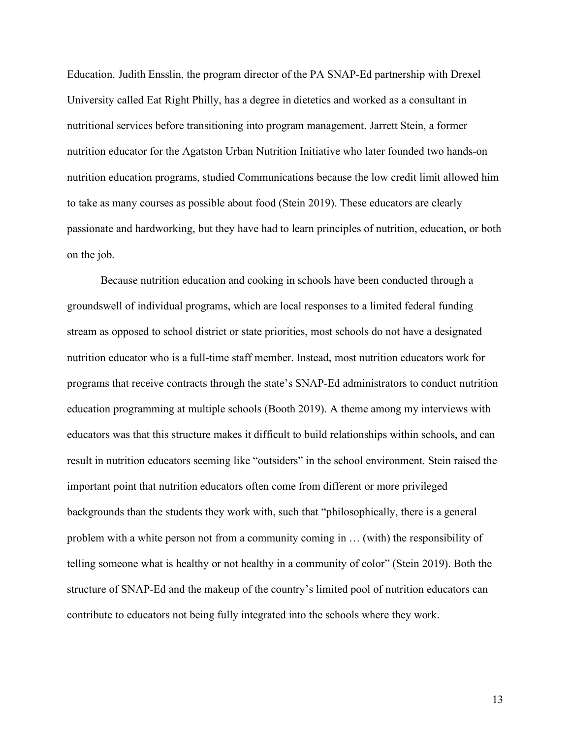Education. Judith Ensslin, the program director of the PA SNAP-Ed partnership with Drexel University called Eat Right Philly, has a degree in dietetics and worked as a consultant in nutritional services before transitioning into program management. Jarrett Stein, a former nutrition educator for the Agatston Urban Nutrition Initiative who later founded two hands-on nutrition education programs, studied Communications because the low credit limit allowed him to take as many courses as possible about food (Stein 2019). These educators are clearly passionate and hardworking, but they have had to learn principles of nutrition, education, or both on the job.

Because nutrition education and cooking in schools have been conducted through a groundswell of individual programs, which are local responses to a limited federal funding stream as opposed to school district or state priorities, most schools do not have a designated nutrition educator who is a full-time staff member. Instead, most nutrition educators work for programs that receive contracts through the state's SNAP-Ed administrators to conduct nutrition education programming at multiple schools (Booth 2019). A theme among my interviews with educators was that this structure makes it difficult to build relationships within schools, and can result in nutrition educators seeming like "outsiders" in the school environment. Stein raised the important point that nutrition educators often come from different or more privileged backgrounds than the students they work with, such that "philosophically, there is a general problem with a white person not from a community coming in … (with) the responsibility of telling someone what is healthy or not healthy in a community of color" (Stein 2019). Both the structure of SNAP-Ed and the makeup of the country's limited pool of nutrition educators can contribute to educators not being fully integrated into the schools where they work.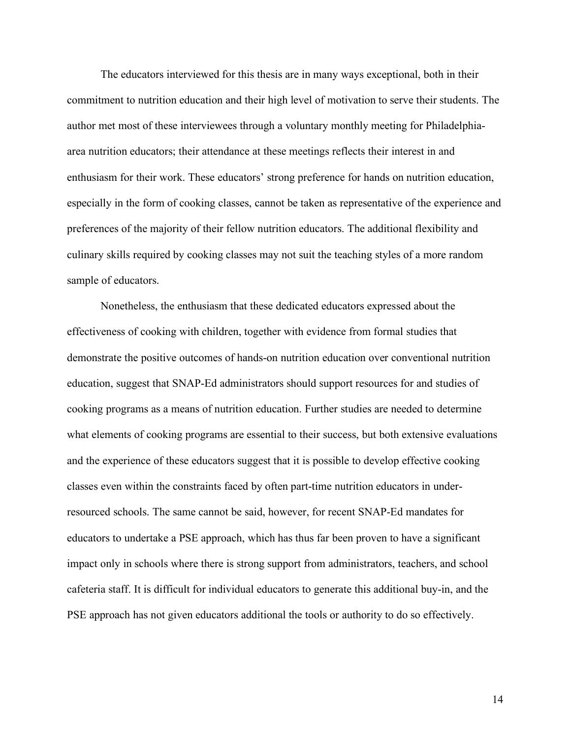The educators interviewed for this thesis are in many ways exceptional, both in their commitment to nutrition education and their high level of motivation to serve their students. The author met most of these interviewees through a voluntary monthly meeting for Philadelphiaarea nutrition educators; their attendance at these meetings reflects their interest in and enthusiasm for their work. These educators' strong preference for hands on nutrition education, especially in the form of cooking classes, cannot be taken as representative of the experience and preferences of the majority of their fellow nutrition educators. The additional flexibility and culinary skills required by cooking classes may not suit the teaching styles of a more random sample of educators.

Nonetheless, the enthusiasm that these dedicated educators expressed about the effectiveness of cooking with children, together with evidence from formal studies that demonstrate the positive outcomes of hands-on nutrition education over conventional nutrition education, suggest that SNAP-Ed administrators should support resources for and studies of cooking programs as a means of nutrition education. Further studies are needed to determine what elements of cooking programs are essential to their success, but both extensive evaluations and the experience of these educators suggest that it is possible to develop effective cooking classes even within the constraints faced by often part-time nutrition educators in underresourced schools. The same cannot be said, however, for recent SNAP-Ed mandates for educators to undertake a PSE approach, which has thus far been proven to have a significant impact only in schools where there is strong support from administrators, teachers, and school cafeteria staff. It is difficult for individual educators to generate this additional buy-in, and the PSE approach has not given educators additional the tools or authority to do so effectively.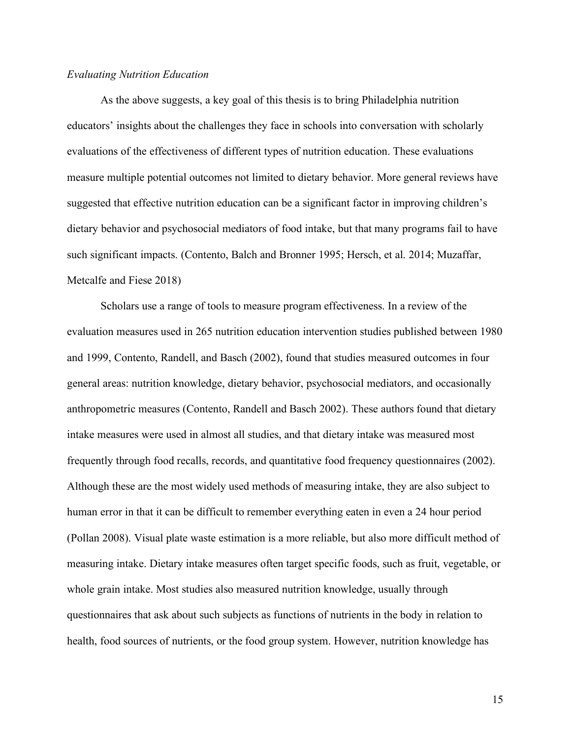#### *Evaluating Nutrition Education*

As the above suggests, a key goal of this thesis is to bring Philadelphia nutrition educators' insights about the challenges they face in schools into conversation with scholarly evaluations of the effectiveness of different types of nutrition education. These evaluations measure multiple potential outcomes not limited to dietary behavior. More general reviews have suggested that effective nutrition education can be a significant factor in improving children's dietary behavior and psychosocial mediators of food intake, but that many programs fail to have such significant impacts. (Contento, Balch and Bronner 1995; Hersch, et al. 2014; Muzaffar, Metcalfe and Fiese 2018)

Scholars use a range of tools to measure program effectiveness. In a review of the evaluation measures used in 265 nutrition education intervention studies published between 1980 and 1999, Contento, Randell, and Basch (2002), found that studies measured outcomes in four general areas: nutrition knowledge, dietary behavior, psychosocial mediators, and occasionally anthropometric measures (Contento, Randell and Basch 2002). These authors found that dietary intake measures were used in almost all studies, and that dietary intake was measured most frequently through food recalls, records, and quantitative food frequency questionnaires (2002). Although these are the most widely used methods of measuring intake, they are also subject to human error in that it can be difficult to remember everything eaten in even a 24 hour period (Pollan 2008). Visual plate waste estimation is a more reliable, but also more difficult method of measuring intake. Dietary intake measures often target specific foods, such as fruit, vegetable, or whole grain intake. Most studies also measured nutrition knowledge, usually through questionnaires that ask about such subjects as functions of nutrients in the body in relation to health, food sources of nutrients, or the food group system. However, nutrition knowledge has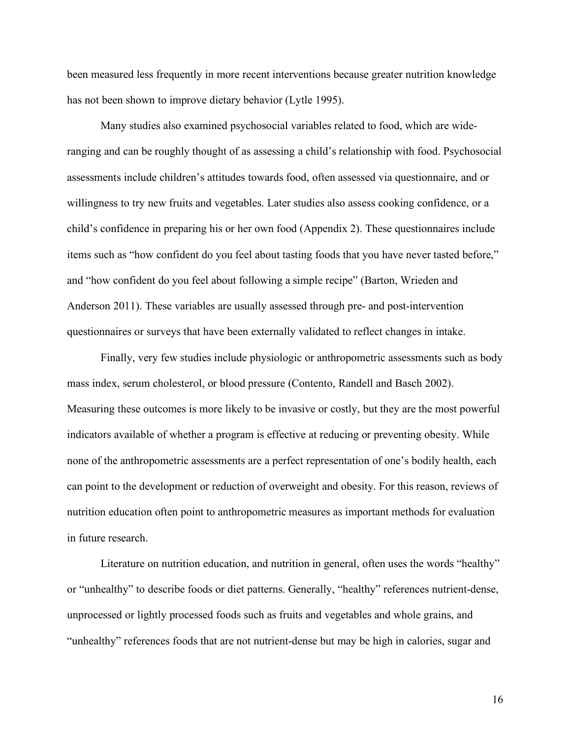been measured less frequently in more recent interventions because greater nutrition knowledge has not been shown to improve dietary behavior (Lytle 1995).

Many studies also examined psychosocial variables related to food, which are wideranging and can be roughly thought of as assessing a child's relationship with food. Psychosocial assessments include children's attitudes towards food, often assessed via questionnaire, and or willingness to try new fruits and vegetables. Later studies also assess cooking confidence, or a child's confidence in preparing his or her own food (Appendix 2). These questionnaires include items such as "how confident do you feel about tasting foods that you have never tasted before," and "how confident do you feel about following a simple recipe" (Barton, Wrieden and Anderson 2011). These variables are usually assessed through pre- and post-intervention questionnaires or surveys that have been externally validated to reflect changes in intake.

Finally, very few studies include physiologic or anthropometric assessments such as body mass index, serum cholesterol, or blood pressure (Contento, Randell and Basch 2002). Measuring these outcomes is more likely to be invasive or costly, but they are the most powerful indicators available of whether a program is effective at reducing or preventing obesity. While none of the anthropometric assessments are a perfect representation of one's bodily health, each can point to the development or reduction of overweight and obesity. For this reason, reviews of nutrition education often point to anthropometric measures as important methods for evaluation in future research.

Literature on nutrition education, and nutrition in general, often uses the words "healthy" or "unhealthy" to describe foods or diet patterns. Generally, "healthy" references nutrient-dense, unprocessed or lightly processed foods such as fruits and vegetables and whole grains, and "unhealthy" references foods that are not nutrient-dense but may be high in calories, sugar and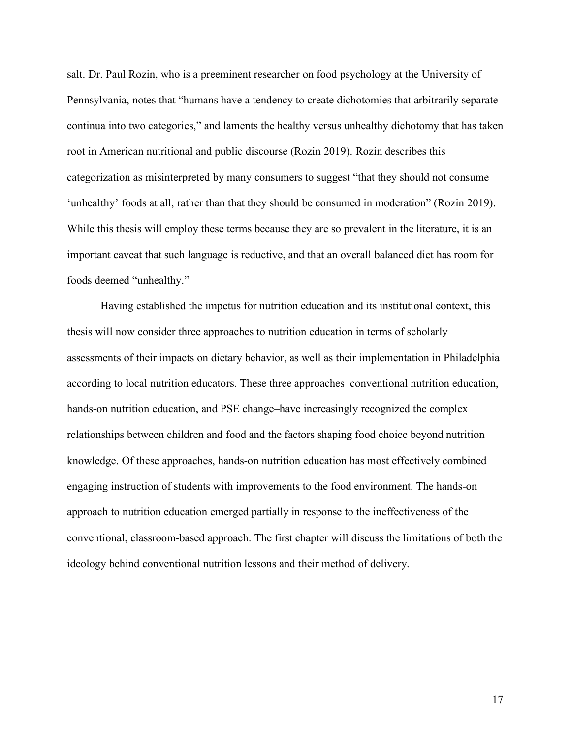salt. Dr. Paul Rozin, who is a preeminent researcher on food psychology at the University of Pennsylvania, notes that "humans have a tendency to create dichotomies that arbitrarily separate continua into two categories," and laments the healthy versus unhealthy dichotomy that has taken root in American nutritional and public discourse (Rozin 2019). Rozin describes this categorization as misinterpreted by many consumers to suggest "that they should not consume 'unhealthy' foods at all, rather than that they should be consumed in moderation" (Rozin 2019). While this thesis will employ these terms because they are so prevalent in the literature, it is an important caveat that such language is reductive, and that an overall balanced diet has room for foods deemed "unhealthy."

Having established the impetus for nutrition education and its institutional context, this thesis will now consider three approaches to nutrition education in terms of scholarly assessments of their impacts on dietary behavior, as well as their implementation in Philadelphia according to local nutrition educators. These three approaches–conventional nutrition education, hands-on nutrition education, and PSE change–have increasingly recognized the complex relationships between children and food and the factors shaping food choice beyond nutrition knowledge. Of these approaches, hands-on nutrition education has most effectively combined engaging instruction of students with improvements to the food environment. The hands-on approach to nutrition education emerged partially in response to the ineffectiveness of the conventional, classroom-based approach. The first chapter will discuss the limitations of both the ideology behind conventional nutrition lessons and their method of delivery.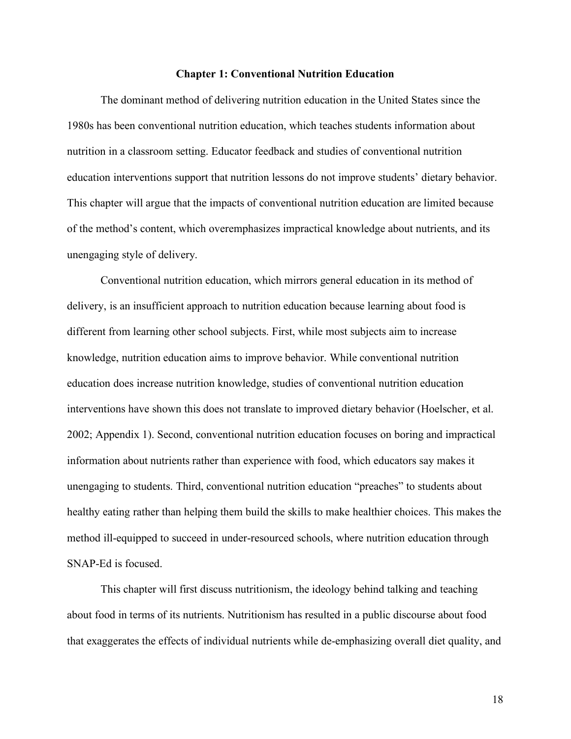#### **Chapter 1: Conventional Nutrition Education**

The dominant method of delivering nutrition education in the United States since the 1980s has been conventional nutrition education, which teaches students information about nutrition in a classroom setting. Educator feedback and studies of conventional nutrition education interventions support that nutrition lessons do not improve students' dietary behavior. This chapter will argue that the impacts of conventional nutrition education are limited because of the method's content, which overemphasizes impractical knowledge about nutrients, and its unengaging style of delivery.

Conventional nutrition education, which mirrors general education in its method of delivery, is an insufficient approach to nutrition education because learning about food is different from learning other school subjects. First, while most subjects aim to increase knowledge, nutrition education aims to improve behavior. While conventional nutrition education does increase nutrition knowledge, studies of conventional nutrition education interventions have shown this does not translate to improved dietary behavior (Hoelscher, et al. 2002; Appendix 1). Second, conventional nutrition education focuses on boring and impractical information about nutrients rather than experience with food, which educators say makes it unengaging to students. Third, conventional nutrition education "preaches" to students about healthy eating rather than helping them build the skills to make healthier choices. This makes the method ill-equipped to succeed in under-resourced schools, where nutrition education through SNAP-Ed is focused.

This chapter will first discuss nutritionism, the ideology behind talking and teaching about food in terms of its nutrients. Nutritionism has resulted in a public discourse about food that exaggerates the effects of individual nutrients while de-emphasizing overall diet quality, and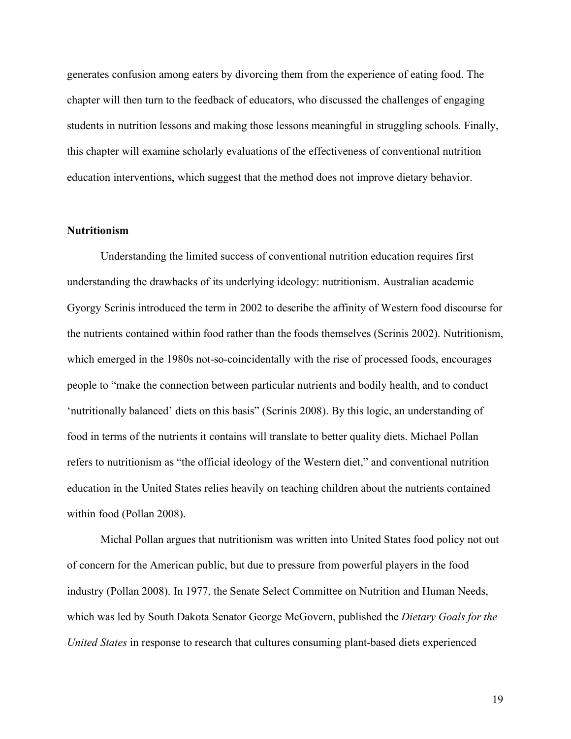generates confusion among eaters by divorcing them from the experience of eating food. The chapter will then turn to the feedback of educators, who discussed the challenges of engaging students in nutrition lessons and making those lessons meaningful in struggling schools. Finally, this chapter will examine scholarly evaluations of the effectiveness of conventional nutrition education interventions, which suggest that the method does not improve dietary behavior.

## **Nutritionism**

Understanding the limited success of conventional nutrition education requires first understanding the drawbacks of its underlying ideology: nutritionism. Australian academic Gyorgy Scrinis introduced the term in 2002 to describe the affinity of Western food discourse for the nutrients contained within food rather than the foods themselves (Scrinis 2002). Nutritionism, which emerged in the 1980s not-so-coincidentally with the rise of processed foods, encourages people to "make the connection between particular nutrients and bodily health, and to conduct 'nutritionally balanced' diets on this basis" (Scrinis 2008). By this logic, an understanding of food in terms of the nutrients it contains will translate to better quality diets. Michael Pollan refers to nutritionism as "the official ideology of the Western diet," and conventional nutrition education in the United States relies heavily on teaching children about the nutrients contained within food (Pollan 2008).

Michal Pollan argues that nutritionism was written into United States food policy not out of concern for the American public, but due to pressure from powerful players in the food industry (Pollan 2008). In 1977, the Senate Select Committee on Nutrition and Human Needs, which was led by South Dakota Senator George McGovern, published the *Dietary Goals for the United States* in response to research that cultures consuming plant-based diets experienced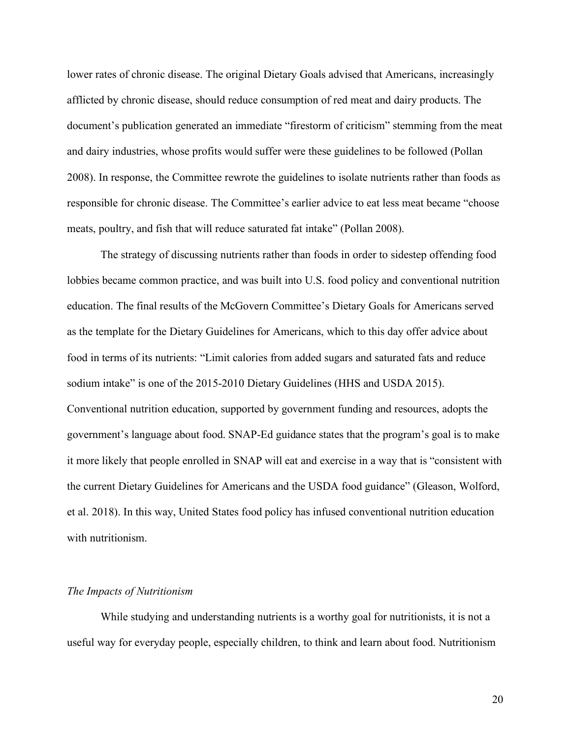lower rates of chronic disease. The original Dietary Goals advised that Americans, increasingly afflicted by chronic disease, should reduce consumption of red meat and dairy products. The document's publication generated an immediate "firestorm of criticism" stemming from the meat and dairy industries, whose profits would suffer were these guidelines to be followed (Pollan 2008). In response, the Committee rewrote the guidelines to isolate nutrients rather than foods as responsible for chronic disease. The Committee's earlier advice to eat less meat became "choose meats, poultry, and fish that will reduce saturated fat intake" (Pollan 2008).

The strategy of discussing nutrients rather than foods in order to sidestep offending food lobbies became common practice, and was built into U.S. food policy and conventional nutrition education. The final results of the McGovern Committee's Dietary Goals for Americans served as the template for the Dietary Guidelines for Americans, which to this day offer advice about food in terms of its nutrients: "Limit calories from added sugars and saturated fats and reduce sodium intake" is one of the 2015-2010 Dietary Guidelines (HHS and USDA 2015). Conventional nutrition education, supported by government funding and resources, adopts the government's language about food. SNAP-Ed guidance states that the program's goal is to make it more likely that people enrolled in SNAP will eat and exercise in a way that is "consistent with the current Dietary Guidelines for Americans and the USDA food guidance" (Gleason, Wolford, et al. 2018). In this way, United States food policy has infused conventional nutrition education with nutritionism.

#### *The Impacts of Nutritionism*

While studying and understanding nutrients is a worthy goal for nutritionists, it is not a useful way for everyday people, especially children, to think and learn about food. Nutritionism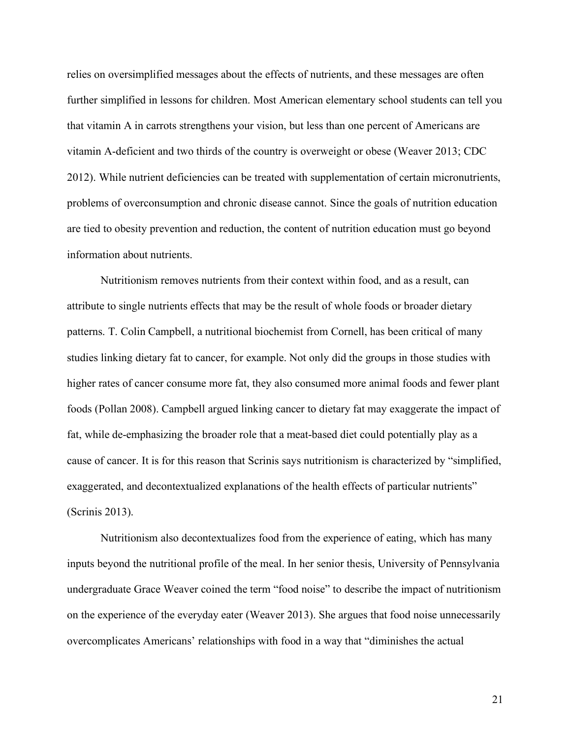relies on oversimplified messages about the effects of nutrients, and these messages are often further simplified in lessons for children. Most American elementary school students can tell you that vitamin A in carrots strengthens your vision, but less than one percent of Americans are vitamin A-deficient and two thirds of the country is overweight or obese (Weaver 2013; CDC 2012). While nutrient deficiencies can be treated with supplementation of certain micronutrients, problems of overconsumption and chronic disease cannot. Since the goals of nutrition education are tied to obesity prevention and reduction, the content of nutrition education must go beyond information about nutrients.

Nutritionism removes nutrients from their context within food, and as a result, can attribute to single nutrients effects that may be the result of whole foods or broader dietary patterns. T. Colin Campbell, a nutritional biochemist from Cornell, has been critical of many studies linking dietary fat to cancer, for example. Not only did the groups in those studies with higher rates of cancer consume more fat, they also consumed more animal foods and fewer plant foods (Pollan 2008). Campbell argued linking cancer to dietary fat may exaggerate the impact of fat, while de-emphasizing the broader role that a meat-based diet could potentially play as a cause of cancer. It is for this reason that Scrinis says nutritionism is characterized by "simplified, exaggerated, and decontextualized explanations of the health effects of particular nutrients" (Scrinis 2013).

Nutritionism also decontextualizes food from the experience of eating, which has many inputs beyond the nutritional profile of the meal. In her senior thesis, University of Pennsylvania undergraduate Grace Weaver coined the term "food noise" to describe the impact of nutritionism on the experience of the everyday eater (Weaver 2013). She argues that food noise unnecessarily overcomplicates Americans' relationships with food in a way that "diminishes the actual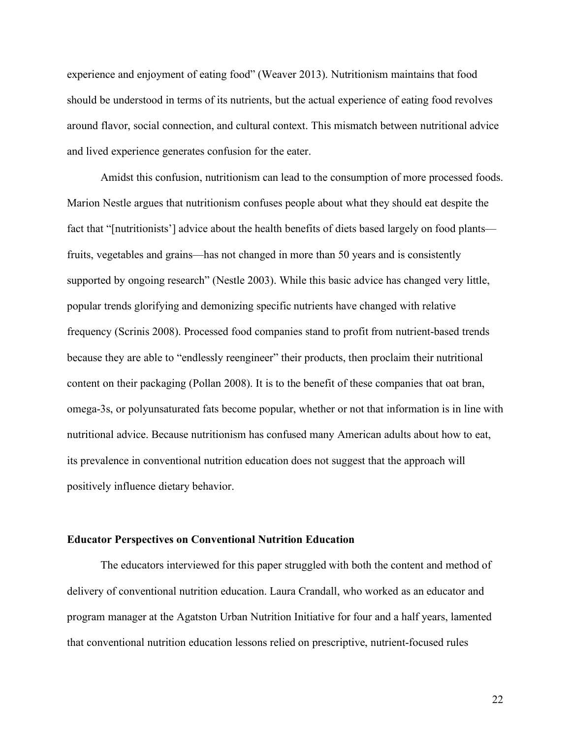experience and enjoyment of eating food" (Weaver 2013). Nutritionism maintains that food should be understood in terms of its nutrients, but the actual experience of eating food revolves around flavor, social connection, and cultural context. This mismatch between nutritional advice and lived experience generates confusion for the eater.

Amidst this confusion, nutritionism can lead to the consumption of more processed foods. Marion Nestle argues that nutritionism confuses people about what they should eat despite the fact that "[nutritionists'] advice about the health benefits of diets based largely on food plants fruits, vegetables and grains—has not changed in more than 50 years and is consistently supported by ongoing research" (Nestle 2003). While this basic advice has changed very little, popular trends glorifying and demonizing specific nutrients have changed with relative frequency (Scrinis 2008). Processed food companies stand to profit from nutrient-based trends because they are able to "endlessly reengineer" their products, then proclaim their nutritional content on their packaging (Pollan 2008). It is to the benefit of these companies that oat bran, omega-3s, or polyunsaturated fats become popular, whether or not that information is in line with nutritional advice. Because nutritionism has confused many American adults about how to eat, its prevalence in conventional nutrition education does not suggest that the approach will positively influence dietary behavior.

#### **Educator Perspectives on Conventional Nutrition Education**

The educators interviewed for this paper struggled with both the content and method of delivery of conventional nutrition education. Laura Crandall, who worked as an educator and program manager at the Agatston Urban Nutrition Initiative for four and a half years, lamented that conventional nutrition education lessons relied on prescriptive, nutrient-focused rules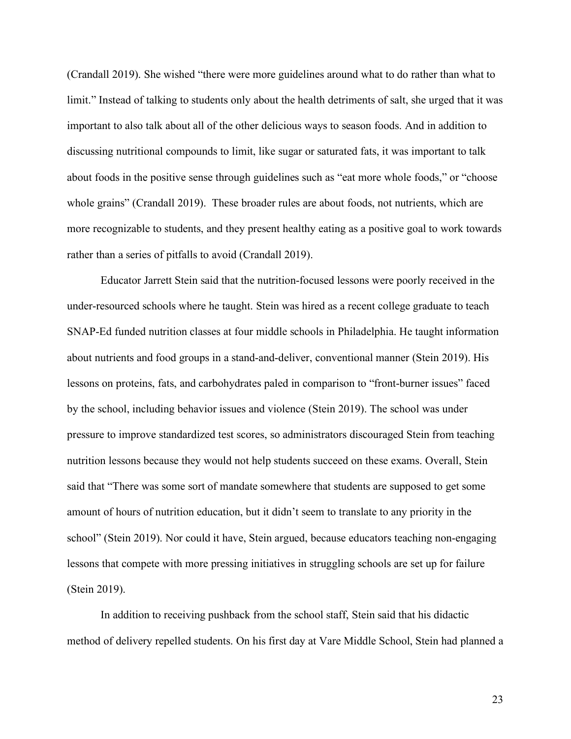(Crandall 2019). She wished "there were more guidelines around what to do rather than what to limit." Instead of talking to students only about the health detriments of salt, she urged that it was important to also talk about all of the other delicious ways to season foods. And in addition to discussing nutritional compounds to limit, like sugar or saturated fats, it was important to talk about foods in the positive sense through guidelines such as "eat more whole foods," or "choose whole grains" (Crandall 2019). These broader rules are about foods, not nutrients, which are more recognizable to students, and they present healthy eating as a positive goal to work towards rather than a series of pitfalls to avoid (Crandall 2019).

Educator Jarrett Stein said that the nutrition-focused lessons were poorly received in the under-resourced schools where he taught. Stein was hired as a recent college graduate to teach SNAP-Ed funded nutrition classes at four middle schools in Philadelphia. He taught information about nutrients and food groups in a stand-and-deliver, conventional manner (Stein 2019). His lessons on proteins, fats, and carbohydrates paled in comparison to "front-burner issues" faced by the school, including behavior issues and violence (Stein 2019). The school was under pressure to improve standardized test scores, so administrators discouraged Stein from teaching nutrition lessons because they would not help students succeed on these exams. Overall, Stein said that "There was some sort of mandate somewhere that students are supposed to get some amount of hours of nutrition education, but it didn't seem to translate to any priority in the school" (Stein 2019). Nor could it have, Stein argued, because educators teaching non-engaging lessons that compete with more pressing initiatives in struggling schools are set up for failure (Stein 2019).

In addition to receiving pushback from the school staff, Stein said that his didactic method of delivery repelled students. On his first day at Vare Middle School, Stein had planned a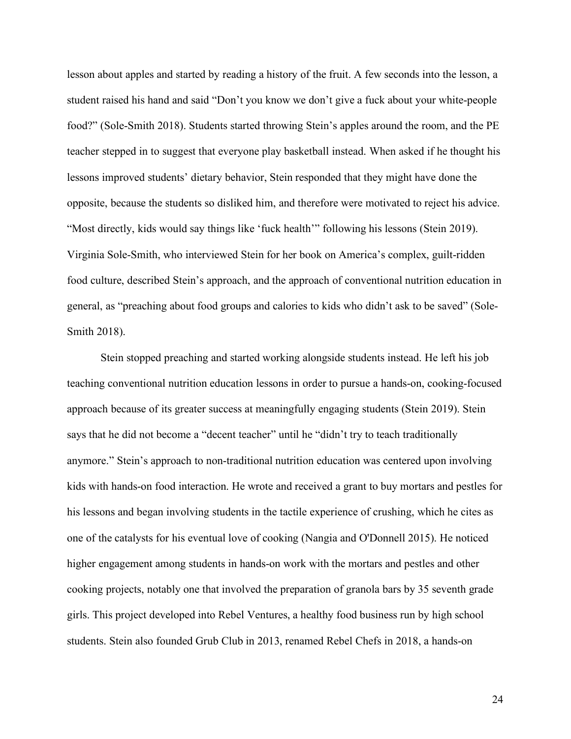lesson about apples and started by reading a history of the fruit. A few seconds into the lesson, a student raised his hand and said "Don't you know we don't give a fuck about your white-people food?" (Sole-Smith 2018). Students started throwing Stein's apples around the room, and the PE teacher stepped in to suggest that everyone play basketball instead. When asked if he thought his lessons improved students' dietary behavior, Stein responded that they might have done the opposite, because the students so disliked him, and therefore were motivated to reject his advice. "Most directly, kids would say things like 'fuck health'" following his lessons (Stein 2019). Virginia Sole-Smith, who interviewed Stein for her book on America's complex, guilt-ridden food culture, described Stein's approach, and the approach of conventional nutrition education in general, as "preaching about food groups and calories to kids who didn't ask to be saved" (Sole-Smith 2018).

Stein stopped preaching and started working alongside students instead. He left his job teaching conventional nutrition education lessons in order to pursue a hands-on, cooking-focused approach because of its greater success at meaningfully engaging students (Stein 2019). Stein says that he did not become a "decent teacher" until he "didn't try to teach traditionally anymore." Stein's approach to non-traditional nutrition education was centered upon involving kids with hands-on food interaction. He wrote and received a grant to buy mortars and pestles for his lessons and began involving students in the tactile experience of crushing, which he cites as one of the catalysts for his eventual love of cooking (Nangia and O'Donnell 2015). He noticed higher engagement among students in hands-on work with the mortars and pestles and other cooking projects, notably one that involved the preparation of granola bars by 35 seventh grade girls. This project developed into Rebel Ventures, a healthy food business run by high school students. Stein also founded Grub Club in 2013, renamed Rebel Chefs in 2018, a hands-on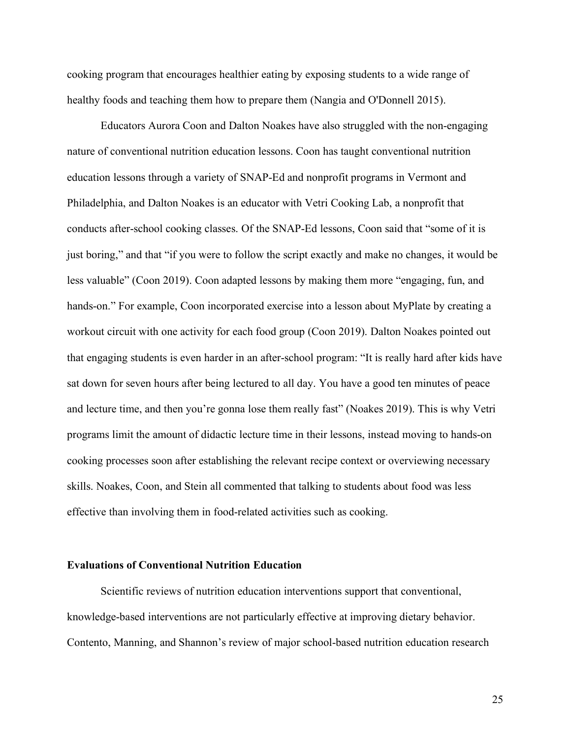cooking program that encourages healthier eating by exposing students to a wide range of healthy foods and teaching them how to prepare them (Nangia and O'Donnell 2015).

Educators Aurora Coon and Dalton Noakes have also struggled with the non-engaging nature of conventional nutrition education lessons. Coon has taught conventional nutrition education lessons through a variety of SNAP-Ed and nonprofit programs in Vermont and Philadelphia, and Dalton Noakes is an educator with Vetri Cooking Lab, a nonprofit that conducts after-school cooking classes. Of the SNAP-Ed lessons, Coon said that "some of it is just boring," and that "if you were to follow the script exactly and make no changes, it would be less valuable" (Coon 2019). Coon adapted lessons by making them more "engaging, fun, and hands-on." For example, Coon incorporated exercise into a lesson about MyPlate by creating a workout circuit with one activity for each food group (Coon 2019). Dalton Noakes pointed out that engaging students is even harder in an after-school program: "It is really hard after kids have sat down for seven hours after being lectured to all day. You have a good ten minutes of peace and lecture time, and then you're gonna lose them really fast" (Noakes 2019). This is why Vetri programs limit the amount of didactic lecture time in their lessons, instead moving to hands-on cooking processes soon after establishing the relevant recipe context or overviewing necessary skills. Noakes, Coon, and Stein all commented that talking to students about food was less effective than involving them in food-related activities such as cooking.

# **Evaluations of Conventional Nutrition Education**

Scientific reviews of nutrition education interventions support that conventional, knowledge-based interventions are not particularly effective at improving dietary behavior. Contento, Manning, and Shannon's review of major school-based nutrition education research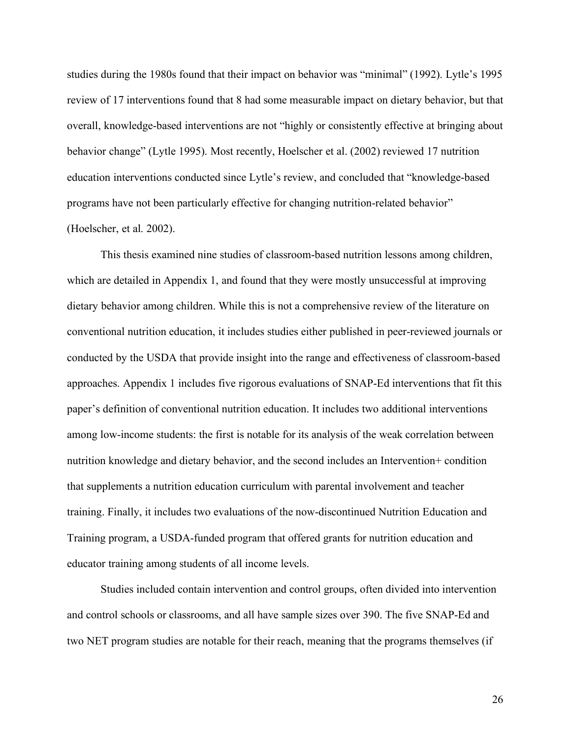studies during the 1980s found that their impact on behavior was "minimal" (1992). Lytle's 1995 review of 17 interventions found that 8 had some measurable impact on dietary behavior, but that overall, knowledge-based interventions are not "highly or consistently effective at bringing about behavior change" (Lytle 1995). Most recently, Hoelscher et al. (2002) reviewed 17 nutrition education interventions conducted since Lytle's review, and concluded that "knowledge-based programs have not been particularly effective for changing nutrition-related behavior" (Hoelscher, et al. 2002).

This thesis examined nine studies of classroom-based nutrition lessons among children, which are detailed in Appendix 1, and found that they were mostly unsuccessful at improving dietary behavior among children. While this is not a comprehensive review of the literature on conventional nutrition education, it includes studies either published in peer-reviewed journals or conducted by the USDA that provide insight into the range and effectiveness of classroom-based approaches. Appendix 1 includes five rigorous evaluations of SNAP-Ed interventions that fit this paper's definition of conventional nutrition education. It includes two additional interventions among low-income students: the first is notable for its analysis of the weak correlation between nutrition knowledge and dietary behavior, and the second includes an Intervention+ condition that supplements a nutrition education curriculum with parental involvement and teacher training. Finally, it includes two evaluations of the now-discontinued Nutrition Education and Training program, a USDA-funded program that offered grants for nutrition education and educator training among students of all income levels.

Studies included contain intervention and control groups, often divided into intervention and control schools or classrooms, and all have sample sizes over 390. The five SNAP-Ed and two NET program studies are notable for their reach, meaning that the programs themselves (if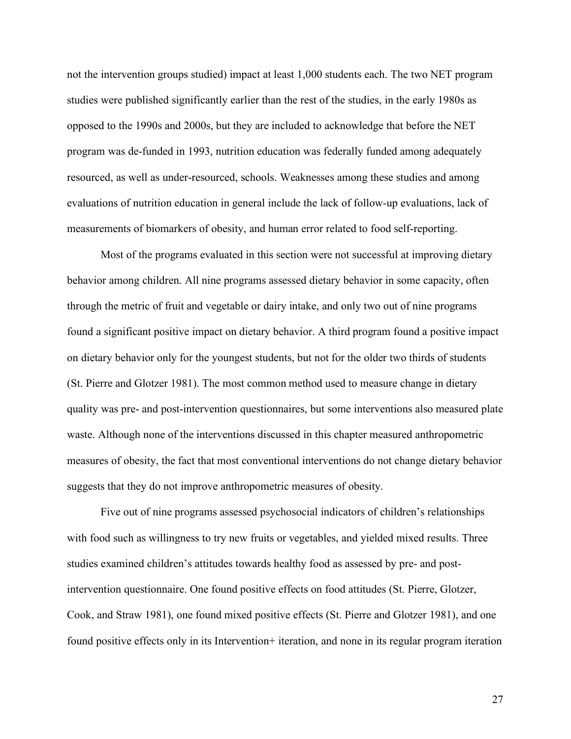not the intervention groups studied) impact at least 1,000 students each. The two NET program studies were published significantly earlier than the rest of the studies, in the early 1980s as opposed to the 1990s and 2000s, but they are included to acknowledge that before the NET program was de-funded in 1993, nutrition education was federally funded among adequately resourced, as well as under-resourced, schools. Weaknesses among these studies and among evaluations of nutrition education in general include the lack of follow-up evaluations, lack of measurements of biomarkers of obesity, and human error related to food self-reporting.

Most of the programs evaluated in this section were not successful at improving dietary behavior among children. All nine programs assessed dietary behavior in some capacity, often through the metric of fruit and vegetable or dairy intake, and only two out of nine programs found a significant positive impact on dietary behavior. A third program found a positive impact on dietary behavior only for the youngest students, but not for the older two thirds of students (St. Pierre and Glotzer 1981). The most common method used to measure change in dietary quality was pre- and post-intervention questionnaires, but some interventions also measured plate waste. Although none of the interventions discussed in this chapter measured anthropometric measures of obesity, the fact that most conventional interventions do not change dietary behavior suggests that they do not improve anthropometric measures of obesity.

Five out of nine programs assessed psychosocial indicators of children's relationships with food such as willingness to try new fruits or vegetables, and yielded mixed results. Three studies examined children's attitudes towards healthy food as assessed by pre- and postintervention questionnaire. One found positive effects on food attitudes (St. Pierre, Glotzer, Cook, and Straw 1981), one found mixed positive effects (St. Pierre and Glotzer 1981), and one found positive effects only in its Intervention+ iteration, and none in its regular program iteration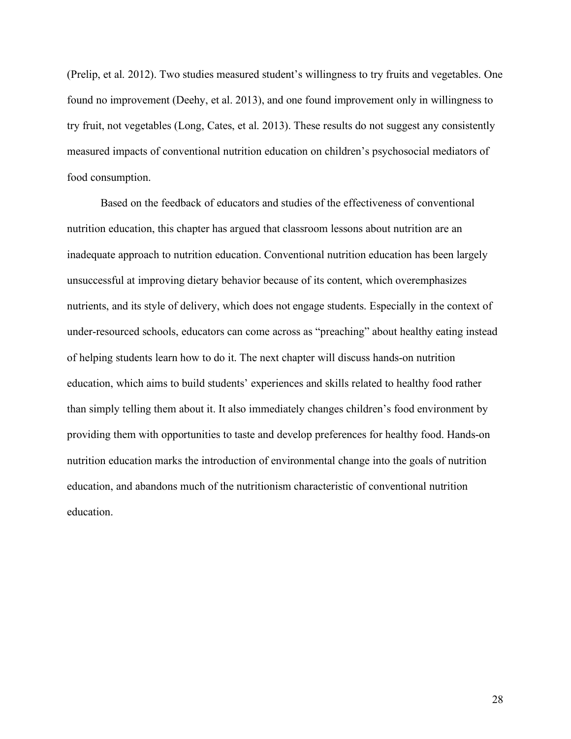(Prelip, et al. 2012). Two studies measured student's willingness to try fruits and vegetables. One found no improvement (Deehy, et al. 2013), and one found improvement only in willingness to try fruit, not vegetables (Long, Cates, et al. 2013). These results do not suggest any consistently measured impacts of conventional nutrition education on children's psychosocial mediators of food consumption.

Based on the feedback of educators and studies of the effectiveness of conventional nutrition education, this chapter has argued that classroom lessons about nutrition are an inadequate approach to nutrition education. Conventional nutrition education has been largely unsuccessful at improving dietary behavior because of its content, which overemphasizes nutrients, and its style of delivery, which does not engage students. Especially in the context of under-resourced schools, educators can come across as "preaching" about healthy eating instead of helping students learn how to do it. The next chapter will discuss hands-on nutrition education, which aims to build students' experiences and skills related to healthy food rather than simply telling them about it. It also immediately changes children's food environment by providing them with opportunities to taste and develop preferences for healthy food. Hands-on nutrition education marks the introduction of environmental change into the goals of nutrition education, and abandons much of the nutritionism characteristic of conventional nutrition education.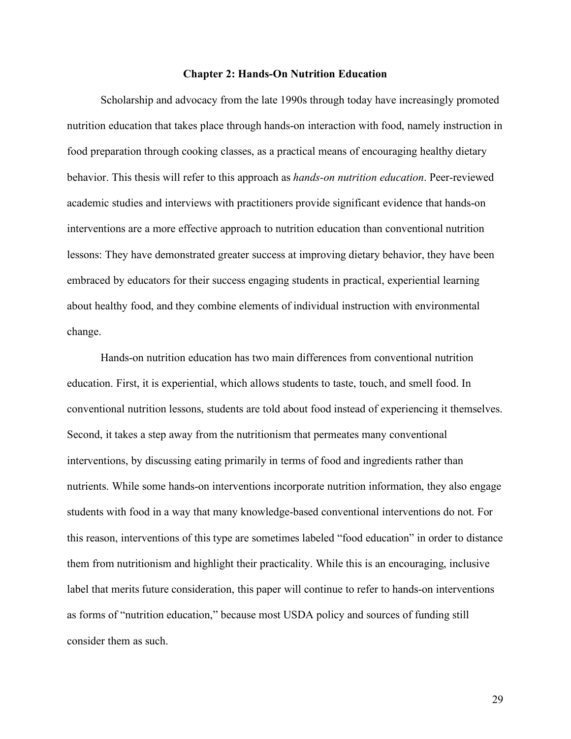#### **Chapter 2: Hands-On Nutrition Education**

Scholarship and advocacy from the late 1990s through today have increasingly promoted nutrition education that takes place through hands-on interaction with food, namely instruction in food preparation through cooking classes, as a practical means of encouraging healthy dietary behavior. This thesis will refer to this approach as *hands-on nutrition education*. Peer-reviewed academic studies and interviews with practitioners provide significant evidence that hands-on interventions are a more effective approach to nutrition education than conventional nutrition lessons: They have demonstrated greater success at improving dietary behavior, they have been embraced by educators for their success engaging students in practical, experiential learning about healthy food, and they combine elements of individual instruction with environmental change.

Hands-on nutrition education has two main differences from conventional nutrition education. First, it is experiential, which allows students to taste, touch, and smell food. In conventional nutrition lessons, students are told about food instead of experiencing it themselves. Second, it takes a step away from the nutritionism that permeates many conventional interventions, by discussing eating primarily in terms of food and ingredients rather than nutrients. While some hands-on interventions incorporate nutrition information, they also engage students with food in a way that many knowledge-based conventional interventions do not. For this reason, interventions of this type are sometimes labeled "food education" in order to distance them from nutritionism and highlight their practicality. While this is an encouraging, inclusive label that merits future consideration, this paper will continue to refer to hands-on interventions as forms of "nutrition education," because most USDA policy and sources of funding still consider them as such.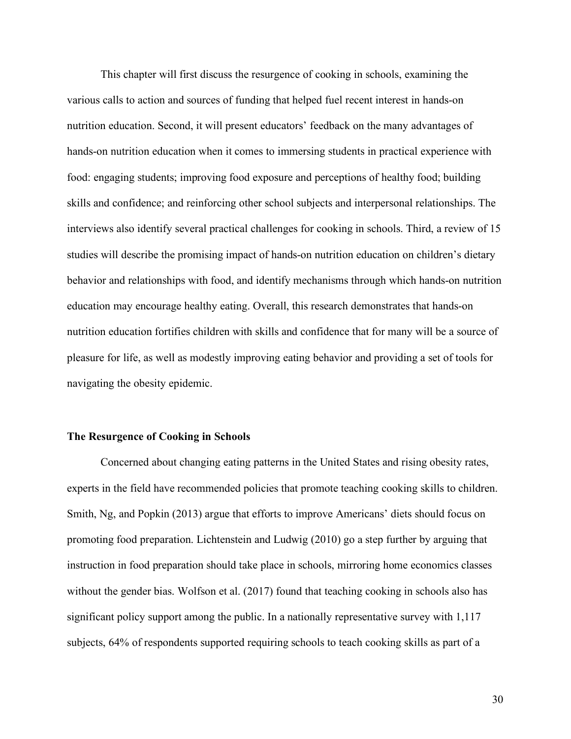This chapter will first discuss the resurgence of cooking in schools, examining the various calls to action and sources of funding that helped fuel recent interest in hands-on nutrition education. Second, it will present educators' feedback on the many advantages of hands-on nutrition education when it comes to immersing students in practical experience with food: engaging students; improving food exposure and perceptions of healthy food; building skills and confidence; and reinforcing other school subjects and interpersonal relationships. The interviews also identify several practical challenges for cooking in schools. Third, a review of 15 studies will describe the promising impact of hands-on nutrition education on children's dietary behavior and relationships with food, and identify mechanisms through which hands-on nutrition education may encourage healthy eating. Overall, this research demonstrates that hands-on nutrition education fortifies children with skills and confidence that for many will be a source of pleasure for life, as well as modestly improving eating behavior and providing a set of tools for navigating the obesity epidemic.

#### **The Resurgence of Cooking in Schools**

Concerned about changing eating patterns in the United States and rising obesity rates, experts in the field have recommended policies that promote teaching cooking skills to children. Smith, Ng, and Popkin (2013) argue that efforts to improve Americans' diets should focus on promoting food preparation. Lichtenstein and Ludwig (2010) go a step further by arguing that instruction in food preparation should take place in schools, mirroring home economics classes without the gender bias. Wolfson et al. (2017) found that teaching cooking in schools also has significant policy support among the public. In a nationally representative survey with 1,117 subjects, 64% of respondents supported requiring schools to teach cooking skills as part of a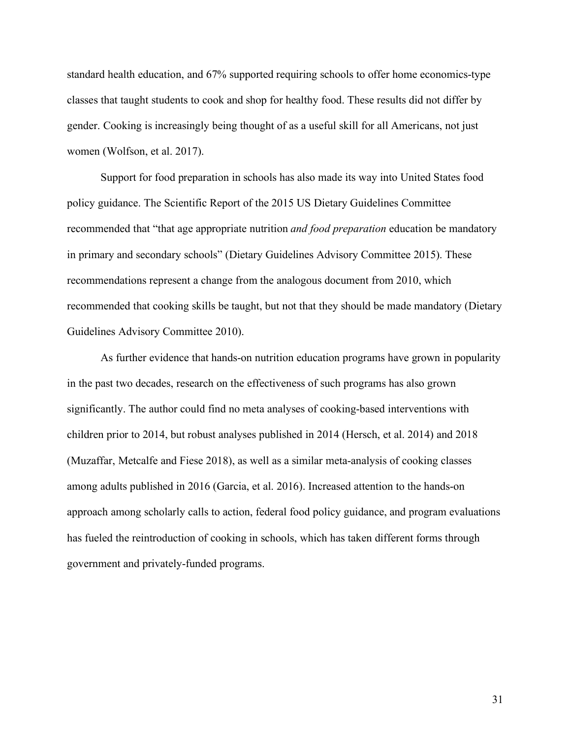standard health education, and 67% supported requiring schools to offer home economics-type classes that taught students to cook and shop for healthy food. These results did not differ by gender. Cooking is increasingly being thought of as a useful skill for all Americans, not just women (Wolfson, et al. 2017).

Support for food preparation in schools has also made its way into United States food policy guidance. The Scientific Report of the 2015 US Dietary Guidelines Committee recommended that "that age appropriate nutrition *and food preparation* education be mandatory in primary and secondary schools" (Dietary Guidelines Advisory Committee 2015). These recommendations represent a change from the analogous document from 2010, which recommended that cooking skills be taught, but not that they should be made mandatory (Dietary Guidelines Advisory Committee 2010).

As further evidence that hands-on nutrition education programs have grown in popularity in the past two decades, research on the effectiveness of such programs has also grown significantly. The author could find no meta analyses of cooking-based interventions with children prior to 2014, but robust analyses published in 2014 (Hersch, et al. 2014) and 2018 (Muzaffar, Metcalfe and Fiese 2018), as well as a similar meta-analysis of cooking classes among adults published in 2016 (Garcia, et al. 2016). Increased attention to the hands-on approach among scholarly calls to action, federal food policy guidance, and program evaluations has fueled the reintroduction of cooking in schools, which has taken different forms through government and privately-funded programs.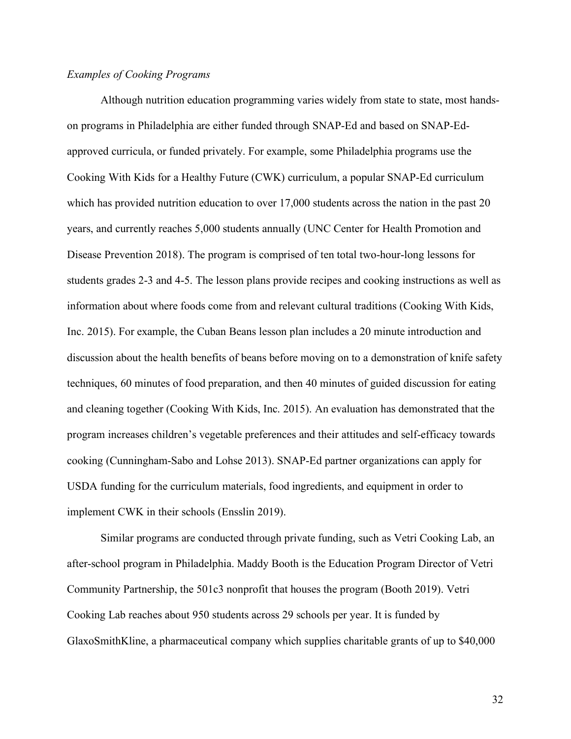### *Examples of Cooking Programs*

Although nutrition education programming varies widely from state to state, most handson programs in Philadelphia are either funded through SNAP-Ed and based on SNAP-Edapproved curricula, or funded privately. For example, some Philadelphia programs use the Cooking With Kids for a Healthy Future (CWK) curriculum, a popular SNAP-Ed curriculum which has provided nutrition education to over 17,000 students across the nation in the past 20 years, and currently reaches 5,000 students annually (UNC Center for Health Promotion and Disease Prevention 2018). The program is comprised of ten total two-hour-long lessons for students grades 2-3 and 4-5. The lesson plans provide recipes and cooking instructions as well as information about where foods come from and relevant cultural traditions (Cooking With Kids, Inc. 2015). For example, the Cuban Beans lesson plan includes a 20 minute introduction and discussion about the health benefits of beans before moving on to a demonstration of knife safety techniques, 60 minutes of food preparation, and then 40 minutes of guided discussion for eating and cleaning together (Cooking With Kids, Inc. 2015). An evaluation has demonstrated that the program increases children's vegetable preferences and their attitudes and self-efficacy towards cooking (Cunningham-Sabo and Lohse 2013). SNAP-Ed partner organizations can apply for USDA funding for the curriculum materials, food ingredients, and equipment in order to implement CWK in their schools (Ensslin 2019).

Similar programs are conducted through private funding, such as Vetri Cooking Lab, an after-school program in Philadelphia. Maddy Booth is the Education Program Director of Vetri Community Partnership, the 501c3 nonprofit that houses the program (Booth 2019). Vetri Cooking Lab reaches about 950 students across 29 schools per year. It is funded by GlaxoSmithKline, a pharmaceutical company which supplies charitable grants of up to \$40,000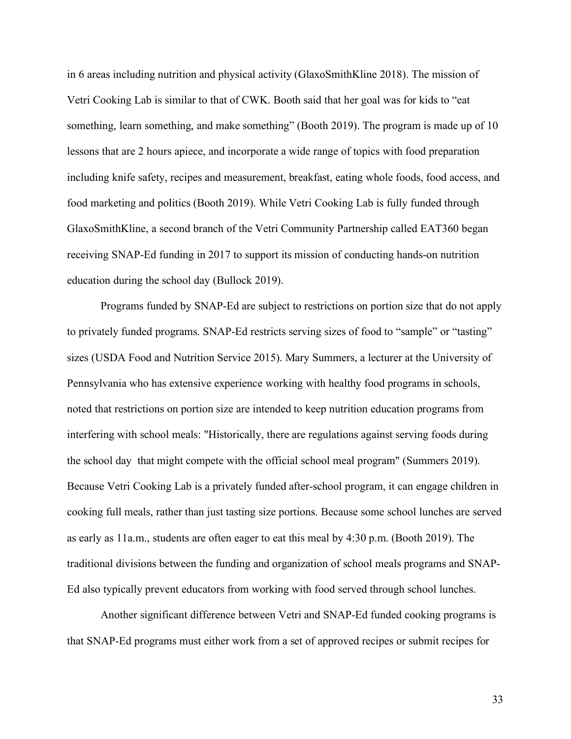in 6 areas including nutrition and physical activity (GlaxoSmithKline 2018). The mission of Vetri Cooking Lab is similar to that of CWK. Booth said that her goal was for kids to "eat something, learn something, and make something" (Booth 2019). The program is made up of 10 lessons that are 2 hours apiece, and incorporate a wide range of topics with food preparation including knife safety, recipes and measurement, breakfast, eating whole foods, food access, and food marketing and politics (Booth 2019). While Vetri Cooking Lab is fully funded through GlaxoSmithKline, a second branch of the Vetri Community Partnership called EAT360 began receiving SNAP-Ed funding in 2017 to support its mission of conducting hands-on nutrition education during the school day (Bullock 2019).

Programs funded by SNAP-Ed are subject to restrictions on portion size that do not apply to privately funded programs. SNAP-Ed restricts serving sizes of food to "sample" or "tasting" sizes (USDA Food and Nutrition Service 2015). Mary Summers, a lecturer at the University of Pennsylvania who has extensive experience working with healthy food programs in schools, noted that restrictions on portion size are intended to keep nutrition education programs from interfering with school meals: "Historically, there are regulations against serving foods during the school day that might compete with the official school meal program" (Summers 2019). Because Vetri Cooking Lab is a privately funded after-school program, it can engage children in cooking full meals, rather than just tasting size portions. Because some school lunches are served as early as 11a.m., students are often eager to eat this meal by 4:30 p.m. (Booth 2019). The traditional divisions between the funding and organization of school meals programs and SNAP-Ed also typically prevent educators from working with food served through school lunches.

Another significant difference between Vetri and SNAP-Ed funded cooking programs is that SNAP-Ed programs must either work from a set of approved recipes or submit recipes for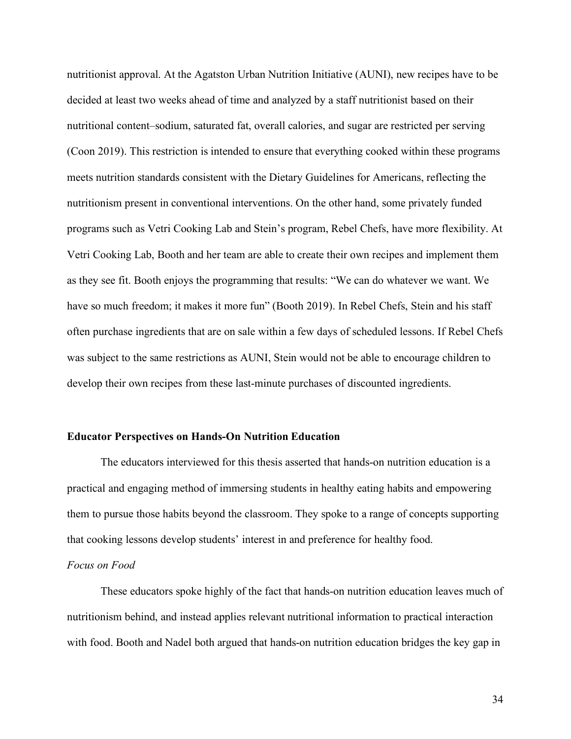nutritionist approval. At the Agatston Urban Nutrition Initiative (AUNI), new recipes have to be decided at least two weeks ahead of time and analyzed by a staff nutritionist based on their nutritional content–sodium, saturated fat, overall calories, and sugar are restricted per serving (Coon 2019). This restriction is intended to ensure that everything cooked within these programs meets nutrition standards consistent with the Dietary Guidelines for Americans, reflecting the nutritionism present in conventional interventions. On the other hand, some privately funded programs such as Vetri Cooking Lab and Stein's program, Rebel Chefs, have more flexibility. At Vetri Cooking Lab, Booth and her team are able to create their own recipes and implement them as they see fit. Booth enjoys the programming that results: "We can do whatever we want. We have so much freedom; it makes it more fun" (Booth 2019). In Rebel Chefs, Stein and his staff often purchase ingredients that are on sale within a few days of scheduled lessons. If Rebel Chefs was subject to the same restrictions as AUNI, Stein would not be able to encourage children to develop their own recipes from these last-minute purchases of discounted ingredients.

## **Educator Perspectives on Hands-On Nutrition Education**

The educators interviewed for this thesis asserted that hands-on nutrition education is a practical and engaging method of immersing students in healthy eating habits and empowering them to pursue those habits beyond the classroom. They spoke to a range of concepts supporting that cooking lessons develop students' interest in and preference for healthy food.

# *Focus on Food*

These educators spoke highly of the fact that hands-on nutrition education leaves much of nutritionism behind, and instead applies relevant nutritional information to practical interaction with food. Booth and Nadel both argued that hands-on nutrition education bridges the key gap in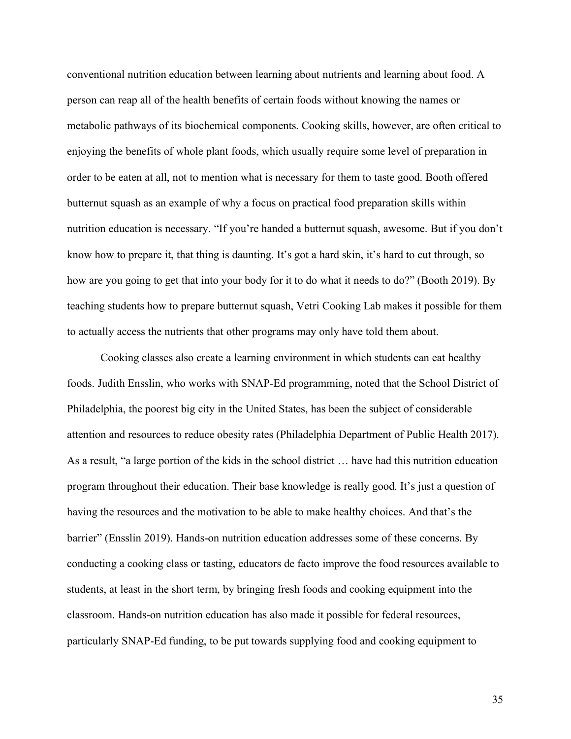conventional nutrition education between learning about nutrients and learning about food. A person can reap all of the health benefits of certain foods without knowing the names or metabolic pathways of its biochemical components. Cooking skills, however, are often critical to enjoying the benefits of whole plant foods, which usually require some level of preparation in order to be eaten at all, not to mention what is necessary for them to taste good. Booth offered butternut squash as an example of why a focus on practical food preparation skills within nutrition education is necessary. "If you're handed a butternut squash, awesome. But if you don't know how to prepare it, that thing is daunting. It's got a hard skin, it's hard to cut through, so how are you going to get that into your body for it to do what it needs to do?" (Booth 2019). By teaching students how to prepare butternut squash, Vetri Cooking Lab makes it possible for them to actually access the nutrients that other programs may only have told them about.

Cooking classes also create a learning environment in which students can eat healthy foods. Judith Ensslin, who works with SNAP-Ed programming, noted that the School District of Philadelphia, the poorest big city in the United States, has been the subject of considerable attention and resources to reduce obesity rates (Philadelphia Department of Public Health 2017). As a result, "a large portion of the kids in the school district … have had this nutrition education program throughout their education. Their base knowledge is really good. It's just a question of having the resources and the motivation to be able to make healthy choices. And that's the barrier" (Ensslin 2019). Hands-on nutrition education addresses some of these concerns. By conducting a cooking class or tasting, educators de facto improve the food resources available to students, at least in the short term, by bringing fresh foods and cooking equipment into the classroom. Hands-on nutrition education has also made it possible for federal resources, particularly SNAP-Ed funding, to be put towards supplying food and cooking equipment to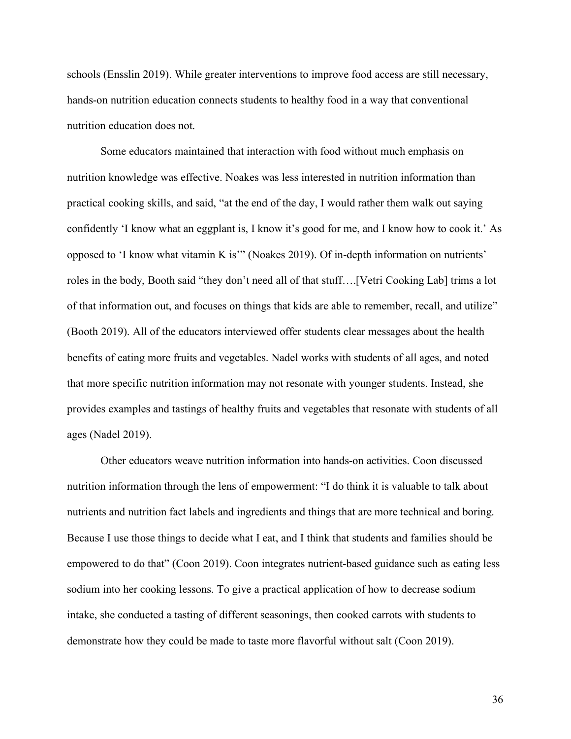schools (Ensslin 2019). While greater interventions to improve food access are still necessary, hands-on nutrition education connects students to healthy food in a way that conventional nutrition education does not.

Some educators maintained that interaction with food without much emphasis on nutrition knowledge was effective. Noakes was less interested in nutrition information than practical cooking skills, and said, "at the end of the day, I would rather them walk out saying confidently 'I know what an eggplant is, I know it's good for me, and I know how to cook it.' As opposed to 'I know what vitamin K is'" (Noakes 2019). Of in-depth information on nutrients' roles in the body, Booth said "they don't need all of that stuff….[Vetri Cooking Lab] trims a lot of that information out, and focuses on things that kids are able to remember, recall, and utilize" (Booth 2019). All of the educators interviewed offer students clear messages about the health benefits of eating more fruits and vegetables. Nadel works with students of all ages, and noted that more specific nutrition information may not resonate with younger students. Instead, she provides examples and tastings of healthy fruits and vegetables that resonate with students of all ages (Nadel 2019).

Other educators weave nutrition information into hands-on activities. Coon discussed nutrition information through the lens of empowerment: "I do think it is valuable to talk about nutrients and nutrition fact labels and ingredients and things that are more technical and boring. Because I use those things to decide what I eat, and I think that students and families should be empowered to do that" (Coon 2019). Coon integrates nutrient-based guidance such as eating less sodium into her cooking lessons. To give a practical application of how to decrease sodium intake, she conducted a tasting of different seasonings, then cooked carrots with students to demonstrate how they could be made to taste more flavorful without salt (Coon 2019).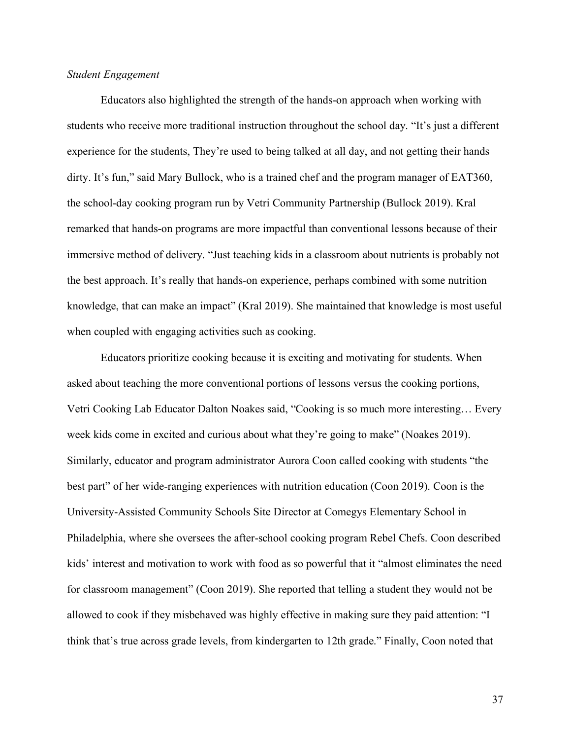# *Student Engagement*

Educators also highlighted the strength of the hands-on approach when working with students who receive more traditional instruction throughout the school day. "It's just a different experience for the students, They're used to being talked at all day, and not getting their hands dirty. It's fun," said Mary Bullock, who is a trained chef and the program manager of EAT360, the school-day cooking program run by Vetri Community Partnership (Bullock 2019). Kral remarked that hands-on programs are more impactful than conventional lessons because of their immersive method of delivery. "Just teaching kids in a classroom about nutrients is probably not the best approach. It's really that hands-on experience, perhaps combined with some nutrition knowledge, that can make an impact" (Kral 2019). She maintained that knowledge is most useful when coupled with engaging activities such as cooking.

Educators prioritize cooking because it is exciting and motivating for students. When asked about teaching the more conventional portions of lessons versus the cooking portions, Vetri Cooking Lab Educator Dalton Noakes said, "Cooking is so much more interesting… Every week kids come in excited and curious about what they're going to make" (Noakes 2019). Similarly, educator and program administrator Aurora Coon called cooking with students "the best part" of her wide-ranging experiences with nutrition education (Coon 2019). Coon is the University-Assisted Community Schools Site Director at Comegys Elementary School in Philadelphia, where she oversees the after-school cooking program Rebel Chefs. Coon described kids' interest and motivation to work with food as so powerful that it "almost eliminates the need for classroom management" (Coon 2019). She reported that telling a student they would not be allowed to cook if they misbehaved was highly effective in making sure they paid attention: "I think that's true across grade levels, from kindergarten to 12th grade." Finally, Coon noted that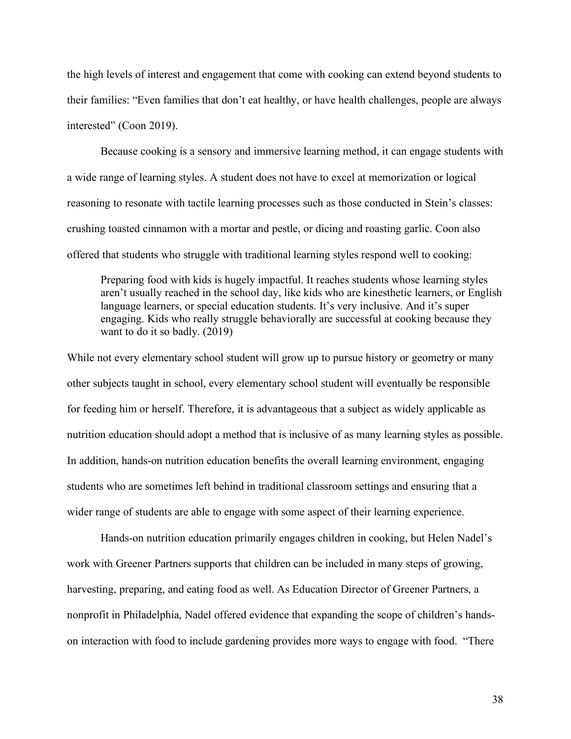the high levels of interest and engagement that come with cooking can extend beyond students to their families: "Even families that don't eat healthy, or have health challenges, people are always interested" (Coon 2019).

Because cooking is a sensory and immersive learning method, it can engage students with a wide range of learning styles. A student does not have to excel at memorization or logical reasoning to resonate with tactile learning processes such as those conducted in Stein's classes: crushing toasted cinnamon with a mortar and pestle, or dicing and roasting garlic. Coon also offered that students who struggle with traditional learning styles respond well to cooking:

Preparing food with kids is hugely impactful. It reaches students whose learning styles aren't usually reached in the school day, like kids who are kinesthetic learners, or English language learners, or special education students. It's very inclusive. And it's super engaging. Kids who really struggle behaviorally are successful at cooking because they want to do it so badly. (2019)

While not every elementary school student will grow up to pursue history or geometry or many other subjects taught in school, every elementary school student will eventually be responsible for feeding him or herself. Therefore, it is advantageous that a subject as widely applicable as nutrition education should adopt a method that is inclusive of as many learning styles as possible. In addition, hands-on nutrition education benefits the overall learning environment, engaging students who are sometimes left behind in traditional classroom settings and ensuring that a wider range of students are able to engage with some aspect of their learning experience.

Hands-on nutrition education primarily engages children in cooking, but Helen Nadel's work with Greener Partners supports that children can be included in many steps of growing, harvesting, preparing, and eating food as well. As Education Director of Greener Partners, a nonprofit in Philadelphia, Nadel offered evidence that expanding the scope of children's handson interaction with food to include gardening provides more ways to engage with food. "There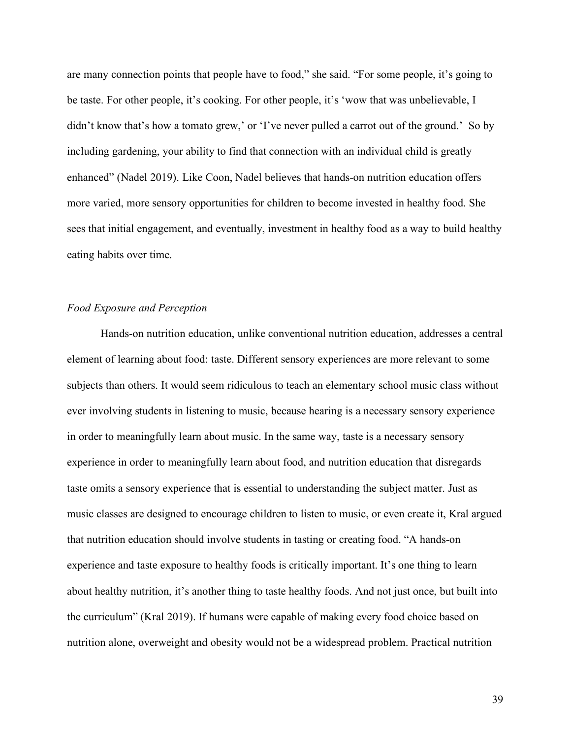are many connection points that people have to food," she said. "For some people, it's going to be taste. For other people, it's cooking. For other people, it's 'wow that was unbelievable, I didn't know that's how a tomato grew,' or 'I've never pulled a carrot out of the ground.' So by including gardening, your ability to find that connection with an individual child is greatly enhanced" (Nadel 2019). Like Coon, Nadel believes that hands-on nutrition education offers more varied, more sensory opportunities for children to become invested in healthy food. She sees that initial engagement, and eventually, investment in healthy food as a way to build healthy eating habits over time.

# *Food Exposure and Perception*

Hands-on nutrition education, unlike conventional nutrition education, addresses a central element of learning about food: taste. Different sensory experiences are more relevant to some subjects than others. It would seem ridiculous to teach an elementary school music class without ever involving students in listening to music, because hearing is a necessary sensory experience in order to meaningfully learn about music. In the same way, taste is a necessary sensory experience in order to meaningfully learn about food, and nutrition education that disregards taste omits a sensory experience that is essential to understanding the subject matter. Just as music classes are designed to encourage children to listen to music, or even create it, Kral argued that nutrition education should involve students in tasting or creating food. "A hands-on experience and taste exposure to healthy foods is critically important. It's one thing to learn about healthy nutrition, it's another thing to taste healthy foods. And not just once, but built into the curriculum" (Kral 2019). If humans were capable of making every food choice based on nutrition alone, overweight and obesity would not be a widespread problem. Practical nutrition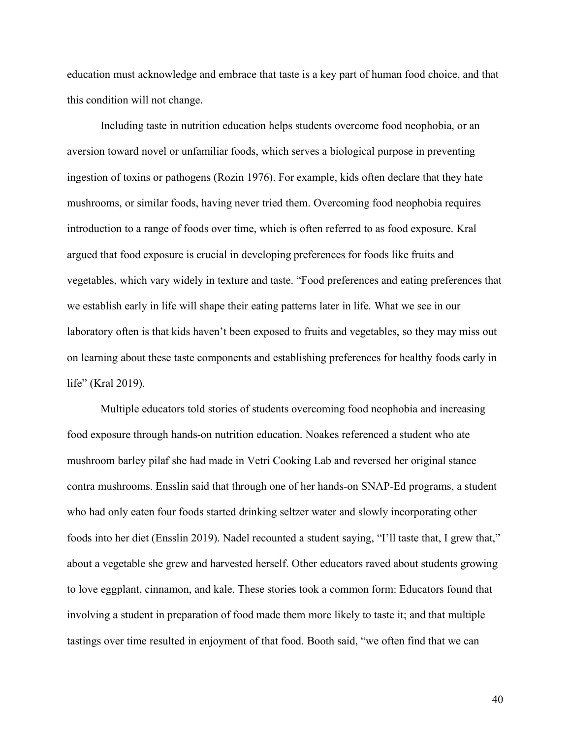education must acknowledge and embrace that taste is a key part of human food choice, and that this condition will not change.

Including taste in nutrition education helps students overcome food neophobia, or an aversion toward novel or unfamiliar foods, which serves a biological purpose in preventing ingestion of toxins or pathogens (Rozin 1976). For example, kids often declare that they hate mushrooms, or similar foods, having never tried them. Overcoming food neophobia requires introduction to a range of foods over time, which is often referred to as food exposure. Kral argued that food exposure is crucial in developing preferences for foods like fruits and vegetables, which vary widely in texture and taste. "Food preferences and eating preferences that we establish early in life will shape their eating patterns later in life. What we see in our laboratory often is that kids haven't been exposed to fruits and vegetables, so they may miss out on learning about these taste components and establishing preferences for healthy foods early in life" (Kral 2019).

Multiple educators told stories of students overcoming food neophobia and increasing food exposure through hands-on nutrition education. Noakes referenced a student who ate mushroom barley pilaf she had made in Vetri Cooking Lab and reversed her original stance contra mushrooms. Ensslin said that through one of her hands-on SNAP-Ed programs, a student who had only eaten four foods started drinking seltzer water and slowly incorporating other foods into her diet (Ensslin 2019). Nadel recounted a student saying, "I'll taste that, I grew that," about a vegetable she grew and harvested herself. Other educators raved about students growing to love eggplant, cinnamon, and kale. These stories took a common form: Educators found that involving a student in preparation of food made them more likely to taste it; and that multiple tastings over time resulted in enjoyment of that food. Booth said, "we often find that we can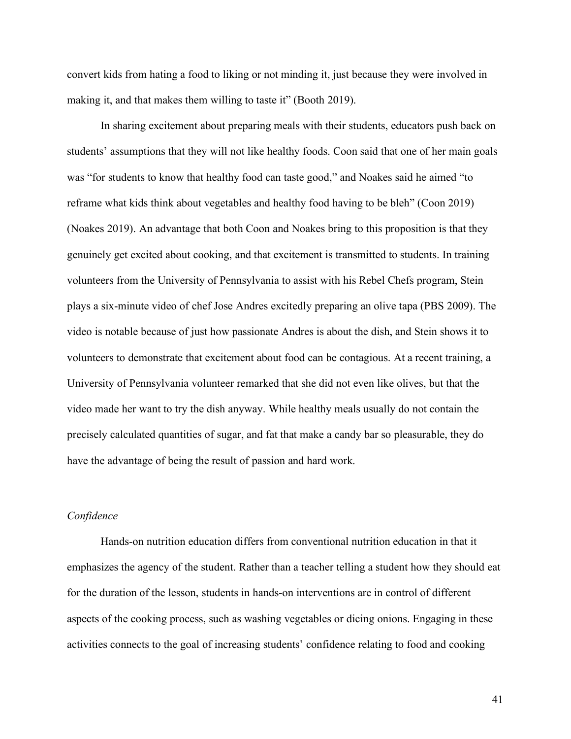convert kids from hating a food to liking or not minding it, just because they were involved in making it, and that makes them willing to taste it" (Booth 2019).

In sharing excitement about preparing meals with their students, educators push back on students' assumptions that they will not like healthy foods. Coon said that one of her main goals was "for students to know that healthy food can taste good," and Noakes said he aimed "to reframe what kids think about vegetables and healthy food having to be bleh" (Coon 2019) (Noakes 2019). An advantage that both Coon and Noakes bring to this proposition is that they genuinely get excited about cooking, and that excitement is transmitted to students. In training volunteers from the University of Pennsylvania to assist with his Rebel Chefs program, Stein plays a six-minute video of chef Jose Andres excitedly preparing an olive tapa (PBS 2009). The video is notable because of just how passionate Andres is about the dish, and Stein shows it to volunteers to demonstrate that excitement about food can be contagious. At a recent training, a University of Pennsylvania volunteer remarked that she did not even like olives, but that the video made her want to try the dish anyway. While healthy meals usually do not contain the precisely calculated quantities of sugar, and fat that make a candy bar so pleasurable, they do have the advantage of being the result of passion and hard work.

# *Confidence*

Hands-on nutrition education differs from conventional nutrition education in that it emphasizes the agency of the student. Rather than a teacher telling a student how they should eat for the duration of the lesson, students in hands-on interventions are in control of different aspects of the cooking process, such as washing vegetables or dicing onions. Engaging in these activities connects to the goal of increasing students' confidence relating to food and cooking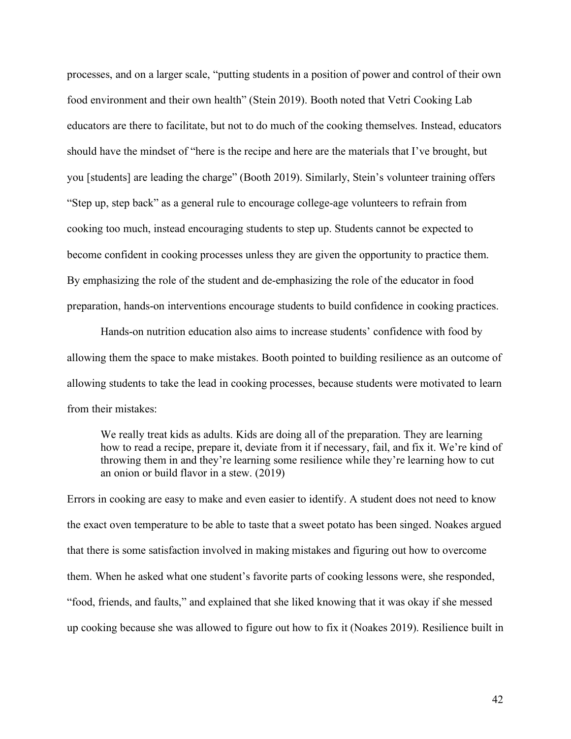processes, and on a larger scale, "putting students in a position of power and control of their own food environment and their own health" (Stein 2019). Booth noted that Vetri Cooking Lab educators are there to facilitate, but not to do much of the cooking themselves. Instead, educators should have the mindset of "here is the recipe and here are the materials that I've brought, but you [students] are leading the charge" (Booth 2019). Similarly, Stein's volunteer training offers "Step up, step back" as a general rule to encourage college-age volunteers to refrain from cooking too much, instead encouraging students to step up. Students cannot be expected to become confident in cooking processes unless they are given the opportunity to practice them. By emphasizing the role of the student and de-emphasizing the role of the educator in food preparation, hands-on interventions encourage students to build confidence in cooking practices.

Hands-on nutrition education also aims to increase students' confidence with food by allowing them the space to make mistakes. Booth pointed to building resilience as an outcome of allowing students to take the lead in cooking processes, because students were motivated to learn from their mistakes:

We really treat kids as adults. Kids are doing all of the preparation. They are learning how to read a recipe, prepare it, deviate from it if necessary, fail, and fix it. We're kind of throwing them in and they're learning some resilience while they're learning how to cut an onion or build flavor in a stew. (2019)

Errors in cooking are easy to make and even easier to identify. A student does not need to know the exact oven temperature to be able to taste that a sweet potato has been singed. Noakes argued that there is some satisfaction involved in making mistakes and figuring out how to overcome them. When he asked what one student's favorite parts of cooking lessons were, she responded, "food, friends, and faults," and explained that she liked knowing that it was okay if she messed up cooking because she was allowed to figure out how to fix it (Noakes 2019). Resilience built in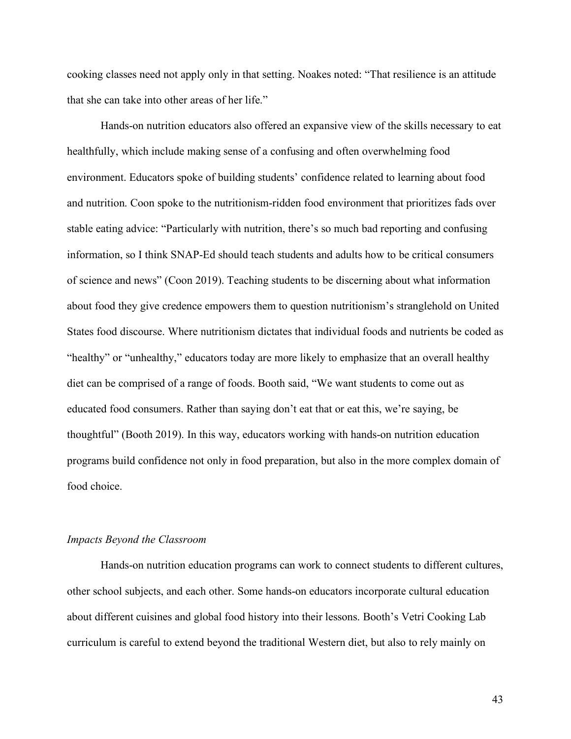cooking classes need not apply only in that setting. Noakes noted: "That resilience is an attitude that she can take into other areas of her life."

Hands-on nutrition educators also offered an expansive view of the skills necessary to eat healthfully, which include making sense of a confusing and often overwhelming food environment. Educators spoke of building students' confidence related to learning about food and nutrition. Coon spoke to the nutritionism-ridden food environment that prioritizes fads over stable eating advice: "Particularly with nutrition, there's so much bad reporting and confusing information, so I think SNAP-Ed should teach students and adults how to be critical consumers of science and news" (Coon 2019). Teaching students to be discerning about what information about food they give credence empowers them to question nutritionism's stranglehold on United States food discourse. Where nutritionism dictates that individual foods and nutrients be coded as "healthy" or "unhealthy," educators today are more likely to emphasize that an overall healthy diet can be comprised of a range of foods. Booth said, "We want students to come out as educated food consumers. Rather than saying don't eat that or eat this, we're saying, be thoughtful" (Booth 2019). In this way, educators working with hands-on nutrition education programs build confidence not only in food preparation, but also in the more complex domain of food choice.

# *Impacts Beyond the Classroom*

Hands-on nutrition education programs can work to connect students to different cultures, other school subjects, and each other. Some hands-on educators incorporate cultural education about different cuisines and global food history into their lessons. Booth's Vetri Cooking Lab curriculum is careful to extend beyond the traditional Western diet, but also to rely mainly on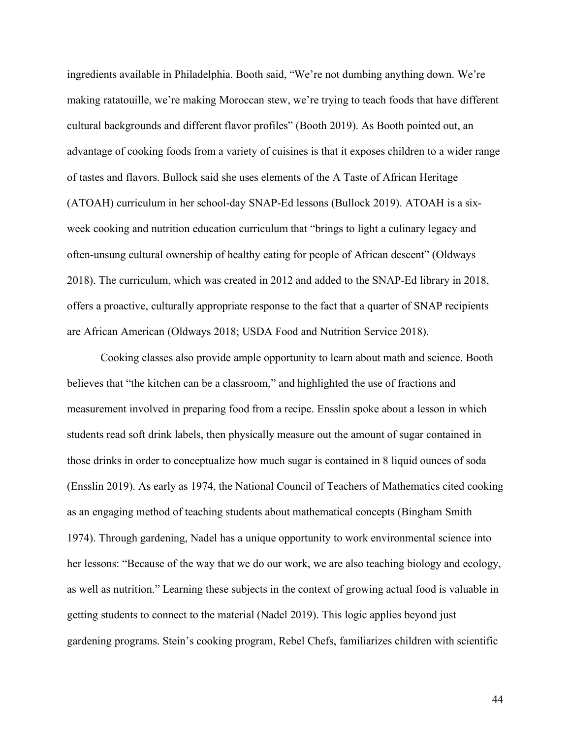ingredients available in Philadelphia. Booth said, "We're not dumbing anything down. We're making ratatouille, we're making Moroccan stew, we're trying to teach foods that have different cultural backgrounds and different flavor profiles" (Booth 2019). As Booth pointed out, an advantage of cooking foods from a variety of cuisines is that it exposes children to a wider range of tastes and flavors. Bullock said she uses elements of the A Taste of African Heritage (ATOAH) curriculum in her school-day SNAP-Ed lessons (Bullock 2019). ATOAH is a sixweek cooking and nutrition education curriculum that "brings to light a culinary legacy and often-unsung cultural ownership of healthy eating for people of African descent" (Oldways 2018). The curriculum, which was created in 2012 and added to the SNAP-Ed library in 2018, offers a proactive, culturally appropriate response to the fact that a quarter of SNAP recipients are African American (Oldways 2018; USDA Food and Nutrition Service 2018).

Cooking classes also provide ample opportunity to learn about math and science. Booth believes that "the kitchen can be a classroom," and highlighted the use of fractions and measurement involved in preparing food from a recipe. Ensslin spoke about a lesson in which students read soft drink labels, then physically measure out the amount of sugar contained in those drinks in order to conceptualize how much sugar is contained in 8 liquid ounces of soda (Ensslin 2019). As early as 1974, the National Council of Teachers of Mathematics cited cooking as an engaging method of teaching students about mathematical concepts (Bingham Smith 1974). Through gardening, Nadel has a unique opportunity to work environmental science into her lessons: "Because of the way that we do our work, we are also teaching biology and ecology, as well as nutrition." Learning these subjects in the context of growing actual food is valuable in getting students to connect to the material (Nadel 2019). This logic applies beyond just gardening programs. Stein's cooking program, Rebel Chefs, familiarizes children with scientific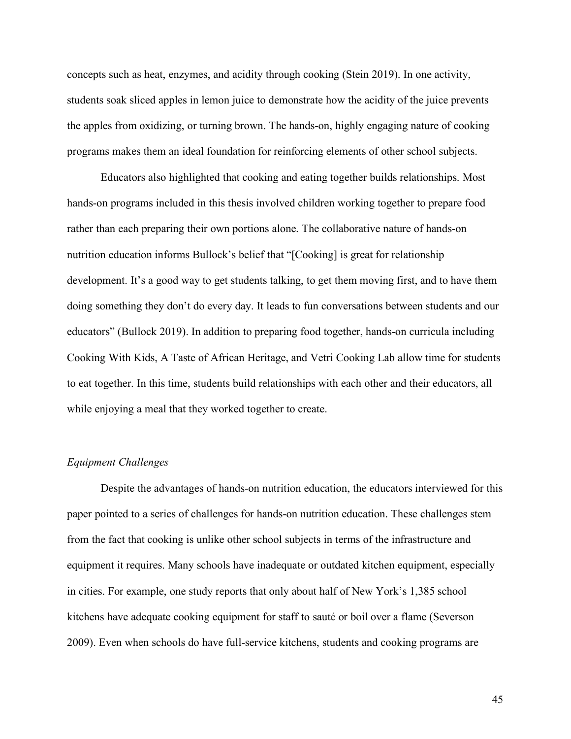concepts such as heat, enzymes, and acidity through cooking (Stein 2019). In one activity, students soak sliced apples in lemon juice to demonstrate how the acidity of the juice prevents the apples from oxidizing, or turning brown. The hands-on, highly engaging nature of cooking programs makes them an ideal foundation for reinforcing elements of other school subjects.

Educators also highlighted that cooking and eating together builds relationships. Most hands-on programs included in this thesis involved children working together to prepare food rather than each preparing their own portions alone. The collaborative nature of hands-on nutrition education informs Bullock's belief that "[Cooking] is great for relationship development. It's a good way to get students talking, to get them moving first, and to have them doing something they don't do every day. It leads to fun conversations between students and our educators" (Bullock 2019). In addition to preparing food together, hands-on curricula including Cooking With Kids, A Taste of African Heritage, and Vetri Cooking Lab allow time for students to eat together. In this time, students build relationships with each other and their educators, all while enjoying a meal that they worked together to create.

# *Equipment Challenges*

Despite the advantages of hands-on nutrition education, the educators interviewed for this paper pointed to a series of challenges for hands-on nutrition education. These challenges stem from the fact that cooking is unlike other school subjects in terms of the infrastructure and equipment it requires. Many schools have inadequate or outdated kitchen equipment, especially in cities. For example, one study reports that only about half of New York's 1,385 school kitchens have adequate cooking equipment for staff to sauté or boil over a flame (Severson 2009). Even when schools do have full-service kitchens, students and cooking programs are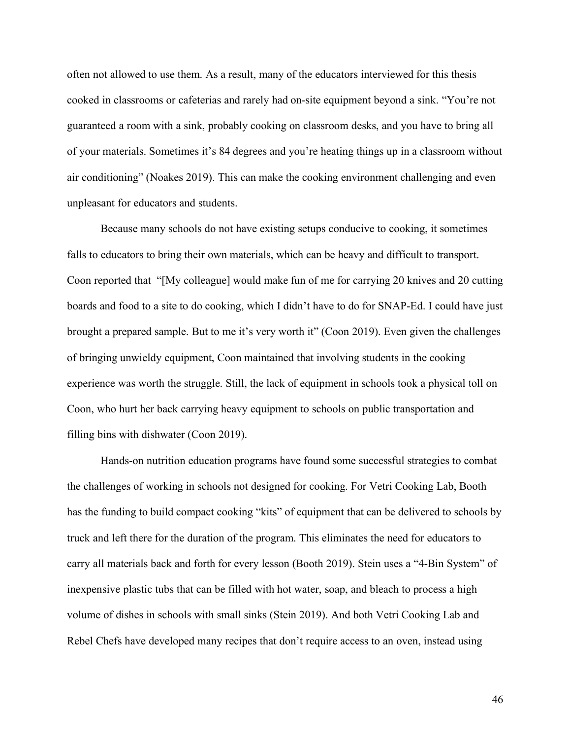often not allowed to use them. As a result, many of the educators interviewed for this thesis cooked in classrooms or cafeterias and rarely had on-site equipment beyond a sink. "You're not guaranteed a room with a sink, probably cooking on classroom desks, and you have to bring all of your materials. Sometimes it's 84 degrees and you're heating things up in a classroom without air conditioning" (Noakes 2019). This can make the cooking environment challenging and even unpleasant for educators and students.

Because many schools do not have existing setups conducive to cooking, it sometimes falls to educators to bring their own materials, which can be heavy and difficult to transport. Coon reported that "[My colleague] would make fun of me for carrying 20 knives and 20 cutting boards and food to a site to do cooking, which I didn't have to do for SNAP-Ed. I could have just brought a prepared sample. But to me it's very worth it" (Coon 2019). Even given the challenges of bringing unwieldy equipment, Coon maintained that involving students in the cooking experience was worth the struggle. Still, the lack of equipment in schools took a physical toll on Coon, who hurt her back carrying heavy equipment to schools on public transportation and filling bins with dishwater (Coon 2019).

Hands-on nutrition education programs have found some successful strategies to combat the challenges of working in schools not designed for cooking. For Vetri Cooking Lab, Booth has the funding to build compact cooking "kits" of equipment that can be delivered to schools by truck and left there for the duration of the program. This eliminates the need for educators to carry all materials back and forth for every lesson (Booth 2019). Stein uses a "4-Bin System" of inexpensive plastic tubs that can be filled with hot water, soap, and bleach to process a high volume of dishes in schools with small sinks (Stein 2019). And both Vetri Cooking Lab and Rebel Chefs have developed many recipes that don't require access to an oven, instead using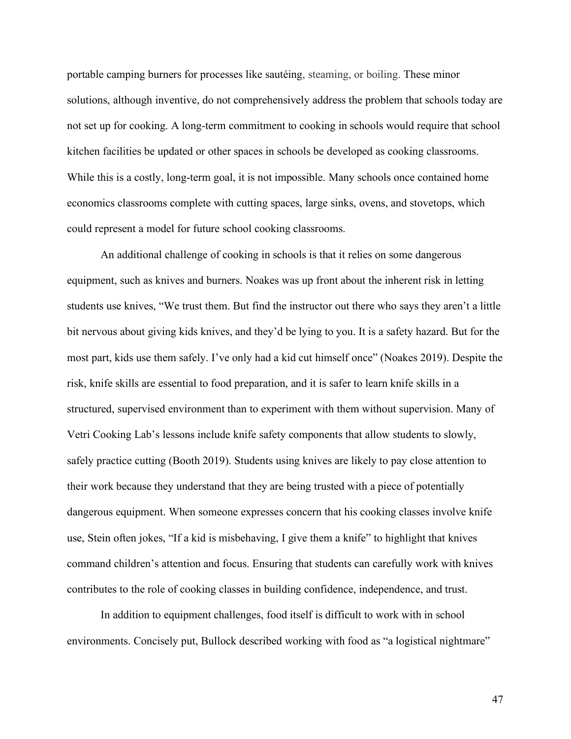portable camping burners for processes like sautéing, steaming, or boiling. These minor solutions, although inventive, do not comprehensively address the problem that schools today are not set up for cooking. A long-term commitment to cooking in schools would require that school kitchen facilities be updated or other spaces in schools be developed as cooking classrooms. While this is a costly, long-term goal, it is not impossible. Many schools once contained home economics classrooms complete with cutting spaces, large sinks, ovens, and stovetops, which could represent a model for future school cooking classrooms.

An additional challenge of cooking in schools is that it relies on some dangerous equipment, such as knives and burners. Noakes was up front about the inherent risk in letting students use knives, "We trust them. But find the instructor out there who says they aren't a little bit nervous about giving kids knives, and they'd be lying to you. It is a safety hazard. But for the most part, kids use them safely. I've only had a kid cut himself once" (Noakes 2019). Despite the risk, knife skills are essential to food preparation, and it is safer to learn knife skills in a structured, supervised environment than to experiment with them without supervision. Many of Vetri Cooking Lab's lessons include knife safety components that allow students to slowly, safely practice cutting (Booth 2019). Students using knives are likely to pay close attention to their work because they understand that they are being trusted with a piece of potentially dangerous equipment. When someone expresses concern that his cooking classes involve knife use, Stein often jokes, "If a kid is misbehaving, I give them a knife" to highlight that knives command children's attention and focus. Ensuring that students can carefully work with knives contributes to the role of cooking classes in building confidence, independence, and trust.

In addition to equipment challenges, food itself is difficult to work with in school environments. Concisely put, Bullock described working with food as "a logistical nightmare"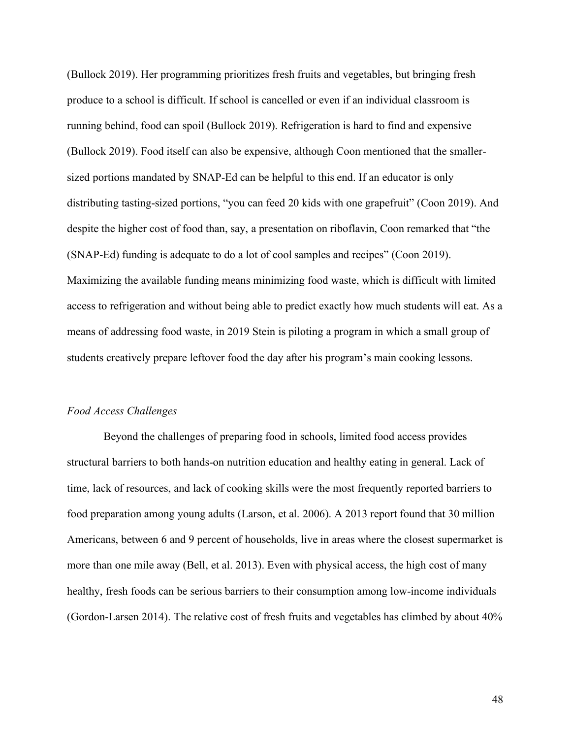(Bullock 2019). Her programming prioritizes fresh fruits and vegetables, but bringing fresh produce to a school is difficult. If school is cancelled or even if an individual classroom is running behind, food can spoil (Bullock 2019). Refrigeration is hard to find and expensive (Bullock 2019). Food itself can also be expensive, although Coon mentioned that the smallersized portions mandated by SNAP-Ed can be helpful to this end. If an educator is only distributing tasting-sized portions, "you can feed 20 kids with one grapefruit" (Coon 2019). And despite the higher cost of food than, say, a presentation on riboflavin, Coon remarked that "the (SNAP-Ed) funding is adequate to do a lot of cool samples and recipes" (Coon 2019). Maximizing the available funding means minimizing food waste, which is difficult with limited access to refrigeration and without being able to predict exactly how much students will eat. As a means of addressing food waste, in 2019 Stein is piloting a program in which a small group of students creatively prepare leftover food the day after his program's main cooking lessons.

## *Food Access Challenges*

Beyond the challenges of preparing food in schools, limited food access provides structural barriers to both hands-on nutrition education and healthy eating in general. Lack of time, lack of resources, and lack of cooking skills were the most frequently reported barriers to food preparation among young adults (Larson, et al. 2006). A 2013 report found that 30 million Americans, between 6 and 9 percent of households, live in areas where the closest supermarket is more than one mile away (Bell, et al. 2013). Even with physical access, the high cost of many healthy, fresh foods can be serious barriers to their consumption among low-income individuals (Gordon-Larsen 2014). The relative cost of fresh fruits and vegetables has climbed by about 40%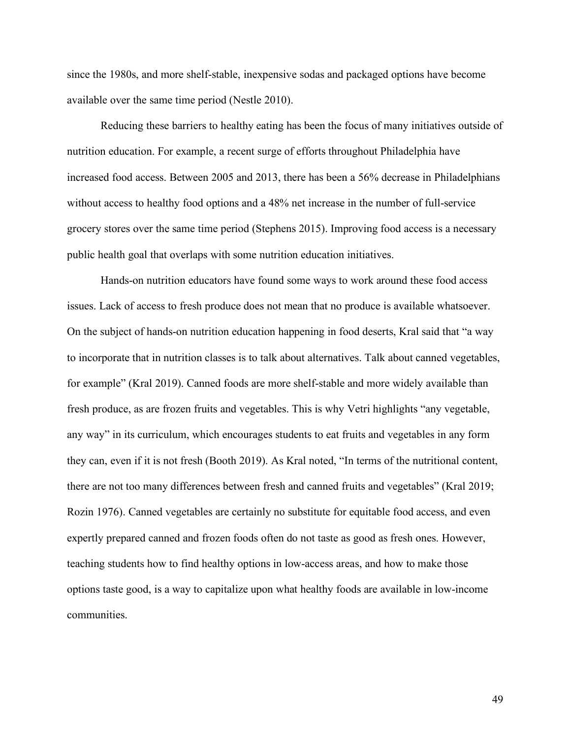since the 1980s, and more shelf-stable, inexpensive sodas and packaged options have become available over the same time period (Nestle 2010).

Reducing these barriers to healthy eating has been the focus of many initiatives outside of nutrition education. For example, a recent surge of efforts throughout Philadelphia have increased food access. Between 2005 and 2013, there has been a 56% decrease in Philadelphians without access to healthy food options and a 48% net increase in the number of full-service grocery stores over the same time period (Stephens 2015). Improving food access is a necessary public health goal that overlaps with some nutrition education initiatives.

Hands-on nutrition educators have found some ways to work around these food access issues. Lack of access to fresh produce does not mean that no produce is available whatsoever. On the subject of hands-on nutrition education happening in food deserts, Kral said that "a way to incorporate that in nutrition classes is to talk about alternatives. Talk about canned vegetables, for example" (Kral 2019). Canned foods are more shelf-stable and more widely available than fresh produce, as are frozen fruits and vegetables. This is why Vetri highlights "any vegetable, any way" in its curriculum, which encourages students to eat fruits and vegetables in any form they can, even if it is not fresh (Booth 2019). As Kral noted, "In terms of the nutritional content, there are not too many differences between fresh and canned fruits and vegetables" (Kral 2019; Rozin 1976). Canned vegetables are certainly no substitute for equitable food access, and even expertly prepared canned and frozen foods often do not taste as good as fresh ones. However, teaching students how to find healthy options in low-access areas, and how to make those options taste good, is a way to capitalize upon what healthy foods are available in low-income communities.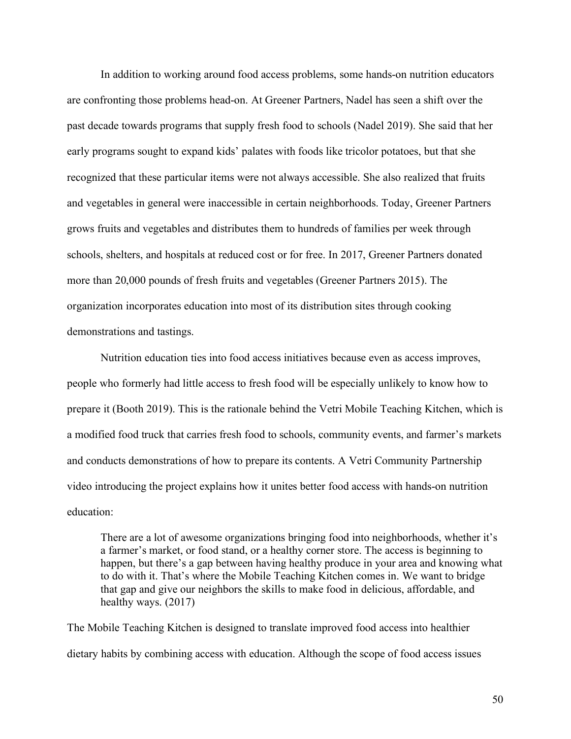In addition to working around food access problems, some hands-on nutrition educators are confronting those problems head-on. At Greener Partners, Nadel has seen a shift over the past decade towards programs that supply fresh food to schools (Nadel 2019). She said that her early programs sought to expand kids' palates with foods like tricolor potatoes, but that she recognized that these particular items were not always accessible. She also realized that fruits and vegetables in general were inaccessible in certain neighborhoods. Today, Greener Partners grows fruits and vegetables and distributes them to hundreds of families per week through schools, shelters, and hospitals at reduced cost or for free. In 2017, Greener Partners donated more than 20,000 pounds of fresh fruits and vegetables (Greener Partners 2015). The organization incorporates education into most of its distribution sites through cooking demonstrations and tastings.

Nutrition education ties into food access initiatives because even as access improves, people who formerly had little access to fresh food will be especially unlikely to know how to prepare it (Booth 2019). This is the rationale behind the Vetri Mobile Teaching Kitchen, which is a modified food truck that carries fresh food to schools, community events, and farmer's markets and conducts demonstrations of how to prepare its contents. A Vetri Community Partnership video introducing the project explains how it unites better food access with hands-on nutrition education:

There are a lot of awesome organizations bringing food into neighborhoods, whether it's a farmer's market, or food stand, or a healthy corner store. The access is beginning to happen, but there's a gap between having healthy produce in your area and knowing what to do with it. That's where the Mobile Teaching Kitchen comes in. We want to bridge that gap and give our neighbors the skills to make food in delicious, affordable, and healthy ways. (2017)

The Mobile Teaching Kitchen is designed to translate improved food access into healthier dietary habits by combining access with education. Although the scope of food access issues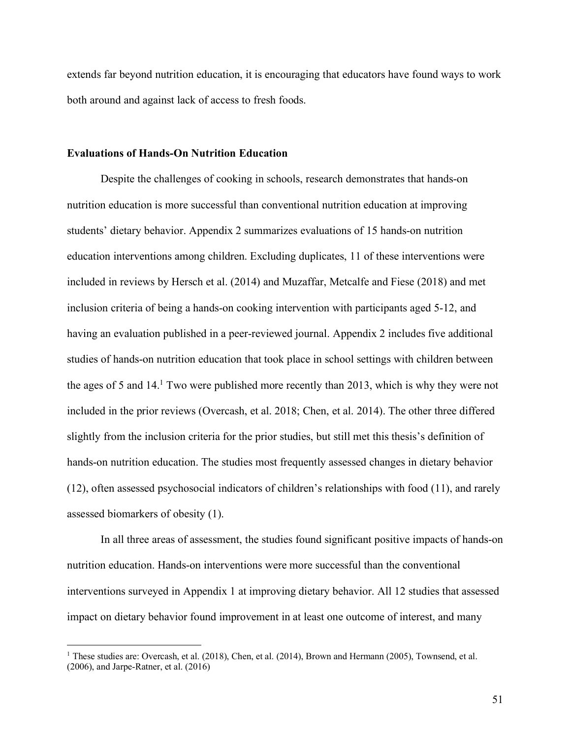extends far beyond nutrition education, it is encouraging that educators have found ways to work both around and against lack of access to fresh foods.

## **Evaluations of Hands-On Nutrition Education**

 $\overline{a}$ 

Despite the challenges of cooking in schools, research demonstrates that hands-on nutrition education is more successful than conventional nutrition education at improving students' dietary behavior. Appendix 2 summarizes evaluations of 15 hands-on nutrition education interventions among children. Excluding duplicates, 11 of these interventions were included in reviews by Hersch et al. (2014) and Muzaffar, Metcalfe and Fiese (2018) and met inclusion criteria of being a hands-on cooking intervention with participants aged 5-12, and having an evaluation published in a peer-reviewed journal. Appendix 2 includes five additional studies of hands-on nutrition education that took place in school settings with children between the ages of 5 and 14.1 Two were published more recently than 2013, which is why they were not included in the prior reviews (Overcash, et al. 2018; Chen, et al. 2014). The other three differed slightly from the inclusion criteria for the prior studies, but still met this thesis's definition of hands-on nutrition education. The studies most frequently assessed changes in dietary behavior (12), often assessed psychosocial indicators of children's relationships with food (11), and rarely assessed biomarkers of obesity (1).

In all three areas of assessment, the studies found significant positive impacts of hands-on nutrition education. Hands-on interventions were more successful than the conventional interventions surveyed in Appendix 1 at improving dietary behavior. All 12 studies that assessed impact on dietary behavior found improvement in at least one outcome of interest, and many

<sup>&</sup>lt;sup>1</sup> These studies are: Overcash, et al. (2018), Chen, et al. (2014), Brown and Hermann (2005), Townsend, et al. (2006), and Jarpe-Ratner, et al. (2016)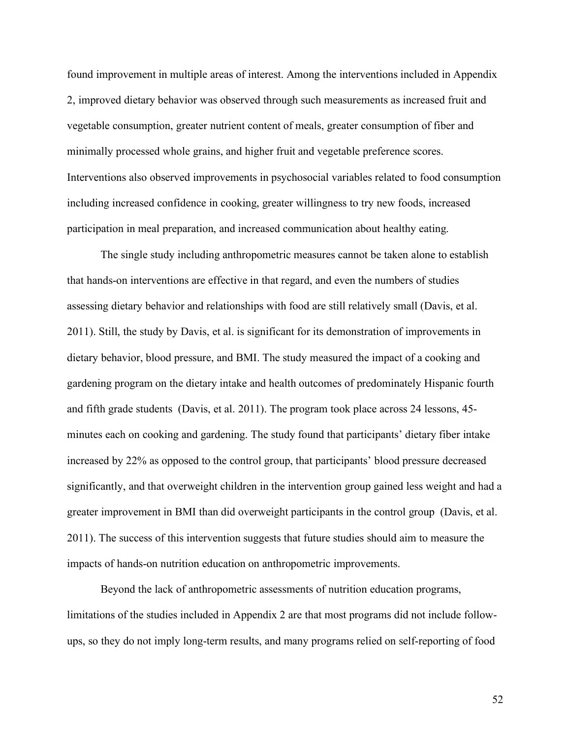found improvement in multiple areas of interest. Among the interventions included in Appendix 2, improved dietary behavior was observed through such measurements as increased fruit and vegetable consumption, greater nutrient content of meals, greater consumption of fiber and minimally processed whole grains, and higher fruit and vegetable preference scores. Interventions also observed improvements in psychosocial variables related to food consumption including increased confidence in cooking, greater willingness to try new foods, increased participation in meal preparation, and increased communication about healthy eating.

The single study including anthropometric measures cannot be taken alone to establish that hands-on interventions are effective in that regard, and even the numbers of studies assessing dietary behavior and relationships with food are still relatively small (Davis, et al. 2011). Still, the study by Davis, et al. is significant for its demonstration of improvements in dietary behavior, blood pressure, and BMI. The study measured the impact of a cooking and gardening program on the dietary intake and health outcomes of predominately Hispanic fourth and fifth grade students (Davis, et al. 2011). The program took place across 24 lessons, 45 minutes each on cooking and gardening. The study found that participants' dietary fiber intake increased by 22% as opposed to the control group, that participants' blood pressure decreased significantly, and that overweight children in the intervention group gained less weight and had a greater improvement in BMI than did overweight participants in the control group (Davis, et al. 2011). The success of this intervention suggests that future studies should aim to measure the impacts of hands-on nutrition education on anthropometric improvements.

Beyond the lack of anthropometric assessments of nutrition education programs, limitations of the studies included in Appendix 2 are that most programs did not include followups, so they do not imply long-term results, and many programs relied on self-reporting of food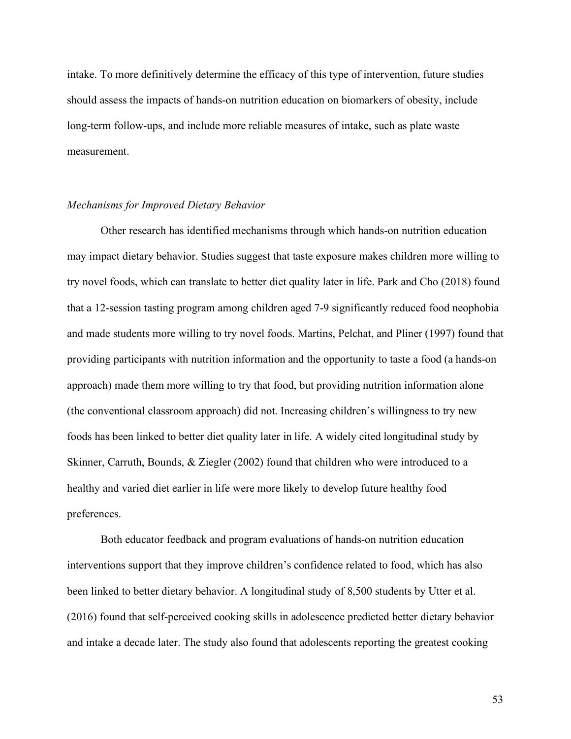intake. To more definitively determine the efficacy of this type of intervention, future studies should assess the impacts of hands-on nutrition education on biomarkers of obesity, include long-term follow-ups, and include more reliable measures of intake, such as plate waste measurement.

## *Mechanisms for Improved Dietary Behavior*

Other research has identified mechanisms through which hands-on nutrition education may impact dietary behavior. Studies suggest that taste exposure makes children more willing to try novel foods, which can translate to better diet quality later in life. Park and Cho (2018) found that a 12-session tasting program among children aged 7-9 significantly reduced food neophobia and made students more willing to try novel foods. Martins, Pelchat, and Pliner (1997) found that providing participants with nutrition information and the opportunity to taste a food (a hands-on approach) made them more willing to try that food, but providing nutrition information alone (the conventional classroom approach) did not. Increasing children's willingness to try new foods has been linked to better diet quality later in life. A widely cited longitudinal study by Skinner, Carruth, Bounds, & Ziegler (2002) found that children who were introduced to a healthy and varied diet earlier in life were more likely to develop future healthy food preferences.

Both educator feedback and program evaluations of hands-on nutrition education interventions support that they improve children's confidence related to food, which has also been linked to better dietary behavior. A longitudinal study of 8,500 students by Utter et al. (2016) found that self-perceived cooking skills in adolescence predicted better dietary behavior and intake a decade later. The study also found that adolescents reporting the greatest cooking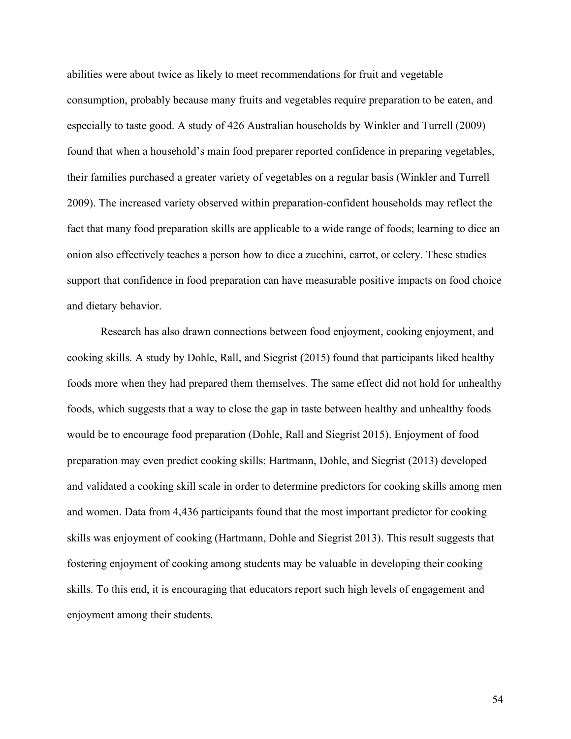abilities were about twice as likely to meet recommendations for fruit and vegetable consumption, probably because many fruits and vegetables require preparation to be eaten, and especially to taste good. A study of 426 Australian households by Winkler and Turrell (2009) found that when a household's main food preparer reported confidence in preparing vegetables, their families purchased a greater variety of vegetables on a regular basis (Winkler and Turrell 2009). The increased variety observed within preparation-confident households may reflect the fact that many food preparation skills are applicable to a wide range of foods; learning to dice an onion also effectively teaches a person how to dice a zucchini, carrot, or celery. These studies support that confidence in food preparation can have measurable positive impacts on food choice and dietary behavior.

Research has also drawn connections between food enjoyment, cooking enjoyment, and cooking skills. A study by Dohle, Rall, and Siegrist (2015) found that participants liked healthy foods more when they had prepared them themselves. The same effect did not hold for unhealthy foods, which suggests that a way to close the gap in taste between healthy and unhealthy foods would be to encourage food preparation (Dohle, Rall and Siegrist 2015). Enjoyment of food preparation may even predict cooking skills: Hartmann, Dohle, and Siegrist (2013) developed and validated a cooking skill scale in order to determine predictors for cooking skills among men and women. Data from 4,436 participants found that the most important predictor for cooking skills was enjoyment of cooking (Hartmann, Dohle and Siegrist 2013). This result suggests that fostering enjoyment of cooking among students may be valuable in developing their cooking skills. To this end, it is encouraging that educators report such high levels of engagement and enjoyment among their students.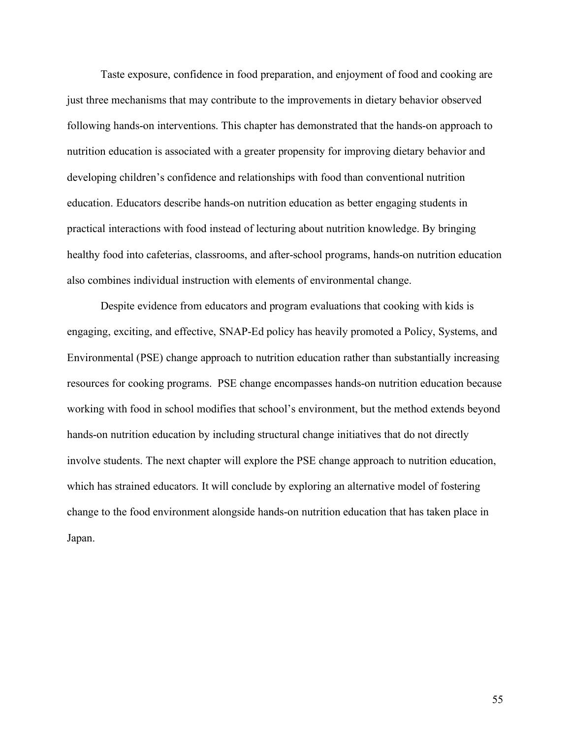Taste exposure, confidence in food preparation, and enjoyment of food and cooking are just three mechanisms that may contribute to the improvements in dietary behavior observed following hands-on interventions. This chapter has demonstrated that the hands-on approach to nutrition education is associated with a greater propensity for improving dietary behavior and developing children's confidence and relationships with food than conventional nutrition education. Educators describe hands-on nutrition education as better engaging students in practical interactions with food instead of lecturing about nutrition knowledge. By bringing healthy food into cafeterias, classrooms, and after-school programs, hands-on nutrition education also combines individual instruction with elements of environmental change.

Despite evidence from educators and program evaluations that cooking with kids is engaging, exciting, and effective, SNAP-Ed policy has heavily promoted a Policy, Systems, and Environmental (PSE) change approach to nutrition education rather than substantially increasing resources for cooking programs. PSE change encompasses hands-on nutrition education because working with food in school modifies that school's environment, but the method extends beyond hands-on nutrition education by including structural change initiatives that do not directly involve students. The next chapter will explore the PSE change approach to nutrition education, which has strained educators. It will conclude by exploring an alternative model of fostering change to the food environment alongside hands-on nutrition education that has taken place in Japan.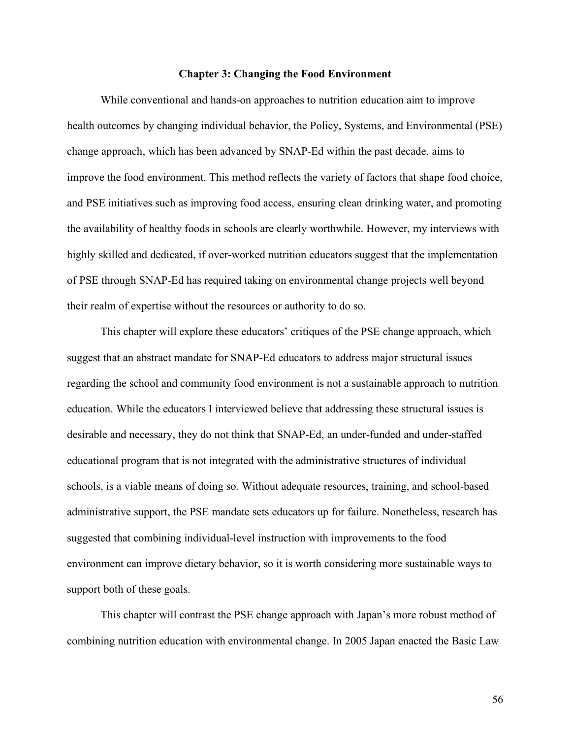#### **Chapter 3: Changing the Food Environment**

While conventional and hands-on approaches to nutrition education aim to improve health outcomes by changing individual behavior, the Policy, Systems, and Environmental (PSE) change approach, which has been advanced by SNAP-Ed within the past decade, aims to improve the food environment. This method reflects the variety of factors that shape food choice, and PSE initiatives such as improving food access, ensuring clean drinking water, and promoting the availability of healthy foods in schools are clearly worthwhile. However, my interviews with highly skilled and dedicated, if over-worked nutrition educators suggest that the implementation of PSE through SNAP-Ed has required taking on environmental change projects well beyond their realm of expertise without the resources or authority to do so.

This chapter will explore these educators' critiques of the PSE change approach, which suggest that an abstract mandate for SNAP-Ed educators to address major structural issues regarding the school and community food environment is not a sustainable approach to nutrition education. While the educators I interviewed believe that addressing these structural issues is desirable and necessary, they do not think that SNAP-Ed, an under-funded and under-staffed educational program that is not integrated with the administrative structures of individual schools, is a viable means of doing so. Without adequate resources, training, and school-based administrative support, the PSE mandate sets educators up for failure. Nonetheless, research has suggested that combining individual-level instruction with improvements to the food environment can improve dietary behavior, so it is worth considering more sustainable ways to support both of these goals.

This chapter will contrast the PSE change approach with Japan's more robust method of combining nutrition education with environmental change. In 2005 Japan enacted the Basic Law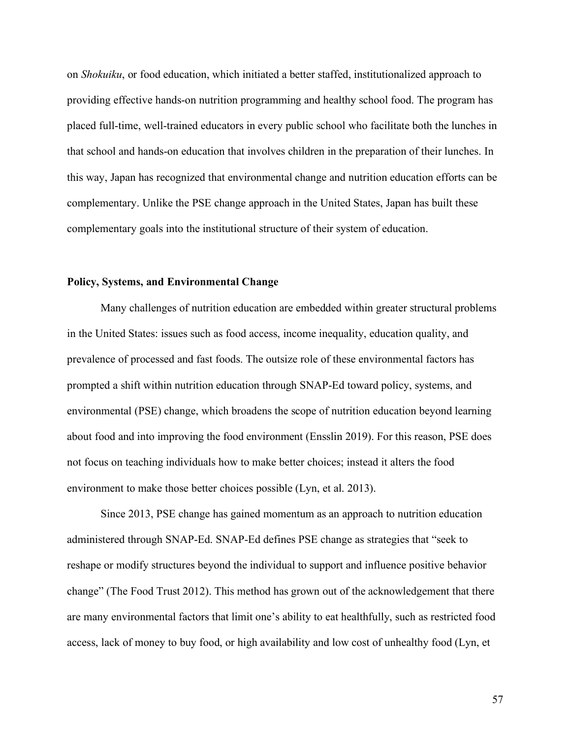on *Shokuiku*, or food education, which initiated a better staffed, institutionalized approach to providing effective hands-on nutrition programming and healthy school food. The program has placed full-time, well-trained educators in every public school who facilitate both the lunches in that school and hands-on education that involves children in the preparation of their lunches. In this way, Japan has recognized that environmental change and nutrition education efforts can be complementary. Unlike the PSE change approach in the United States, Japan has built these complementary goals into the institutional structure of their system of education.

# **Policy, Systems, and Environmental Change**

Many challenges of nutrition education are embedded within greater structural problems in the United States: issues such as food access, income inequality, education quality, and prevalence of processed and fast foods. The outsize role of these environmental factors has prompted a shift within nutrition education through SNAP-Ed toward policy, systems, and environmental (PSE) change, which broadens the scope of nutrition education beyond learning about food and into improving the food environment (Ensslin 2019). For this reason, PSE does not focus on teaching individuals how to make better choices; instead it alters the food environment to make those better choices possible (Lyn, et al. 2013).

Since 2013, PSE change has gained momentum as an approach to nutrition education administered through SNAP-Ed. SNAP-Ed defines PSE change as strategies that "seek to reshape or modify structures beyond the individual to support and influence positive behavior change" (The Food Trust 2012). This method has grown out of the acknowledgement that there are many environmental factors that limit one's ability to eat healthfully, such as restricted food access, lack of money to buy food, or high availability and low cost of unhealthy food (Lyn, et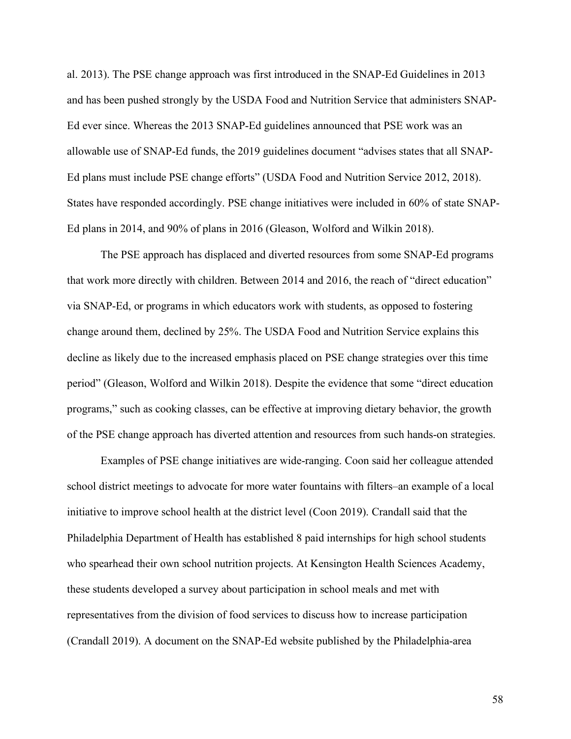al. 2013). The PSE change approach was first introduced in the SNAP-Ed Guidelines in 2013 and has been pushed strongly by the USDA Food and Nutrition Service that administers SNAP-Ed ever since. Whereas the 2013 SNAP-Ed guidelines announced that PSE work was an allowable use of SNAP-Ed funds, the 2019 guidelines document "advises states that all SNAP-Ed plans must include PSE change efforts" (USDA Food and Nutrition Service 2012, 2018). States have responded accordingly. PSE change initiatives were included in 60% of state SNAP-Ed plans in 2014, and 90% of plans in 2016 (Gleason, Wolford and Wilkin 2018).

The PSE approach has displaced and diverted resources from some SNAP-Ed programs that work more directly with children. Between 2014 and 2016, the reach of "direct education" via SNAP-Ed, or programs in which educators work with students, as opposed to fostering change around them, declined by 25%. The USDA Food and Nutrition Service explains this decline as likely due to the increased emphasis placed on PSE change strategies over this time period" (Gleason, Wolford and Wilkin 2018). Despite the evidence that some "direct education programs," such as cooking classes, can be effective at improving dietary behavior, the growth of the PSE change approach has diverted attention and resources from such hands-on strategies.

Examples of PSE change initiatives are wide-ranging. Coon said her colleague attended school district meetings to advocate for more water fountains with filters–an example of a local initiative to improve school health at the district level (Coon 2019). Crandall said that the Philadelphia Department of Health has established 8 paid internships for high school students who spearhead their own school nutrition projects. At Kensington Health Sciences Academy, these students developed a survey about participation in school meals and met with representatives from the division of food services to discuss how to increase participation (Crandall 2019). A document on the SNAP-Ed website published by the Philadelphia-area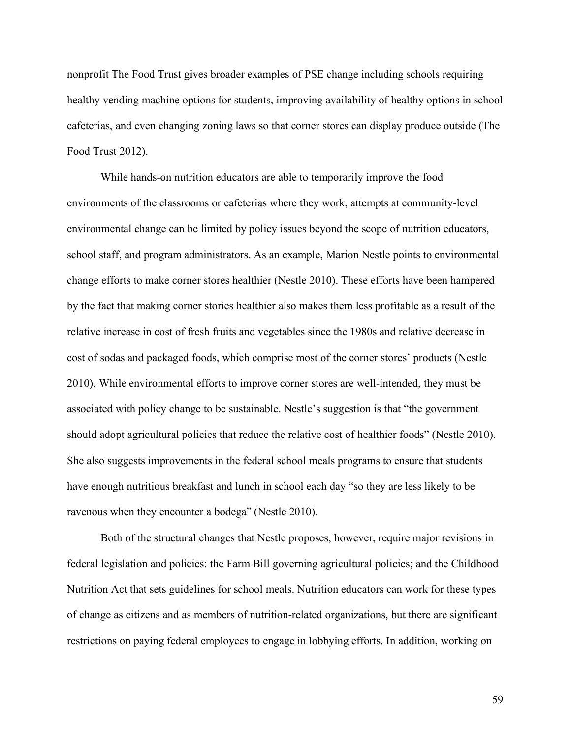nonprofit The Food Trust gives broader examples of PSE change including schools requiring healthy vending machine options for students, improving availability of healthy options in school cafeterias, and even changing zoning laws so that corner stores can display produce outside (The Food Trust 2012).

While hands-on nutrition educators are able to temporarily improve the food environments of the classrooms or cafeterias where they work, attempts at community-level environmental change can be limited by policy issues beyond the scope of nutrition educators, school staff, and program administrators. As an example, Marion Nestle points to environmental change efforts to make corner stores healthier (Nestle 2010). These efforts have been hampered by the fact that making corner stories healthier also makes them less profitable as a result of the relative increase in cost of fresh fruits and vegetables since the 1980s and relative decrease in cost of sodas and packaged foods, which comprise most of the corner stores' products (Nestle 2010). While environmental efforts to improve corner stores are well-intended, they must be associated with policy change to be sustainable. Nestle's suggestion is that "the government should adopt agricultural policies that reduce the relative cost of healthier foods" (Nestle 2010). She also suggests improvements in the federal school meals programs to ensure that students have enough nutritious breakfast and lunch in school each day "so they are less likely to be ravenous when they encounter a bodega" (Nestle 2010).

Both of the structural changes that Nestle proposes, however, require major revisions in federal legislation and policies: the Farm Bill governing agricultural policies; and the Childhood Nutrition Act that sets guidelines for school meals. Nutrition educators can work for these types of change as citizens and as members of nutrition-related organizations, but there are significant restrictions on paying federal employees to engage in lobbying efforts. In addition, working on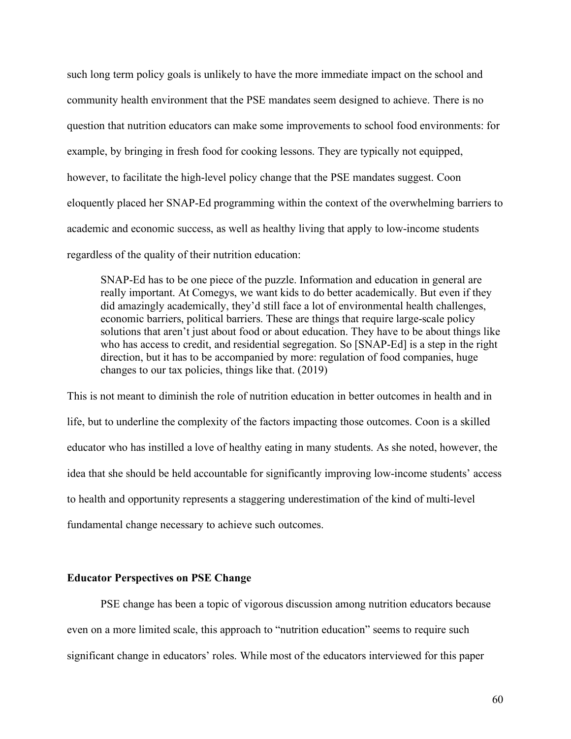such long term policy goals is unlikely to have the more immediate impact on the school and community health environment that the PSE mandates seem designed to achieve. There is no question that nutrition educators can make some improvements to school food environments: for example, by bringing in fresh food for cooking lessons. They are typically not equipped, however, to facilitate the high-level policy change that the PSE mandates suggest. Coon eloquently placed her SNAP-Ed programming within the context of the overwhelming barriers to academic and economic success, as well as healthy living that apply to low-income students regardless of the quality of their nutrition education:

SNAP-Ed has to be one piece of the puzzle. Information and education in general are really important. At Comegys, we want kids to do better academically. But even if they did amazingly academically, they'd still face a lot of environmental health challenges, economic barriers, political barriers. These are things that require large-scale policy solutions that aren't just about food or about education. They have to be about things like who has access to credit, and residential segregation. So [SNAP-Ed] is a step in the right direction, but it has to be accompanied by more: regulation of food companies, huge changes to our tax policies, things like that. (2019)

This is not meant to diminish the role of nutrition education in better outcomes in health and in life, but to underline the complexity of the factors impacting those outcomes. Coon is a skilled educator who has instilled a love of healthy eating in many students. As she noted, however, the idea that she should be held accountable for significantly improving low-income students' access to health and opportunity represents a staggering underestimation of the kind of multi-level fundamental change necessary to achieve such outcomes.

## **Educator Perspectives on PSE Change**

PSE change has been a topic of vigorous discussion among nutrition educators because even on a more limited scale, this approach to "nutrition education" seems to require such significant change in educators' roles. While most of the educators interviewed for this paper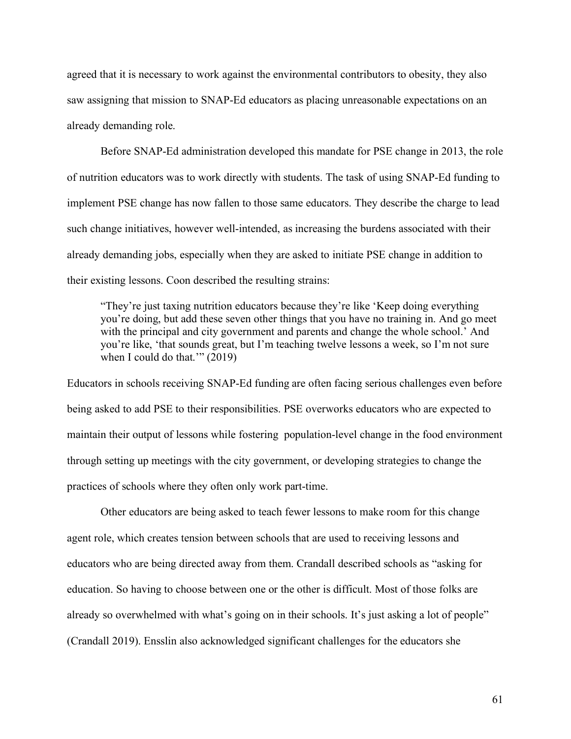agreed that it is necessary to work against the environmental contributors to obesity, they also saw assigning that mission to SNAP-Ed educators as placing unreasonable expectations on an already demanding role.

Before SNAP-Ed administration developed this mandate for PSE change in 2013, the role of nutrition educators was to work directly with students. The task of using SNAP-Ed funding to implement PSE change has now fallen to those same educators. They describe the charge to lead such change initiatives, however well-intended, as increasing the burdens associated with their already demanding jobs, especially when they are asked to initiate PSE change in addition to their existing lessons. Coon described the resulting strains:

"They're just taxing nutrition educators because they're like 'Keep doing everything you're doing, but add these seven other things that you have no training in. And go meet with the principal and city government and parents and change the whole school.' And you're like, 'that sounds great, but I'm teaching twelve lessons a week, so I'm not sure when I could do that." (2019)

Educators in schools receiving SNAP-Ed funding are often facing serious challenges even before being asked to add PSE to their responsibilities. PSE overworks educators who are expected to maintain their output of lessons while fostering population-level change in the food environment through setting up meetings with the city government, or developing strategies to change the practices of schools where they often only work part-time.

Other educators are being asked to teach fewer lessons to make room for this change agent role, which creates tension between schools that are used to receiving lessons and educators who are being directed away from them. Crandall described schools as "asking for education. So having to choose between one or the other is difficult. Most of those folks are already so overwhelmed with what's going on in their schools. It's just asking a lot of people" (Crandall 2019). Ensslin also acknowledged significant challenges for the educators she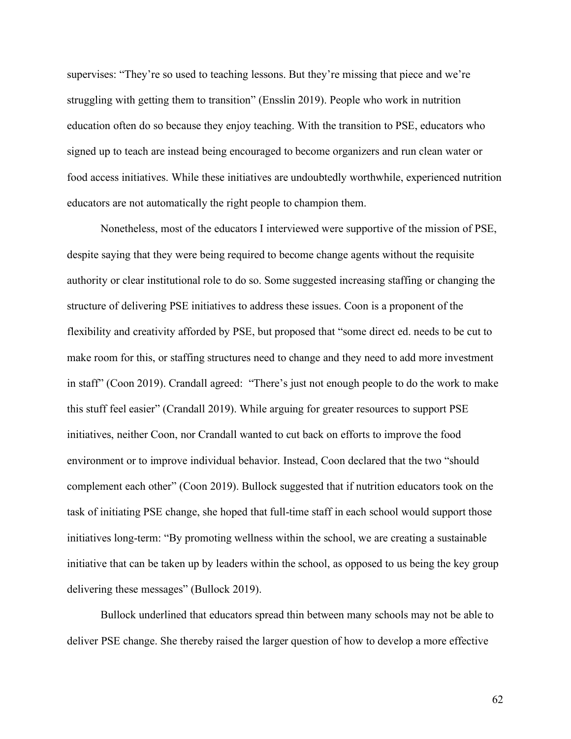supervises: "They're so used to teaching lessons. But they're missing that piece and we're struggling with getting them to transition" (Ensslin 2019). People who work in nutrition education often do so because they enjoy teaching. With the transition to PSE, educators who signed up to teach are instead being encouraged to become organizers and run clean water or food access initiatives. While these initiatives are undoubtedly worthwhile, experienced nutrition educators are not automatically the right people to champion them.

Nonetheless, most of the educators I interviewed were supportive of the mission of PSE, despite saying that they were being required to become change agents without the requisite authority or clear institutional role to do so. Some suggested increasing staffing or changing the structure of delivering PSE initiatives to address these issues. Coon is a proponent of the flexibility and creativity afforded by PSE, but proposed that "some direct ed. needs to be cut to make room for this, or staffing structures need to change and they need to add more investment in staff" (Coon 2019). Crandall agreed: "There's just not enough people to do the work to make this stuff feel easier" (Crandall 2019). While arguing for greater resources to support PSE initiatives, neither Coon, nor Crandall wanted to cut back on efforts to improve the food environment or to improve individual behavior. Instead, Coon declared that the two "should complement each other" (Coon 2019). Bullock suggested that if nutrition educators took on the task of initiating PSE change, she hoped that full-time staff in each school would support those initiatives long-term: "By promoting wellness within the school, we are creating a sustainable initiative that can be taken up by leaders within the school, as opposed to us being the key group delivering these messages" (Bullock 2019).

Bullock underlined that educators spread thin between many schools may not be able to deliver PSE change. She thereby raised the larger question of how to develop a more effective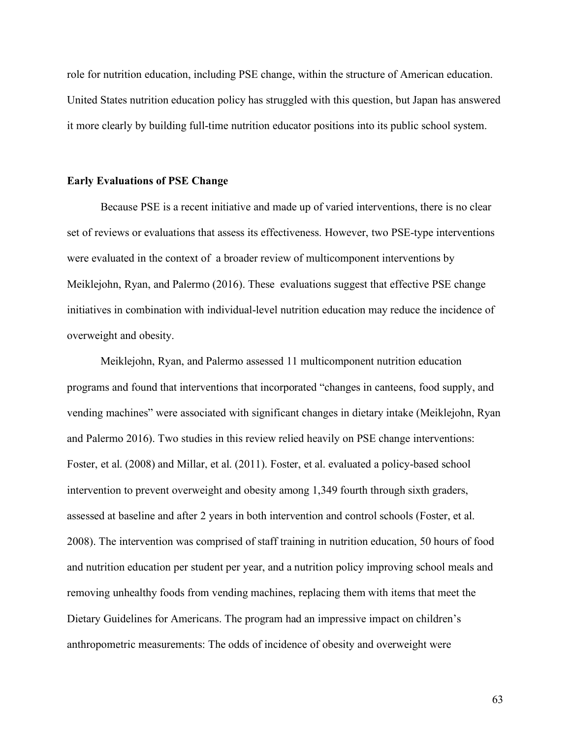role for nutrition education, including PSE change, within the structure of American education. United States nutrition education policy has struggled with this question, but Japan has answered it more clearly by building full-time nutrition educator positions into its public school system.

#### **Early Evaluations of PSE Change**

Because PSE is a recent initiative and made up of varied interventions, there is no clear set of reviews or evaluations that assess its effectiveness. However, two PSE-type interventions were evaluated in the context of a broader review of multicomponent interventions by Meiklejohn, Ryan, and Palermo (2016). These evaluations suggest that effective PSE change initiatives in combination with individual-level nutrition education may reduce the incidence of overweight and obesity.

Meiklejohn, Ryan, and Palermo assessed 11 multicomponent nutrition education programs and found that interventions that incorporated "changes in canteens, food supply, and vending machines" were associated with significant changes in dietary intake (Meiklejohn, Ryan and Palermo 2016). Two studies in this review relied heavily on PSE change interventions: Foster, et al. (2008) and Millar, et al. (2011). Foster, et al. evaluated a policy-based school intervention to prevent overweight and obesity among 1,349 fourth through sixth graders, assessed at baseline and after 2 years in both intervention and control schools (Foster, et al. 2008). The intervention was comprised of staff training in nutrition education, 50 hours of food and nutrition education per student per year, and a nutrition policy improving school meals and removing unhealthy foods from vending machines, replacing them with items that meet the Dietary Guidelines for Americans. The program had an impressive impact on children's anthropometric measurements: The odds of incidence of obesity and overweight were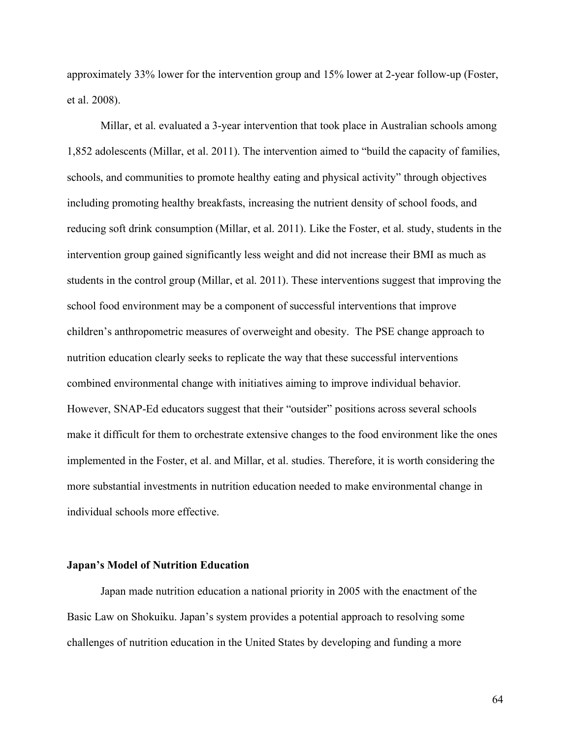approximately 33% lower for the intervention group and 15% lower at 2-year follow-up (Foster, et al. 2008).

Millar, et al. evaluated a 3-year intervention that took place in Australian schools among 1,852 adolescents (Millar, et al. 2011). The intervention aimed to "build the capacity of families, schools, and communities to promote healthy eating and physical activity" through objectives including promoting healthy breakfasts, increasing the nutrient density of school foods, and reducing soft drink consumption (Millar, et al. 2011). Like the Foster, et al. study, students in the intervention group gained significantly less weight and did not increase their BMI as much as students in the control group (Millar, et al. 2011). These interventions suggest that improving the school food environment may be a component of successful interventions that improve children's anthropometric measures of overweight and obesity. The PSE change approach to nutrition education clearly seeks to replicate the way that these successful interventions combined environmental change with initiatives aiming to improve individual behavior. However, SNAP-Ed educators suggest that their "outsider" positions across several schools make it difficult for them to orchestrate extensive changes to the food environment like the ones implemented in the Foster, et al. and Millar, et al. studies. Therefore, it is worth considering the more substantial investments in nutrition education needed to make environmental change in individual schools more effective.

## **Japan's Model of Nutrition Education**

Japan made nutrition education a national priority in 2005 with the enactment of the Basic Law on Shokuiku. Japan's system provides a potential approach to resolving some challenges of nutrition education in the United States by developing and funding a more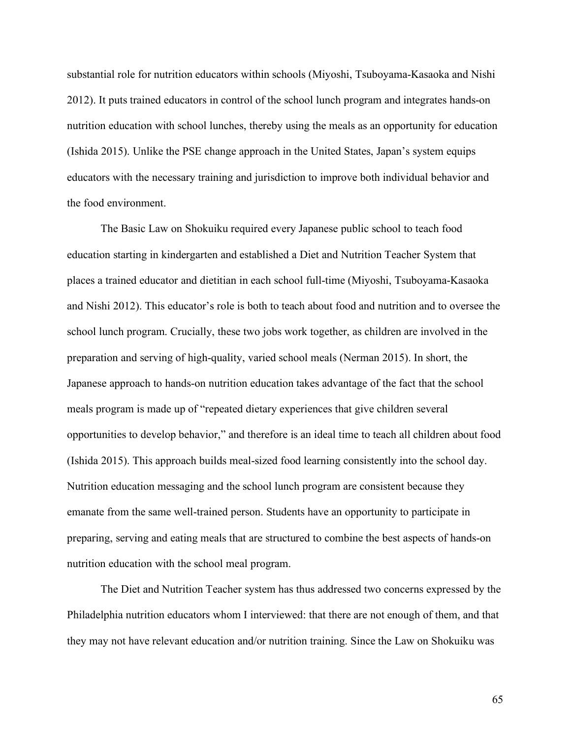substantial role for nutrition educators within schools (Miyoshi, Tsuboyama-Kasaoka and Nishi 2012). It puts trained educators in control of the school lunch program and integrates hands-on nutrition education with school lunches, thereby using the meals as an opportunity for education (Ishida 2015). Unlike the PSE change approach in the United States, Japan's system equips educators with the necessary training and jurisdiction to improve both individual behavior and the food environment.

The Basic Law on Shokuiku required every Japanese public school to teach food education starting in kindergarten and established a Diet and Nutrition Teacher System that places a trained educator and dietitian in each school full-time (Miyoshi, Tsuboyama-Kasaoka and Nishi 2012). This educator's role is both to teach about food and nutrition and to oversee the school lunch program. Crucially, these two jobs work together, as children are involved in the preparation and serving of high-quality, varied school meals (Nerman 2015). In short, the Japanese approach to hands-on nutrition education takes advantage of the fact that the school meals program is made up of "repeated dietary experiences that give children several opportunities to develop behavior," and therefore is an ideal time to teach all children about food (Ishida 2015). This approach builds meal-sized food learning consistently into the school day. Nutrition education messaging and the school lunch program are consistent because they emanate from the same well-trained person. Students have an opportunity to participate in preparing, serving and eating meals that are structured to combine the best aspects of hands-on nutrition education with the school meal program.

The Diet and Nutrition Teacher system has thus addressed two concerns expressed by the Philadelphia nutrition educators whom I interviewed: that there are not enough of them, and that they may not have relevant education and/or nutrition training. Since the Law on Shokuiku was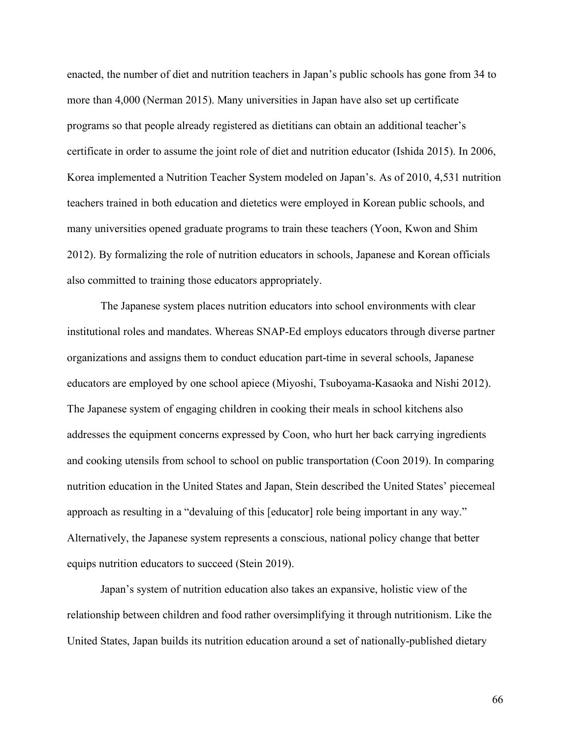enacted, the number of diet and nutrition teachers in Japan's public schools has gone from 34 to more than 4,000 (Nerman 2015). Many universities in Japan have also set up certificate programs so that people already registered as dietitians can obtain an additional teacher's certificate in order to assume the joint role of diet and nutrition educator (Ishida 2015). In 2006, Korea implemented a Nutrition Teacher System modeled on Japan's. As of 2010, 4,531 nutrition teachers trained in both education and dietetics were employed in Korean public schools, and many universities opened graduate programs to train these teachers (Yoon, Kwon and Shim 2012). By formalizing the role of nutrition educators in schools, Japanese and Korean officials also committed to training those educators appropriately.

The Japanese system places nutrition educators into school environments with clear institutional roles and mandates. Whereas SNAP-Ed employs educators through diverse partner organizations and assigns them to conduct education part-time in several schools, Japanese educators are employed by one school apiece (Miyoshi, Tsuboyama-Kasaoka and Nishi 2012). The Japanese system of engaging children in cooking their meals in school kitchens also addresses the equipment concerns expressed by Coon, who hurt her back carrying ingredients and cooking utensils from school to school on public transportation (Coon 2019). In comparing nutrition education in the United States and Japan, Stein described the United States' piecemeal approach as resulting in a "devaluing of this [educator] role being important in any way." Alternatively, the Japanese system represents a conscious, national policy change that better equips nutrition educators to succeed (Stein 2019).

Japan's system of nutrition education also takes an expansive, holistic view of the relationship between children and food rather oversimplifying it through nutritionism. Like the United States, Japan builds its nutrition education around a set of nationally-published dietary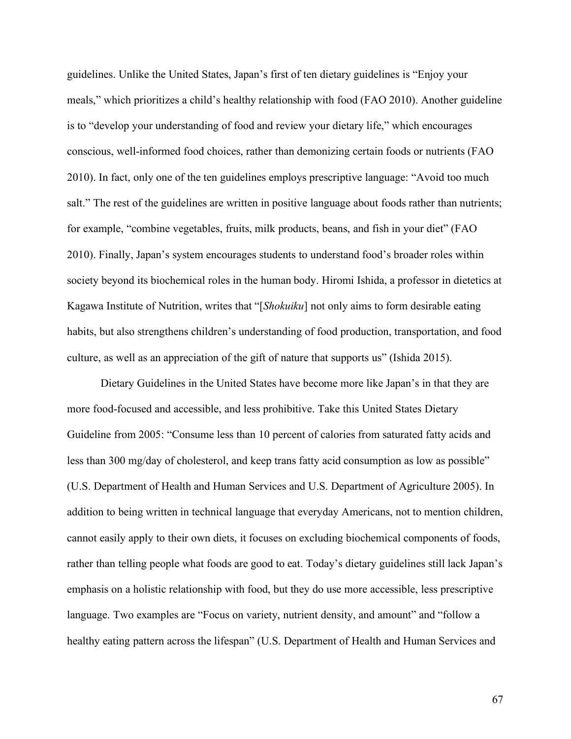guidelines. Unlike the United States, Japan's first of ten dietary guidelines is "Enjoy your meals," which prioritizes a child's healthy relationship with food (FAO 2010). Another guideline is to "develop your understanding of food and review your dietary life," which encourages conscious, well-informed food choices, rather than demonizing certain foods or nutrients (FAO 2010). In fact, only one of the ten guidelines employs prescriptive language: "Avoid too much salt." The rest of the guidelines are written in positive language about foods rather than nutrients; for example, "combine vegetables, fruits, milk products, beans, and fish in your diet" (FAO 2010). Finally, Japan's system encourages students to understand food's broader roles within society beyond its biochemical roles in the human body. Hiromi Ishida, a professor in dietetics at Kagawa Institute of Nutrition, writes that "[*Shokuiku*] not only aims to form desirable eating habits, but also strengthens children's understanding of food production, transportation, and food culture, as well as an appreciation of the gift of nature that supports us" (Ishida 2015).

Dietary Guidelines in the United States have become more like Japan's in that they are more food-focused and accessible, and less prohibitive. Take this United States Dietary Guideline from 2005: "Consume less than 10 percent of calories from saturated fatty acids and less than 300 mg/day of cholesterol, and keep trans fatty acid consumption as low as possible" (U.S. Department of Health and Human Services and U.S. Department of Agriculture 2005). In addition to being written in technical language that everyday Americans, not to mention children, cannot easily apply to their own diets, it focuses on excluding biochemical components of foods, rather than telling people what foods are good to eat. Today's dietary guidelines still lack Japan's emphasis on a holistic relationship with food, but they do use more accessible, less prescriptive language. Two examples are "Focus on variety, nutrient density, and amount" and "follow a healthy eating pattern across the lifespan" (U.S. Department of Health and Human Services and

67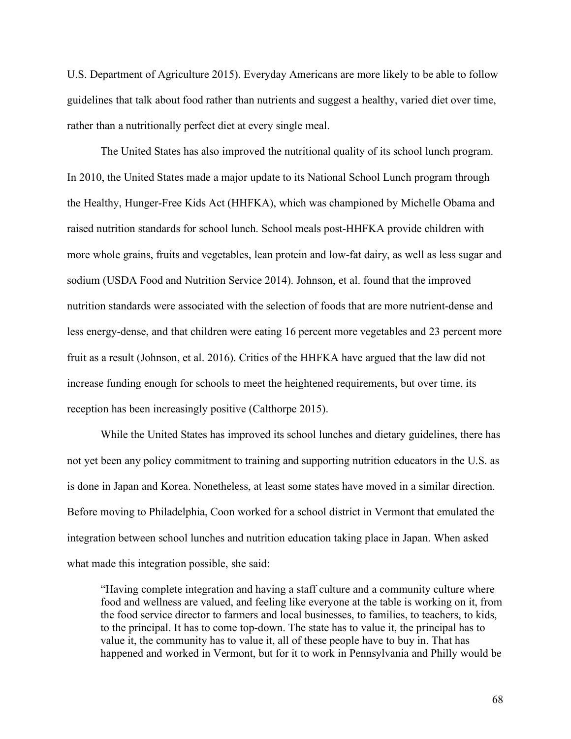U.S. Department of Agriculture 2015). Everyday Americans are more likely to be able to follow guidelines that talk about food rather than nutrients and suggest a healthy, varied diet over time, rather than a nutritionally perfect diet at every single meal.

The United States has also improved the nutritional quality of its school lunch program. In 2010, the United States made a major update to its National School Lunch program through the Healthy, Hunger-Free Kids Act (HHFKA), which was championed by Michelle Obama and raised nutrition standards for school lunch. School meals post-HHFKA provide children with more whole grains, fruits and vegetables, lean protein and low-fat dairy, as well as less sugar and sodium (USDA Food and Nutrition Service 2014). Johnson, et al. found that the improved nutrition standards were associated with the selection of foods that are more nutrient-dense and less energy-dense, and that children were eating 16 percent more vegetables and 23 percent more fruit as a result (Johnson, et al. 2016). Critics of the HHFKA have argued that the law did not increase funding enough for schools to meet the heightened requirements, but over time, its reception has been increasingly positive (Calthorpe 2015).

While the United States has improved its school lunches and dietary guidelines, there has not yet been any policy commitment to training and supporting nutrition educators in the U.S. as is done in Japan and Korea. Nonetheless, at least some states have moved in a similar direction. Before moving to Philadelphia, Coon worked for a school district in Vermont that emulated the integration between school lunches and nutrition education taking place in Japan. When asked what made this integration possible, she said:

"Having complete integration and having a staff culture and a community culture where food and wellness are valued, and feeling like everyone at the table is working on it, from the food service director to farmers and local businesses, to families, to teachers, to kids, to the principal. It has to come top-down. The state has to value it, the principal has to value it, the community has to value it, all of these people have to buy in. That has happened and worked in Vermont, but for it to work in Pennsylvania and Philly would be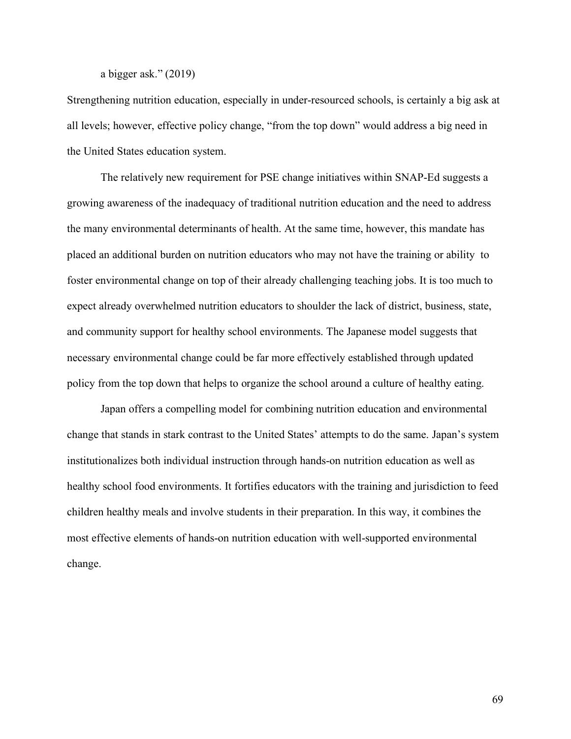#### a bigger ask." (2019)

Strengthening nutrition education, especially in under-resourced schools, is certainly a big ask at all levels; however, effective policy change, "from the top down" would address a big need in the United States education system.

The relatively new requirement for PSE change initiatives within SNAP-Ed suggests a growing awareness of the inadequacy of traditional nutrition education and the need to address the many environmental determinants of health. At the same time, however, this mandate has placed an additional burden on nutrition educators who may not have the training or ability to foster environmental change on top of their already challenging teaching jobs. It is too much to expect already overwhelmed nutrition educators to shoulder the lack of district, business, state, and community support for healthy school environments. The Japanese model suggests that necessary environmental change could be far more effectively established through updated policy from the top down that helps to organize the school around a culture of healthy eating.

Japan offers a compelling model for combining nutrition education and environmental change that stands in stark contrast to the United States' attempts to do the same. Japan's system institutionalizes both individual instruction through hands-on nutrition education as well as healthy school food environments. It fortifies educators with the training and jurisdiction to feed children healthy meals and involve students in their preparation. In this way, it combines the most effective elements of hands-on nutrition education with well-supported environmental change.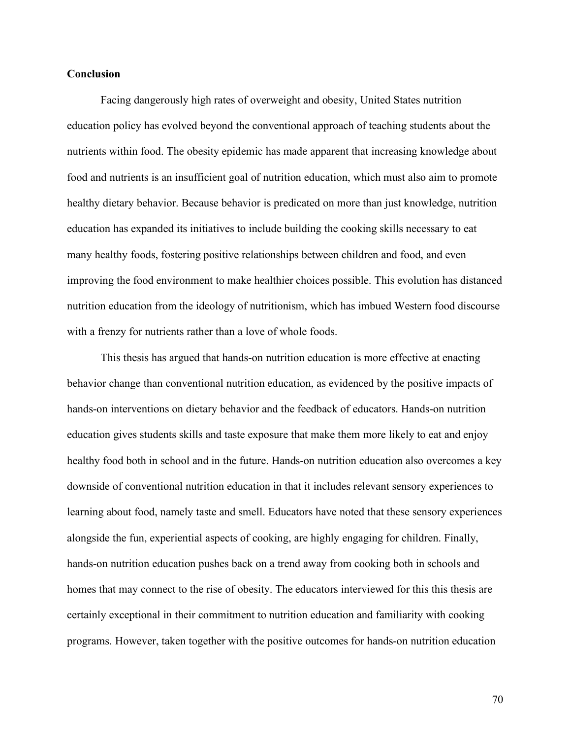#### **Conclusion**

Facing dangerously high rates of overweight and obesity, United States nutrition education policy has evolved beyond the conventional approach of teaching students about the nutrients within food. The obesity epidemic has made apparent that increasing knowledge about food and nutrients is an insufficient goal of nutrition education, which must also aim to promote healthy dietary behavior. Because behavior is predicated on more than just knowledge, nutrition education has expanded its initiatives to include building the cooking skills necessary to eat many healthy foods, fostering positive relationships between children and food, and even improving the food environment to make healthier choices possible. This evolution has distanced nutrition education from the ideology of nutritionism, which has imbued Western food discourse with a frenzy for nutrients rather than a love of whole foods.

This thesis has argued that hands-on nutrition education is more effective at enacting behavior change than conventional nutrition education, as evidenced by the positive impacts of hands-on interventions on dietary behavior and the feedback of educators. Hands-on nutrition education gives students skills and taste exposure that make them more likely to eat and enjoy healthy food both in school and in the future. Hands-on nutrition education also overcomes a key downside of conventional nutrition education in that it includes relevant sensory experiences to learning about food, namely taste and smell. Educators have noted that these sensory experiences alongside the fun, experiential aspects of cooking, are highly engaging for children. Finally, hands-on nutrition education pushes back on a trend away from cooking both in schools and homes that may connect to the rise of obesity. The educators interviewed for this this thesis are certainly exceptional in their commitment to nutrition education and familiarity with cooking programs. However, taken together with the positive outcomes for hands-on nutrition education

70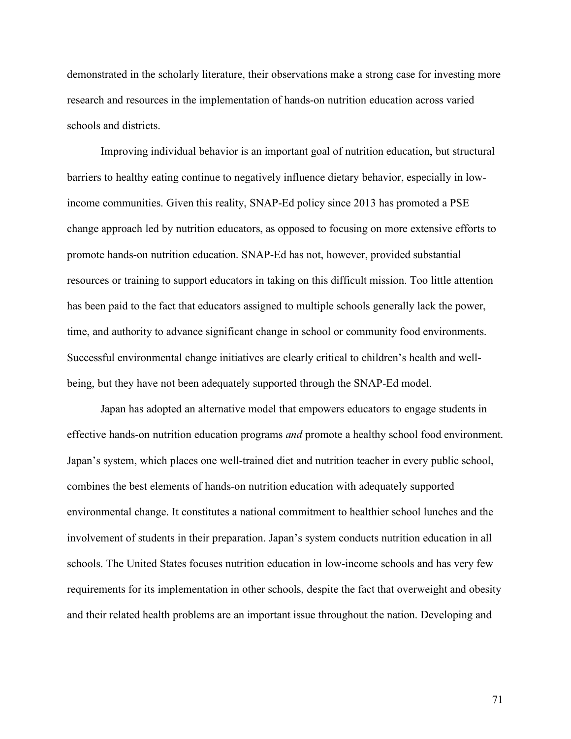demonstrated in the scholarly literature, their observations make a strong case for investing more research and resources in the implementation of hands-on nutrition education across varied schools and districts.

Improving individual behavior is an important goal of nutrition education, but structural barriers to healthy eating continue to negatively influence dietary behavior, especially in lowincome communities. Given this reality, SNAP-Ed policy since 2013 has promoted a PSE change approach led by nutrition educators, as opposed to focusing on more extensive efforts to promote hands-on nutrition education. SNAP-Ed has not, however, provided substantial resources or training to support educators in taking on this difficult mission. Too little attention has been paid to the fact that educators assigned to multiple schools generally lack the power, time, and authority to advance significant change in school or community food environments. Successful environmental change initiatives are clearly critical to children's health and wellbeing, but they have not been adequately supported through the SNAP-Ed model.

Japan has adopted an alternative model that empowers educators to engage students in effective hands-on nutrition education programs *and* promote a healthy school food environment. Japan's system, which places one well-trained diet and nutrition teacher in every public school, combines the best elements of hands-on nutrition education with adequately supported environmental change. It constitutes a national commitment to healthier school lunches and the involvement of students in their preparation. Japan's system conducts nutrition education in all schools. The United States focuses nutrition education in low-income schools and has very few requirements for its implementation in other schools, despite the fact that overweight and obesity and their related health problems are an important issue throughout the nation. Developing and

71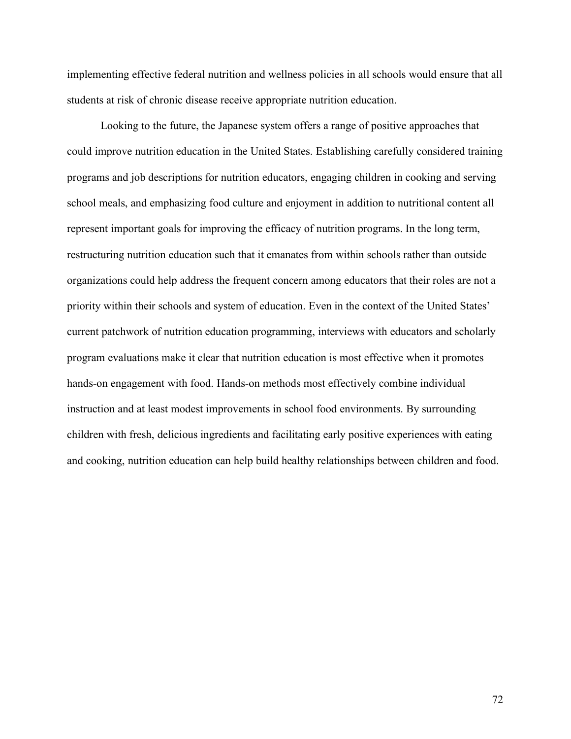implementing effective federal nutrition and wellness policies in all schools would ensure that all students at risk of chronic disease receive appropriate nutrition education.

Looking to the future, the Japanese system offers a range of positive approaches that could improve nutrition education in the United States. Establishing carefully considered training programs and job descriptions for nutrition educators, engaging children in cooking and serving school meals, and emphasizing food culture and enjoyment in addition to nutritional content all represent important goals for improving the efficacy of nutrition programs. In the long term, restructuring nutrition education such that it emanates from within schools rather than outside organizations could help address the frequent concern among educators that their roles are not a priority within their schools and system of education. Even in the context of the United States' current patchwork of nutrition education programming, interviews with educators and scholarly program evaluations make it clear that nutrition education is most effective when it promotes hands-on engagement with food. Hands-on methods most effectively combine individual instruction and at least modest improvements in school food environments. By surrounding children with fresh, delicious ingredients and facilitating early positive experiences with eating and cooking, nutrition education can help build healthy relationships between children and food.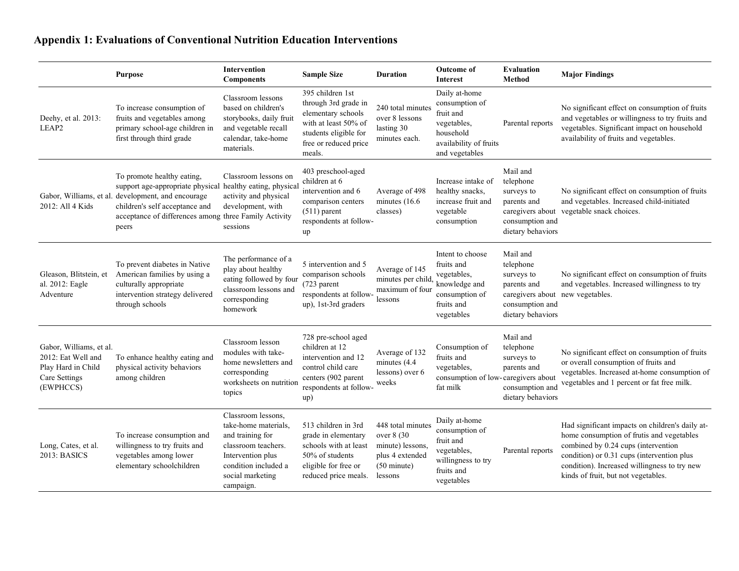# **Appendix 1: Evaluations of Conventional Nutrition Education Interventions**

|                                                                                                   | <b>Purpose</b>                                                                                                                                                                                                                                    | <b>Intervention</b><br><b>Components</b>                                                                                                                            | <b>Sample Size</b>                                                                                                                                 | <b>Duration</b>                                                                                     | <b>Outcome of</b><br><b>Interest</b>                                                                                 | <b>Evaluation</b><br>Method                                                                                                    | <b>Major Findings</b>                                                                                                                                                                                                                                                    |
|---------------------------------------------------------------------------------------------------|---------------------------------------------------------------------------------------------------------------------------------------------------------------------------------------------------------------------------------------------------|---------------------------------------------------------------------------------------------------------------------------------------------------------------------|----------------------------------------------------------------------------------------------------------------------------------------------------|-----------------------------------------------------------------------------------------------------|----------------------------------------------------------------------------------------------------------------------|--------------------------------------------------------------------------------------------------------------------------------|--------------------------------------------------------------------------------------------------------------------------------------------------------------------------------------------------------------------------------------------------------------------------|
| Deehy, et al. 2013:<br>LEAP2                                                                      | To increase consumption of<br>fruits and vegetables among<br>primary school-age children in<br>first through third grade                                                                                                                          | Classroom lessons<br>based on children's<br>storybooks, daily fruit<br>and vegetable recall<br>calendar, take-home<br>materials.                                    | 395 children 1st<br>through 3rd grade in<br>elementary schools<br>with at least 50% of<br>students eligible for<br>free or reduced price<br>meals. | 240 total minutes<br>over 8 lessons<br>lasting 30<br>minutes each.                                  | Daily at-home<br>consumption of<br>fruit and<br>vegetables,<br>household<br>availability of fruits<br>and vegetables | Parental reports                                                                                                               | No significant effect on consumption of fruits<br>and vegetables or willingness to try fruits and<br>vegetables. Significant impact on household<br>availability of fruits and vegetables.                                                                               |
| 2012: All 4 Kids                                                                                  | To promote healthy eating,<br>support age-appropriate physical healthy eating, physical<br>Gabor, Williams, et al. development, and encourage<br>children's self acceptance and<br>acceptance of differences among three Family Activity<br>peers | Classroom lessons on<br>activity and physical<br>development, with<br>sessions                                                                                      | 403 preschool-aged<br>children at 6<br>intervention and 6<br>comparison centers<br>$(511)$ parent<br>respondents at follow-<br>up                  | Average of 498<br>minutes $(16.6)$<br>classes)                                                      | Increase intake of<br>healthy snacks,<br>increase fruit and<br>vegetable<br>consumption                              | Mail and<br>telephone<br>surveys to<br>parents and<br>caregivers about<br>consumption and<br>dietary behaviors                 | No significant effect on consumption of fruits<br>and vegetables. Increased child-initiated<br>vegetable snack choices.                                                                                                                                                  |
| Gleason, Blitstein, et<br>al. 2012: Eagle<br>Adventure                                            | To prevent diabetes in Native<br>American families by using a<br>culturally appropriate<br>intervention strategy delivered<br>through schools                                                                                                     | The performance of a<br>play about healthy<br>eating followed by four<br>classroom lessons and<br>corresponding<br>homework                                         | 5 intervention and 5<br>comparison schools<br>(723 parent<br>respondents at follow-<br>up), 1st-3rd graders                                        | Average of 145<br>minutes per child.<br>maximum of four<br>lessons                                  | Intent to choose<br>fruits and<br>vegetables,<br>knowledge and<br>consumption of<br>fruits and<br>vegetables         | Mail and<br>telephone<br>surveys to<br>parents and<br>caregivers about new vegetables.<br>consumption and<br>dietary behaviors | No significant effect on consumption of fruits<br>and vegetables. Increased willingness to try                                                                                                                                                                           |
| Gabor, Williams, et al.<br>2012: Eat Well and<br>Play Hard in Child<br>Care Settings<br>(EWPHCCS) | To enhance healthy eating and<br>physical activity behaviors<br>among children                                                                                                                                                                    | Classroom lesson<br>modules with take-<br>home newsletters and<br>corresponding<br>worksheets on nutrition<br>topics                                                | 728 pre-school aged<br>children at 12<br>intervention and 12<br>control child care<br>centers (902 parent<br>respondents at follow-<br>up)         | Average of 132<br>minutes (4.4)<br>lessons) over 6<br>weeks                                         | Consumption of<br>fruits and<br>vegetables,<br>consumption of low-caregivers about<br>fat milk                       | Mail and<br>telephone<br>surveys to<br>parents and<br>consumption and<br>dietary behaviors                                     | No significant effect on consumption of fruits<br>or overall consumption of fruits and<br>vegetables. Increased at-home consumption of<br>vegetables and 1 percent or fat free milk.                                                                                     |
| Long, Cates, et al.<br>2013: BASICS                                                               | To increase consumption and<br>willingness to try fruits and<br>vegetables among lower<br>elementary schoolchildren                                                                                                                               | Classroom lessons.<br>take-home materials.<br>and training for<br>classroom teachers.<br>Intervention plus<br>condition included a<br>social marketing<br>campaign. | 513 children in 3rd<br>grade in elementary<br>schools with at least<br>50% of students<br>eligible for free or<br>reduced price meals.             | 448 total minutes<br>over 8 (30)<br>minute) lessons,<br>plus 4 extended<br>$(50$ minute)<br>lessons | Daily at-home<br>consumption of<br>fruit and<br>vegetables,<br>willingness to try<br>fruits and<br>vegetables        | Parental reports                                                                                                               | Had significant impacts on children's daily at-<br>home consumption of frutis and vegetables<br>combined by 0.24 cups (intervention<br>condition) or 0.31 cups (intervention plus<br>condition). Increased willingness to try new<br>kinds of fruit, but not vegetables. |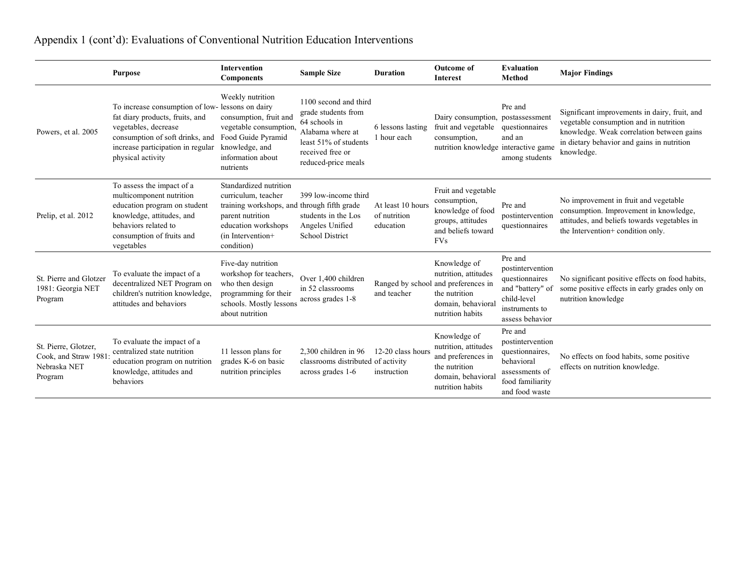| Appendix 1 (cont'd): Evaluations of Conventional Nutrition Education Interventions |  |  |  |  |
|------------------------------------------------------------------------------------|--|--|--|--|
|------------------------------------------------------------------------------------|--|--|--|--|

|                                                                         | <b>Purpose</b>                                                                                                                                                                          | <b>Intervention</b><br><b>Components</b>                                                                                                                                   | <b>Sample Size</b>                                                                                                                                    | <b>Duration</b>                                | <b>Outcome of</b><br><b>Interest</b>                                                                                                   | <b>Evaluation</b><br>Method                                                                                           | <b>Major Findings</b>                                                                                                                                                                            |
|-------------------------------------------------------------------------|-----------------------------------------------------------------------------------------------------------------------------------------------------------------------------------------|----------------------------------------------------------------------------------------------------------------------------------------------------------------------------|-------------------------------------------------------------------------------------------------------------------------------------------------------|------------------------------------------------|----------------------------------------------------------------------------------------------------------------------------------------|-----------------------------------------------------------------------------------------------------------------------|--------------------------------------------------------------------------------------------------------------------------------------------------------------------------------------------------|
| Powers, et al. 2005                                                     | To increase consumption of low-<br>fat diary products, fruits, and<br>vegetables, decrease<br>consumption of soft drinks, and<br>increase participation in regular<br>physical activity | Weekly nutrition<br>lessons on dairy<br>consumption, fruit and<br>vegetable consumption,<br>Food Guide Pyramid<br>knowledge, and<br>information about<br>nutrients         | 1100 second and third<br>grade students from<br>64 schools in<br>Alabama where at<br>least 51% of students<br>received free or<br>reduced-price meals | 6 lessons lasting<br>1 hour each               | Dairy consumption, postassessment<br>fruit and vegetable<br>consumption,<br>nutrition knowledge interactive game                       | Pre and<br>questionnaires<br>and an<br>among students                                                                 | Significant improvements in dairy, fruit, and<br>vegetable consumption and in nutrition<br>knowledge. Weak correlation between gains<br>in dietary behavior and gains in nutrition<br>knowledge. |
| Prelip, et al. 2012                                                     | To assess the impact of a<br>multicomponent nutrition<br>education program on student<br>knowledge, attitudes, and<br>behaviors related to<br>consumption of fruits and<br>vegetables   | Standardized nutrition<br>curriculum, teacher<br>training workshops, and through fifth grade<br>parent nutrition<br>education workshops<br>(in Intervention+<br>condition) | 399 low-income third<br>students in the Los<br>Angeles Unified<br><b>School District</b>                                                              | At least 10 hours<br>of nutrition<br>education | Fruit and vegetable<br>consumption,<br>knowledge of food<br>groups, attitudes<br>and beliefs toward<br><b>FVs</b>                      | Pre and<br>postintervention<br>questionnaires                                                                         | No improvement in fruit and vegetable<br>consumption. Improvement in knowledge,<br>attitudes, and beliefs towards vegetables in<br>the Intervention+ condition only.                             |
| St. Pierre and Glotzer<br>1981: Georgia NET<br>Program                  | To evaluate the impact of a<br>decentralized NET Program on<br>children's nutrition knowledge,<br>attitudes and behaviors                                                               | Five-day nutrition<br>workshop for teachers.<br>who then design<br>programming for their<br>schools. Mostly lessons<br>about nutrition                                     | Over 1,400 children<br>in 52 classrooms<br>across grades 1-8                                                                                          | and teacher                                    | Knowledge of<br>nutrition, attitudes<br>Ranged by school and preferences in<br>the nutrition<br>domain, behavioral<br>nutrition habits | Pre and<br>postintervention<br>questionnaires<br>and "battery" of<br>child-level<br>instruments to<br>assess behavior | No significant positive effects on food habits,<br>some positive effects in early grades only on<br>nutrition knowledge                                                                          |
| St. Pierre, Glotzer,<br>Cook, and Straw 1981<br>Nebraska NET<br>Program | To evaluate the impact of a<br>centralized state nutrition<br>education program on nutrition<br>knowledge, attitudes and<br>behaviors                                                   | 11 lesson plans for<br>grades K-6 on basic<br>nutrition principles                                                                                                         | 2.300 children in 96<br>classrooms distributed of activity<br>across grades 1-6                                                                       | 12-20 class hours<br>instruction               | Knowledge of<br>nutrition, attitudes<br>and preferences in<br>the nutrition<br>domain, behavioral<br>nutrition habits                  | Pre and<br>postintervention<br>questionnaires,<br>behavioral<br>assessments of<br>food familiarity<br>and food waste  | No effects on food habits, some positive<br>effects on nutrition knowledge.                                                                                                                      |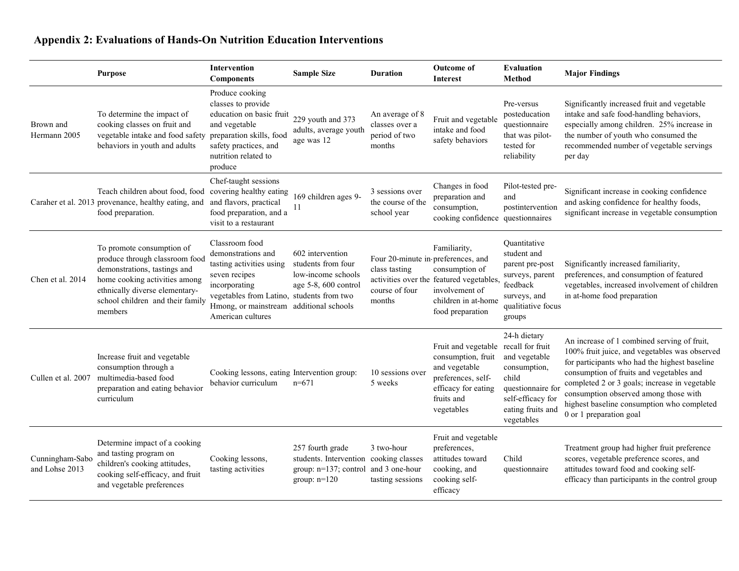# **Appendix 2: Evaluations of Hands-On Nutrition Education Interventions**

|                                   | Purpose                                                                                                                                                                                                       | <b>Intervention</b><br><b>Components</b>                                                                                                                                                     | <b>Sample Size</b>                                                                                                   | <b>Duration</b>                                              | <b>Outcome of</b><br><b>Interest</b>                                                                                                                                          | <b>Evaluation</b><br><b>Method</b>                                                                                                  | <b>Major Findings</b>                                                                                                                                                                                                                                                                                                                                        |
|-----------------------------------|---------------------------------------------------------------------------------------------------------------------------------------------------------------------------------------------------------------|----------------------------------------------------------------------------------------------------------------------------------------------------------------------------------------------|----------------------------------------------------------------------------------------------------------------------|--------------------------------------------------------------|-------------------------------------------------------------------------------------------------------------------------------------------------------------------------------|-------------------------------------------------------------------------------------------------------------------------------------|--------------------------------------------------------------------------------------------------------------------------------------------------------------------------------------------------------------------------------------------------------------------------------------------------------------------------------------------------------------|
| Brown and<br>Hermann 2005         | To determine the impact of<br>cooking classes on fruit and<br>vegetable intake and food safety preparation skills, food<br>behaviors in youth and adults                                                      | Produce cooking<br>classes to provide<br>education on basic fruit<br>and vegetable<br>safety practices, and<br>nutrition related to<br>produce                                               | 229 youth and 373<br>adults, average youth<br>age was 12                                                             | An average of 8<br>classes over a<br>period of two<br>months | Fruit and vegetable<br>intake and food<br>safety behaviors                                                                                                                    | Pre-versus<br>posteducation<br>questionnaire<br>that was pilot-<br>tested for<br>reliability                                        | Significantly increased fruit and vegetable<br>intake and safe food-handling behaviors,<br>especially among children. 25% increase in<br>the number of youth who consumed the<br>recommended number of vegetable servings<br>per day                                                                                                                         |
|                                   | Teach children about food, food covering healthy eating<br>Caraher et al. 2013 provenance, healthy eating, and<br>food preparation.                                                                           | Chef-taught sessions<br>and flavors, practical<br>food preparation, and a<br>visit to a restaurant                                                                                           | 169 children ages 9-<br>11                                                                                           | 3 sessions over<br>the course of the<br>school year          | Changes in food<br>preparation and<br>consumption,<br>cooking confidence questionnaires                                                                                       | Pilot-tested pre-<br>and<br>postintervention                                                                                        | Significant increase in cooking confidence<br>and asking confidence for healthy foods,<br>significant increase in vegetable consumption                                                                                                                                                                                                                      |
| Chen et al. 2014                  | To promote consumption of<br>produce through classroom food<br>demonstrations, tastings and<br>home cooking activities among<br>ethnically diverse elementary-<br>school children and their family<br>members | Classroom food<br>demonstrations and<br>tasting activities using<br>seven recipes<br>incorporating<br>vegetables from Latino, students from two<br>Hmong, or mainstream<br>American cultures | 602 intervention<br>students from four<br>low-income schools<br>age 5-8, 600 control<br>additional schools           | class tasting<br>course of four<br>months                    | Familiarity,<br>Four 20-minute in-preferences, and<br>consumption of<br>activities over the featured vegetables,<br>involvement of<br>children in at-home<br>food preparation | Ouantitative<br>student and<br>parent pre-post<br>surveys, parent<br>feedback<br>surveys, and<br>qualitiative focus<br>groups       | Significantly increased familiarity,<br>preferences, and consumption of featured<br>vegetables, increased involvement of children<br>in at-home food preparation                                                                                                                                                                                             |
| Cullen et al. 2007                | Increase fruit and vegetable<br>consumption through a<br>multimedia-based food<br>preparation and eating behavior<br>curriculum                                                                               | Cooking lessons, eating Intervention group:<br>behavior curriculum                                                                                                                           | $n=671$                                                                                                              | 10 sessions over<br>5 weeks                                  | Fruit and vegetable recall for fruit<br>consumption, fruit<br>and vegetable<br>preferences, self-<br>efficacy for eating<br>fruits and<br>vegetables                          | 24-h dietary<br>and vegetable<br>consumption,<br>child<br>questionnaire for<br>self-efficacy for<br>eating fruits and<br>vegetables | An increase of 1 combined serving of fruit,<br>100% fruit juice, and vegetables was observed<br>for participants who had the highest baseline<br>consumption of fruits and vegetables and<br>completed 2 or 3 goals; increase in vegetable<br>consumption observed among those with<br>highest baseline consumption who completed<br>0 or 1 preparation goal |
| Cunningham-Sabo<br>and Lohse 2013 | Determine impact of a cooking<br>and tasting program on<br>children's cooking attitudes,<br>cooking self-efficacy, and fruit<br>and vegetable preferences                                                     | Cooking lessons,<br>tasting activities                                                                                                                                                       | 257 fourth grade<br>students. Intervention cooking classes<br>group: n=137; control and 3 one-hour<br>group: $n=120$ | 3 two-hour<br>tasting sessions                               | Fruit and vegetable<br>preferences,<br>attitudes toward<br>cooking, and<br>cooking self-<br>efficacy                                                                          | Child<br>questionnaire                                                                                                              | Treatment group had higher fruit preference<br>scores, vegetable preference scores, and<br>attitudes toward food and cooking self-<br>efficacy than participants in the control group                                                                                                                                                                        |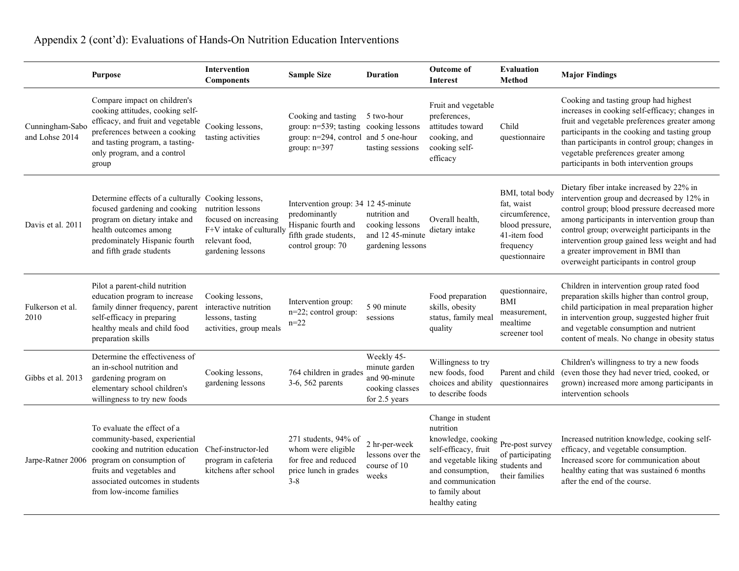# Appendix 2 (cont'd): Evaluations of Hands-On Nutrition Education Interventions

|                                   | <b>Purpose</b>                                                                                                                                                                                                           | Intervention<br><b>Components</b>                                                                             | <b>Sample Size</b>                                                                                                        | <b>Duration</b>                                                                  | <b>Outcome of</b><br><b>Interest</b>                                                                                                                                                               | <b>Evaluation</b><br><b>Method</b>                                                                               | <b>Major Findings</b>                                                                                                                                                                                                                                                                                                                                                      |
|-----------------------------------|--------------------------------------------------------------------------------------------------------------------------------------------------------------------------------------------------------------------------|---------------------------------------------------------------------------------------------------------------|---------------------------------------------------------------------------------------------------------------------------|----------------------------------------------------------------------------------|----------------------------------------------------------------------------------------------------------------------------------------------------------------------------------------------------|------------------------------------------------------------------------------------------------------------------|----------------------------------------------------------------------------------------------------------------------------------------------------------------------------------------------------------------------------------------------------------------------------------------------------------------------------------------------------------------------------|
| Cunningham-Sabo<br>and Lohse 2014 | Compare impact on children's<br>cooking attitudes, cooking self-<br>efficacy, and fruit and vegetable<br>preferences between a cooking<br>and tasting program, a tasting-<br>only program, and a control<br>group        | Cooking lessons,<br>tasting activities                                                                        | Cooking and tasting<br>group: n=539; tasting cooking lessons<br>group: n=294, control and 5 one-hour<br>group: $n=397$    | 5 two-hour<br>tasting sessions                                                   | Fruit and vegetable<br>preferences,<br>attitudes toward<br>cooking, and<br>cooking self-<br>efficacy                                                                                               | Child<br>questionnaire                                                                                           | Cooking and tasting group had highest<br>increases in cooking self-efficacy; changes in<br>fruit and vegetable preferences greater among<br>participants in the cooking and tasting group<br>than participants in control group; changes in<br>vegetable preferences greater among<br>participants in both intervention groups                                             |
| Davis et al. 2011                 | Determine effects of a culturally Cooking lessons,<br>focused gardening and cooking<br>program on dietary intake and<br>health outcomes among<br>predominately Hispanic fourth<br>and fifth grade students               | nutrition lessons<br>focused on increasing<br>F+V intake of culturally<br>relevant food,<br>gardening lessons | Intervention group: 34 12 45-minute<br>predominantly<br>Hispanic fourth and<br>fifth grade students,<br>control group: 70 | nutrition and<br>cooking lessons<br>and 12 45-minute<br>gardening lessons        | Overall health,<br>dietary intake                                                                                                                                                                  | BMI, total body<br>fat, waist<br>circumference,<br>blood pressure,<br>41-item food<br>frequency<br>questionnaire | Dietary fiber intake increased by 22% in<br>intervention group and decreased by 12% in<br>control group; blood pressure decreased more<br>among participants in intervention group than<br>control group; overweight participants in the<br>intervention group gained less weight and had<br>a greater improvement in BMI than<br>overweight participants in control group |
| Fulkerson et al.<br>2010          | Pilot a parent-child nutrition<br>education program to increase<br>family dinner frequency, parent<br>self-efficacy in preparing<br>healthy meals and child food<br>preparation skills                                   | Cooking lessons,<br>interactive nutrition<br>lessons, tasting<br>activities, group meals                      | Intervention group:<br>n=22; control group:<br>$n=22$                                                                     | 5 90 minute<br>sessions                                                          | Food preparation<br>skills, obesity<br>status, family meal<br>quality                                                                                                                              | questionnaire,<br>BMI<br>measurement.<br>mealtime<br>screener tool                                               | Children in intervention group rated food<br>preparation skills higher than control group,<br>child participation in meal preparation higher<br>in intervention group, suggested higher fruit<br>and vegetable consumption and nutrient<br>content of meals. No change in obesity status                                                                                   |
| Gibbs et al. 2013                 | Determine the effectiveness of<br>an in-school nutrition and<br>gardening program on<br>elementary school children's<br>willingness to try new foods                                                                     | Cooking lessons,<br>gardening lessons                                                                         | 764 children in grades<br>3-6, 562 parents                                                                                | Weekly 45-<br>minute garden<br>and 90-minute<br>cooking classes<br>for 2.5 years | Willingness to try<br>new foods, food<br>choices and ability<br>to describe foods                                                                                                                  | Parent and child<br>questionnaires                                                                               | Children's willingness to try a new foods<br>(even those they had never tried, cooked, or<br>grown) increased more among participants in<br>intervention schools                                                                                                                                                                                                           |
| Jarpe-Ratner 2006                 | To evaluate the effect of a<br>community-based, experiential<br>cooking and nutrition education<br>program on consumption of<br>fruits and vegetables and<br>associated outcomes in students<br>from low-income families | Chef-instructor-led<br>program in cafeteria<br>kitchens after school                                          | 271 students, 94% of<br>whom were eligible<br>for free and reduced<br>price lunch in grades<br>$3 - 8$                    | 2 hr-per-week<br>lessons over the<br>course of 10<br>weeks                       | Change in student<br>nutrition<br>knowledge, cooking Pre-post survey<br>self-efficacy, fruit<br>and vegetable liking<br>and consumption,<br>and communication<br>to family about<br>healthy eating | of participating<br>students and<br>their families                                                               | Increased nutrition knowledge, cooking self-<br>efficacy, and vegetable consumption.<br>Increased score for communication about<br>healthy eating that was sustained 6 months<br>after the end of the course.                                                                                                                                                              |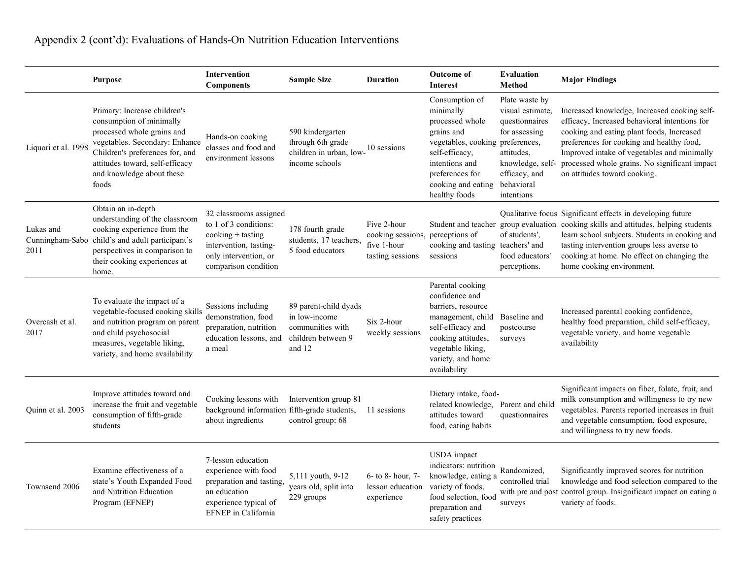|                                      | <b>Purpose</b>                                                                                                                                                                                                                       | <b>Intervention</b><br><b>Components</b>                                                                                                            | <b>Sample Size</b>                                                                         | <b>Duration</b>                                                                    | <b>Outcome of</b><br><b>Interest</b>                                                                                                                                                                      | <b>Evaluation</b><br><b>Method</b>                                                                                                     | <b>Major Findings</b>                                                                                                                                                                                                                                                                                                        |
|--------------------------------------|--------------------------------------------------------------------------------------------------------------------------------------------------------------------------------------------------------------------------------------|-----------------------------------------------------------------------------------------------------------------------------------------------------|--------------------------------------------------------------------------------------------|------------------------------------------------------------------------------------|-----------------------------------------------------------------------------------------------------------------------------------------------------------------------------------------------------------|----------------------------------------------------------------------------------------------------------------------------------------|------------------------------------------------------------------------------------------------------------------------------------------------------------------------------------------------------------------------------------------------------------------------------------------------------------------------------|
| Liquori et al. 1998                  | Primary: Increase children's<br>consumption of minimally<br>processed whole grains and<br>vegetables. Secondary: Enhance<br>Children's preferences for, and<br>attitudes toward, self-efficacy<br>and knowledge about these<br>foods | Hands-on cooking<br>classes and food and<br>environment lessons                                                                                     | 590 kindergarten<br>through 6th grade<br>children in urban, low-<br>income schools         | 10 sessions                                                                        | Consumption of<br>minimally<br>processed whole<br>grains and<br>vegetables, cooking preferences,<br>self-efficacy,<br>intentions and<br>preferences for<br>cooking and eating behavioral<br>healthy foods | Plate waste by<br>visual estimate,<br>questionnaires<br>for assessing<br>attitudes,<br>knowledge, self-<br>efficacy, and<br>intentions | Increased knowledge, Increased cooking self-<br>efficacy, Increased behavioral intentions for<br>cooking and eating plant foods, Increased<br>preferences for cooking and healthy food,<br>Improved intake of vegetables and minimally<br>processed whole grains. No significant impact<br>on attitudes toward cooking.      |
| Lukas and<br>Cunningham-Sabo<br>2011 | Obtain an in-depth<br>understanding of the classroom<br>cooking experience from the<br>child's and adult participant's<br>perspectives in comparison to<br>their cooking experiences at<br>home.                                     | 32 classrooms assigned<br>to 1 of 3 conditions:<br>$\cosh(1) + \tanh(1)$<br>intervention, tasting-<br>only intervention, or<br>comparison condition | 178 fourth grade<br>students, 17 teachers.<br>5 food educators                             | Five 2-hour<br>cooking sessions, perceptions of<br>five 1-hour<br>tasting sessions | cooking and tasting teachers' and<br>sessions                                                                                                                                                             | of students',<br>food educators'<br>perceptions.                                                                                       | Qualitative focus Significant effects in developing future<br>Student and teacher group evaluation cooking skills and attitudes, helping students<br>learn school subjects. Students in cooking and<br>tasting intervention groups less averse to<br>cooking at home. No effect on changing the<br>home cooking environment. |
| Overcash et al.<br>2017              | To evaluate the impact of a<br>vegetable-focused cooking skills<br>and nutrition program on parent<br>and child psychosocial<br>measures, vegetable liking,<br>variety, and home availability                                        | Sessions including<br>demonstration, food<br>preparation, nutrition<br>education lessons, and<br>a meal                                             | 89 parent-child dyads<br>in low-income<br>communities with<br>children between 9<br>and 12 | Six 2-hour<br>weekly sessions                                                      | Parental cooking<br>confidence and<br>barriers, resource<br>management, child<br>self-efficacy and<br>cooking attitudes,<br>vegetable liking,<br>variety, and home<br>availability                        | Baseline and<br>postcourse<br>surveys                                                                                                  | Increased parental cooking confidence,<br>healthy food preparation, child self-efficacy,<br>vegetable variety, and home vegetable<br>availability                                                                                                                                                                            |
| Quinn et al. 2003                    | Improve attitudes toward and<br>increase the fruit and vegetable<br>consumption of fifth-grade<br>students                                                                                                                           | Cooking lessons with<br>background information fifth-grade students,<br>about ingredients                                                           | Intervention group 81<br>control group: 68                                                 | 11 sessions                                                                        | Dietary intake, food-<br>related knowledge,<br>attitudes toward<br>food, eating habits                                                                                                                    | Parent and child<br>questionnaires                                                                                                     | Significant impacts on fiber, folate, fruit, and<br>milk consumption and willingness to try new<br>vegetables. Parents reported increases in fruit<br>and vegetable consumption, food exposure,<br>and willingness to try new foods.                                                                                         |
| Townsend 2006                        | Examine effectiveness of a<br>state's Youth Expanded Food<br>and Nutrition Education<br>Program (EFNEP)                                                                                                                              | 7-lesson education<br>experience with food<br>preparation and tasting,<br>an education<br>experience typical of<br>EFNEP in California              | 5,111 youth, 9-12<br>years old, split into<br>229 groups                                   | 6- to 8- hour, 7-<br>lesson education<br>experience                                | USDA impact<br>indicators: nutrition<br>knowledge, eating a<br>variety of foods,<br>food selection, food<br>preparation and<br>safety practices                                                           | Randomized,<br>controlled trial<br>surveys                                                                                             | Significantly improved scores for nutrition<br>knowledge and food selection compared to the<br>with pre and post control group. Insignificant impact on eating a<br>variety of foods.                                                                                                                                        |

# Appendix 2 (cont'd): Evaluations of Hands-On Nutrition Education Interventions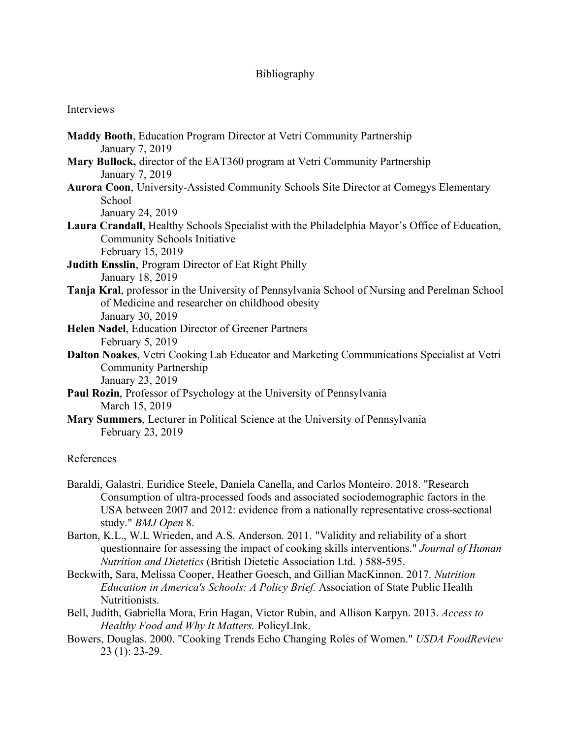### Bibliography

#### Interviews

**Maddy Booth**, Education Program Director at Vetri Community Partnership January 7, 2019 **Mary Bullock,** director of the EAT360 program at Vetri Community Partnership January 7, 2019 **Aurora Coon**, University-Assisted Community Schools Site Director at Comegys Elementary School January 24, 2019 **Laura Crandall**, Healthy Schools Specialist with the Philadelphia Mayor's Office of Education, Community Schools Initiative February 15, 2019 **Judith Ensslin**, Program Director of Eat Right Philly January 18, 2019 **Tanja Kral**, professor in the University of Pennsylvania School of Nursing and Perelman School of Medicine and researcher on childhood obesity January 30, 2019 **Helen Nadel**, Education Director of Greener Partners February 5, 2019 **Dalton Noakes**, Vetri Cooking Lab Educator and Marketing Communications Specialist at Vetri Community Partnership January 23, 2019 **Paul Rozin**, Professor of Psychology at the University of Pennsylvania March 15, 2019 **Mary Summers**, Lecturer in Political Science at the University of Pennsylvania February 23, 2019

#### References

- Baraldi, Galastri, Euridice Steele, Daniela Canella, and Carlos Monteiro. 2018. "Research Consumption of ultra-processed foods and associated sociodemographic factors in the USA between 2007 and 2012: evidence from a nationally representative cross-sectional study." *BMJ Open* 8.
- Barton, K.L., W.L Wrieden, and A.S. Anderson. 2011. "Validity and reliability of a short questionnaire for assessing the impact of cooking skills interventions." *Journal of Human Nutrition and Dietetics* (British Dietetic Association Ltd. ) 588-595.
- Beckwith, Sara, Melissa Cooper, Heather Goesch, and Gillian MacKinnon. 2017. *Nutrition Education in America's Schools: A Policy Brief.* Association of State Public Health Nutritionists.
- Bell, Judith, Gabriella Mora, Erin Hagan, Victor Rubin, and Allison Karpyn. 2013. *Access to Healthy Food and Why It Matters.* PolicyLInk.
- Bowers, Douglas. 2000. "Cooking Trends Echo Changing Roles of Women." *USDA FoodReview* 23 (1): 23-29.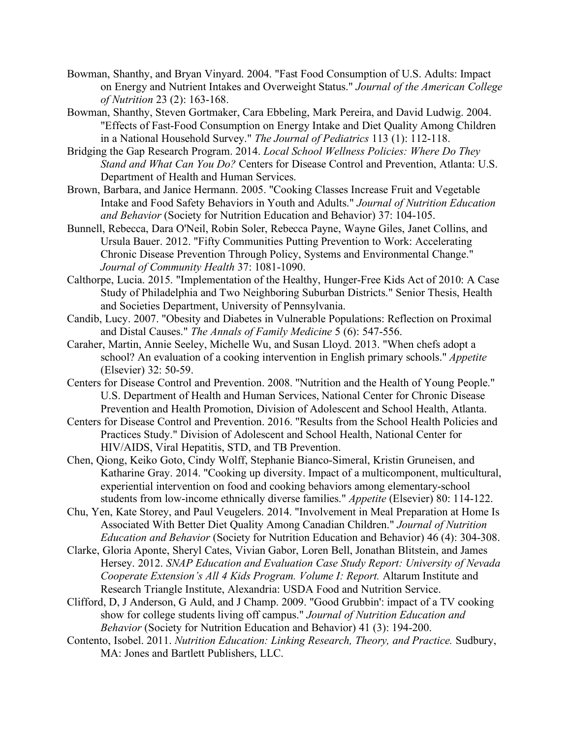- Bowman, Shanthy, and Bryan Vinyard. 2004. "Fast Food Consumption of U.S. Adults: Impact on Energy and Nutrient Intakes and Overweight Status." *Journal of the American College of Nutrition* 23 (2): 163-168.
- Bowman, Shanthy, Steven Gortmaker, Cara Ebbeling, Mark Pereira, and David Ludwig. 2004. "Effects of Fast-Food Consumption on Energy Intake and Diet Quality Among Children in a National Household Survey." *The Journal of Pediatrics* 113 (1): 112-118.
- Bridging the Gap Research Program. 2014. *Local School Wellness Policies: Where Do They Stand and What Can You Do?* Centers for Disease Control and Prevention, Atlanta: U.S. Department of Health and Human Services.
- Brown, Barbara, and Janice Hermann. 2005. "Cooking Classes Increase Fruit and Vegetable Intake and Food Safety Behaviors in Youth and Adults." *Journal of Nutrition Education and Behavior* (Society for Nutrition Education and Behavior) 37: 104-105.
- Bunnell, Rebecca, Dara O'Neil, Robin Soler, Rebecca Payne, Wayne Giles, Janet Collins, and Ursula Bauer. 2012. "Fifty Communities Putting Prevention to Work: Accelerating Chronic Disease Prevention Through Policy, Systems and Environmental Change." *Journal of Community Health* 37: 1081-1090.
- Calthorpe, Lucia. 2015. "Implementation of the Healthy, Hunger-Free Kids Act of 2010: A Case Study of Philadelphia and Two Neighboring Suburban Districts." Senior Thesis, Health and Societies Department, University of Pennsylvania.
- Candib, Lucy. 2007. "Obesity and Diabetes in Vulnerable Populations: Reflection on Proximal and Distal Causes." *The Annals of Family Medicine* 5 (6): 547-556.
- Caraher, Martin, Annie Seeley, Michelle Wu, and Susan Lloyd. 2013. "When chefs adopt a school? An evaluation of a cooking intervention in English primary schools." *Appetite* (Elsevier) 32: 50-59.
- Centers for Disease Control and Prevention. 2008. "Nutrition and the Health of Young People." U.S. Department of Health and Human Services, National Center for Chronic Disease Prevention and Health Promotion, Division of Adolescent and School Health, Atlanta.
- Centers for Disease Control and Prevention. 2016. "Results from the School Health Policies and Practices Study." Division of Adolescent and School Health, National Center for HIV/AIDS, Viral Hepatitis, STD, and TB Prevention.
- Chen, Qiong, Keiko Goto, Cindy Wolff, Stephanie Bianco-Simeral, Kristin Gruneisen, and Katharine Gray. 2014. "Cooking up diversity. Impact of a multicomponent, multicultural, experiential intervention on food and cooking behaviors among elementary-school students from low-income ethnically diverse families." *Appetite* (Elsevier) 80: 114-122.
- Chu, Yen, Kate Storey, and Paul Veugelers. 2014. "Involvement in Meal Preparation at Home Is Associated With Better Diet Quality Among Canadian Children." *Journal of Nutrition Education and Behavior* (Society for Nutrition Education and Behavior) 46 (4): 304-308.
- Clarke, Gloria Aponte, Sheryl Cates, Vivian Gabor, Loren Bell, Jonathan Blitstein, and James Hersey. 2012. *SNAP Education and Evaluation Case Study Report: University of Nevada Cooperate Extension's All 4 Kids Program. Volume I: Report.* Altarum Institute and Research Triangle Institute, Alexandria: USDA Food and Nutrition Service.
- Clifford, D, J Anderson, G Auld, and J Champ. 2009. "Good Grubbin': impact of a TV cooking show for college students living off campus." *Journal of Nutrition Education and Behavior* (Society for Nutrition Education and Behavior) 41 (3): 194-200.
- Contento, Isobel. 2011. *Nutrition Education: Linking Research, Theory, and Practice.* Sudbury, MA: Jones and Bartlett Publishers, LLC.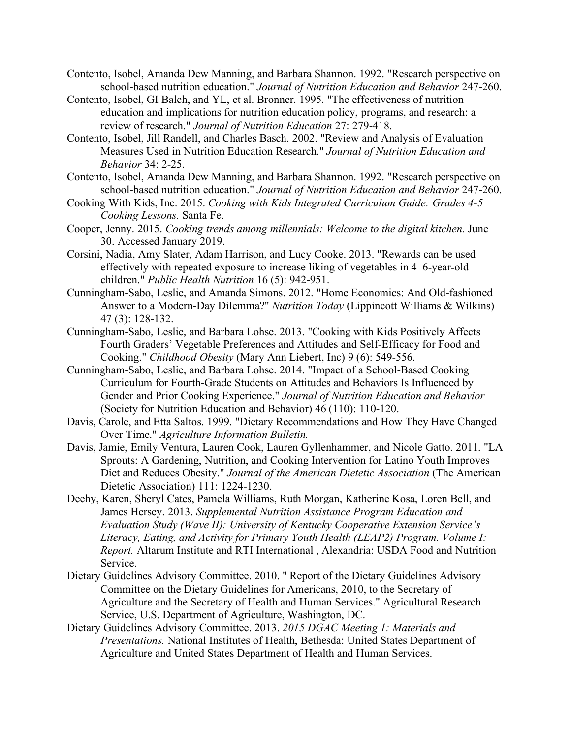- Contento, Isobel, Amanda Dew Manning, and Barbara Shannon. 1992. "Research perspective on school-based nutrition education." *Journal of Nutrition Education and Behavior* 247-260.
- Contento, Isobel, GI Balch, and YL, et al. Bronner. 1995. "The effectiveness of nutrition education and implications for nutrition education policy, programs, and research: a review of research." *Journal of Nutrition Education* 27: 279-418.
- Contento, Isobel, Jill Randell, and Charles Basch. 2002. "Review and Analysis of Evaluation Measures Used in Nutrition Education Research." *Journal of Nutrition Education and Behavior* 34: 2-25.
- Contento, Isobel, Amanda Dew Manning, and Barbara Shannon. 1992. "Research perspective on school-based nutrition education." *Journal of Nutrition Education and Behavior* 247-260.
- Cooking With Kids, Inc. 2015. *Cooking with Kids Integrated Curriculum Guide: Grades 4-5 Cooking Lessons.* Santa Fe.
- Cooper, Jenny. 2015. *Cooking trends among millennials: Welcome to the digital kitchen.* June 30. Accessed January 2019.
- Corsini, Nadia, Amy Slater, Adam Harrison, and Lucy Cooke. 2013. "Rewards can be used effectively with repeated exposure to increase liking of vegetables in 4–6-year-old children." *Public Health Nutrition* 16 (5): 942-951.
- Cunningham-Sabo, Leslie, and Amanda Simons. 2012. "Home Economics: And Old-fashioned Answer to a Modern-Day Dilemma?" *Nutrition Today* (Lippincott Williams & Wilkins) 47 (3): 128-132.
- Cunningham-Sabo, Leslie, and Barbara Lohse. 2013. "Cooking with Kids Positively Affects Fourth Graders' Vegetable Preferences and Attitudes and Self-Efficacy for Food and Cooking." *Childhood Obesity* (Mary Ann Liebert, Inc) 9 (6): 549-556.
- Cunningham-Sabo, Leslie, and Barbara Lohse. 2014. "Impact of a School-Based Cooking Curriculum for Fourth-Grade Students on Attitudes and Behaviors Is Influenced by Gender and Prior Cooking Experience." *Journal of Nutrition Education and Behavior* (Society for Nutrition Education and Behavior) 46 (110): 110-120.
- Davis, Carole, and Etta Saltos. 1999. "Dietary Recommendations and How They Have Changed Over Time." *Agriculture Information Bulletin.*
- Davis, Jamie, Emily Ventura, Lauren Cook, Lauren Gyllenhammer, and Nicole Gatto. 2011. "LA Sprouts: A Gardening, Nutrition, and Cooking Intervention for Latino Youth Improves Diet and Reduces Obesity." *Journal of the American Dietetic Association* (The American Dietetic Association) 111: 1224-1230.
- Deehy, Karen, Sheryl Cates, Pamela Williams, Ruth Morgan, Katherine Kosa, Loren Bell, and James Hersey. 2013. *Supplemental Nutrition Assistance Program Education and Evaluation Study (Wave II): University of Kentucky Cooperative Extension Service's Literacy, Eating, and Activity for Primary Youth Health (LEAP2) Program. Volume I: Report.* Altarum Institute and RTI International , Alexandria: USDA Food and Nutrition Service.
- Dietary Guidelines Advisory Committee. 2010. " Report of the Dietary Guidelines Advisory Committee on the Dietary Guidelines for Americans, 2010, to the Secretary of Agriculture and the Secretary of Health and Human Services." Agricultural Research Service, U.S. Department of Agriculture, Washington, DC.
- Dietary Guidelines Advisory Committee. 2013. *2015 DGAC Meeting 1: Materials and Presentations.* National Institutes of Health, Bethesda: United States Department of Agriculture and United States Department of Health and Human Services.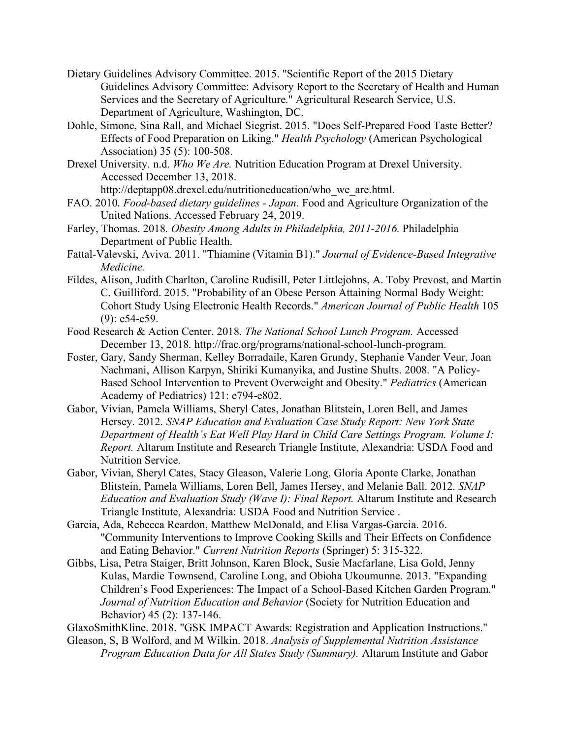- Dietary Guidelines Advisory Committee. 2015. "Scientific Report of the 2015 Dietary Guidelines Advisory Committee: Advisory Report to the Secretary of Health and Human Services and the Secretary of Agriculture." Agricultural Research Service, U.S. Department of Agriculture, Washington, DC.
- Dohle, Simone, Sina Rall, and Michael Siegrist. 2015. "Does Self-Prepared Food Taste Better? Effects of Food Preparation on Liking." *Health Psychology* (American Psychological Association) 35 (5): 100-508.
- Drexel University. n.d. *Who We Are.* Nutrition Education Program at Drexel University. Accessed December 13, 2018.

http://deptapp08.drexel.edu/nutritioneducation/who\_we\_are.html.

- FAO. 2010. *Food-based dietary guidelines - Japan.* Food and Agriculture Organization of the United Nations. Accessed February 24, 2019.
- Farley, Thomas. 2018. *Obesity Among Adults in Philadelphia, 2011-2016.* Philadelphia Department of Public Health.
- Fattal-Valevski, Aviva. 2011. "Thiamine (Vitamin B1)." *Journal of Evidence-Based Integrative Medicine.*
- Fildes, Alison, Judith Charlton, Caroline Rudisill, Peter Littlejohns, A. Toby Prevost, and Martin C. Guilliford. 2015. "Probability of an Obese Person Attaining Normal Body Weight: Cohort Study Using Electronic Health Records." *American Journal of Public Health* 105 (9): e54-e59.
- Food Research & Action Center. 2018. *The National School Lunch Program.* Accessed December 13, 2018. http://frac.org/programs/national-school-lunch-program.
- Foster, Gary, Sandy Sherman, Kelley Borradaile, Karen Grundy, Stephanie Vander Veur, Joan Nachmani, Allison Karpyn, Shiriki Kumanyika, and Justine Shults. 2008. "A Policy-Based School Intervention to Prevent Overweight and Obesity." *Pediatrics* (American Academy of Pediatrics) 121: e794-e802.
- Gabor, Vivian, Pamela Williams, Sheryl Cates, Jonathan Blitstein, Loren Bell, and James Hersey. 2012. *SNAP Education and Evaluation Case Study Report: New York State Department of Health's Eat Well Play Hard in Child Care Settings Program. Volume I: Report.* Altarum Institute and Research Triangle Institute, Alexandria: USDA Food and Nutrition Service.
- Gabor, Vivian, Sheryl Cates, Stacy Gleason, Valerie Long, Gloria Aponte Clarke, Jonathan Blitstein, Pamela Williams, Loren Bell, James Hersey, and Melanie Ball. 2012. *SNAP Education and Evaluation Study (Wave I): Final Report.* Altarum Institute and Research Triangle Institute, Alexandria: USDA Food and Nutrition Service .
- Garcia, Ada, Rebecca Reardon, Matthew McDonald, and Elisa Vargas-Garcia. 2016. "Community Interventions to Improve Cooking Skills and Their Effects on Confidence and Eating Behavior." *Current Nutrition Reports* (Springer) 5: 315-322.
- Gibbs, Lisa, Petra Staiger, Britt Johnson, Karen Block, Susie Macfarlane, Lisa Gold, Jenny Kulas, Mardie Townsend, Caroline Long, and Obioha Ukoumunne. 2013. "Expanding Children's Food Experiences: The Impact of a School-Based Kitchen Garden Program." *Journal of Nutrition Education and Behavior* (Society for Nutrition Education and Behavior) 45 (2): 137-146.
- GlaxoSmithKline. 2018. "GSK IMPACT Awards: Registration and Application Instructions."
- Gleason, S, B Wolford, and M Wilkin. 2018. *Analysis of Supplemental Nutrition Assistance Program Education Data for All States Study (Summary).* Altarum Institute and Gabor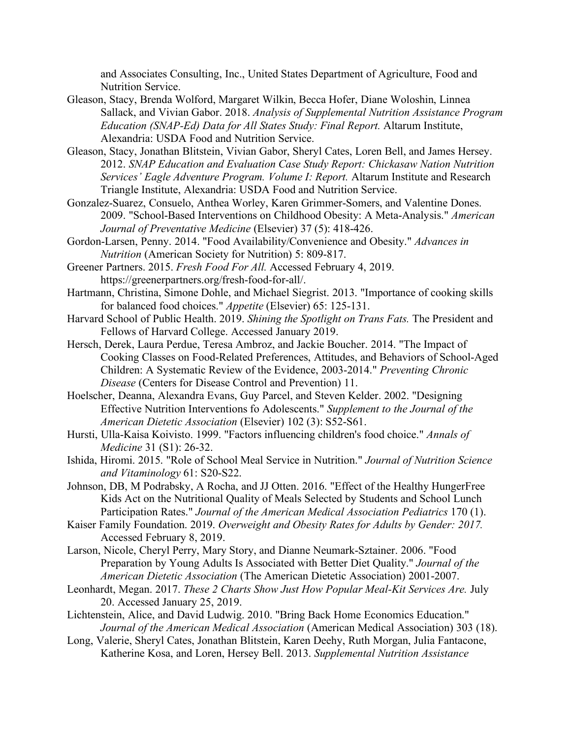and Associates Consulting, Inc., United States Department of Agriculture, Food and Nutrition Service.

- Gleason, Stacy, Brenda Wolford, Margaret Wilkin, Becca Hofer, Diane Woloshin, Linnea Sallack, and Vivian Gabor. 2018. *Analysis of Supplemental Nutrition Assistance Program Education (SNAP-Ed) Data for All States Study: Final Report.* Altarum Institute, Alexandria: USDA Food and Nutrition Service.
- Gleason, Stacy, Jonathan Blitstein, Vivian Gabor, Sheryl Cates, Loren Bell, and James Hersey. 2012. *SNAP Education and Evaluation Case Study Report: Chickasaw Nation Nutrition Services' Eagle Adventure Program. Volume I: Report.* Altarum Institute and Research Triangle Institute, Alexandria: USDA Food and Nutrition Service.
- Gonzalez-Suarez, Consuelo, Anthea Worley, Karen Grimmer-Somers, and Valentine Dones. 2009. "School-Based Interventions on Childhood Obesity: A Meta-Analysis." *American Journal of Preventative Medicine* (Elsevier) 37 (5): 418-426.
- Gordon-Larsen, Penny. 2014. "Food Availability/Convenience and Obesity." *Advances in Nutrition* (American Society for Nutrition) 5: 809-817.
- Greener Partners. 2015. *Fresh Food For All.* Accessed February 4, 2019. https://greenerpartners.org/fresh-food-for-all/.
- Hartmann, Christina, Simone Dohle, and Michael Siegrist. 2013. "Importance of cooking skills for balanced food choices." *Appetite* (Elsevier) 65: 125-131.
- Harvard School of Public Health. 2019. *Shining the Spotlight on Trans Fats.* The President and Fellows of Harvard College. Accessed January 2019.
- Hersch, Derek, Laura Perdue, Teresa Ambroz, and Jackie Boucher. 2014. "The Impact of Cooking Classes on Food-Related Preferences, Attitudes, and Behaviors of School-Aged Children: A Systematic Review of the Evidence, 2003-2014." *Preventing Chronic Disease* (Centers for Disease Control and Prevention) 11.
- Hoelscher, Deanna, Alexandra Evans, Guy Parcel, and Steven Kelder. 2002. "Designing Effective Nutrition Interventions fo Adolescents." *Supplement to the Journal of the American Dietetic Association* (Elsevier) 102 (3): S52-S61.
- Hursti, Ulla-Kaisa Koivisto. 1999. "Factors influencing children's food choice." *Annals of Medicine* 31 (S1): 26-32.
- Ishida, Hiromi. 2015. "Role of School Meal Service in Nutrition." *Journal of Nutrition Science and Vitaminology* 61: S20-S22.
- Johnson, DB, M Podrabsky, A Rocha, and JJ Otten. 2016. "Effect of the Healthy HungerFree Kids Act on the Nutritional Quality of Meals Selected by Students and School Lunch Participation Rates." *Journal of the American Medical Association Pediatrics* 170 (1).
- Kaiser Family Foundation. 2019. *Overweight and Obesity Rates for Adults by Gender: 2017.* Accessed February 8, 2019.
- Larson, Nicole, Cheryl Perry, Mary Story, and Dianne Neumark-Sztainer. 2006. "Food Preparation by Young Adults Is Associated with Better Diet Quality." *Journal of the American Dietetic Association* (The American Dietetic Association) 2001-2007.
- Leonhardt, Megan. 2017. *These 2 Charts Show Just How Popular Meal-Kit Services Are.* July 20. Accessed January 25, 2019.
- Lichtenstein, Alice, and David Ludwig. 2010. "Bring Back Home Economics Education." *Journal of the American Medical Association* (American Medical Association) 303 (18).
- Long, Valerie, Sheryl Cates, Jonathan Blitstein, Karen Deehy, Ruth Morgan, Julia Fantacone, Katherine Kosa, and Loren, Hersey Bell. 2013. *Supplemental Nutrition Assistance*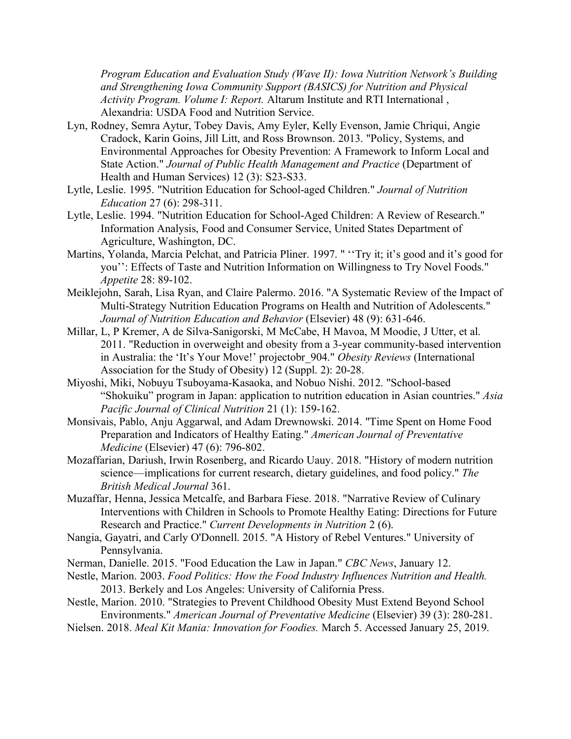*Program Education and Evaluation Study (Wave II): Iowa Nutrition Network's Building and Strengthening Iowa Community Support (BASICS) for Nutrition and Physical Activity Program. Volume I: Report.* Altarum Institute and RTI International , Alexandria: USDA Food and Nutrition Service.

- Lyn, Rodney, Semra Aytur, Tobey Davis, Amy Eyler, Kelly Evenson, Jamie Chriqui, Angie Cradock, Karin Goins, Jill Litt, and Ross Brownson. 2013. "Policy, Systems, and Environmental Approaches for Obesity Prevention: A Framework to Inform Local and State Action." *Journal of Public Health Management and Practice* (Department of Health and Human Services) 12 (3): S23-S33.
- Lytle, Leslie. 1995. "Nutrition Education for School-aged Children." *Journal of Nutrition Education* 27 (6): 298-311.
- Lytle, Leslie. 1994. "Nutrition Education for School-Aged Children: A Review of Research." Information Analysis, Food and Consumer Service, United States Department of Agriculture, Washington, DC.
- Martins, Yolanda, Marcia Pelchat, and Patricia Pliner. 1997. " ''Try it; it's good and it's good for you'': Effects of Taste and Nutrition Information on Willingness to Try Novel Foods." *Appetite* 28: 89-102.
- Meiklejohn, Sarah, Lisa Ryan, and Claire Palermo. 2016. "A Systematic Review of the Impact of Multi-Strategy Nutrition Education Programs on Health and Nutrition of Adolescents." *Journal of Nutrition Education and Behavior* (Elsevier) 48 (9): 631-646.
- Millar, L, P Kremer, A de Silva-Sanigorski, M McCabe, H Mavoa, M Moodie, J Utter, et al. 2011. "Reduction in overweight and obesity from a 3-year community-based intervention in Australia: the 'It's Your Move!' projectobr\_904." *Obesity Reviews* (International Association for the Study of Obesity) 12 (Suppl. 2): 20-28.
- Miyoshi, Miki, Nobuyu Tsuboyama-Kasaoka, and Nobuo Nishi. 2012. "School-based "Shokuiku" program in Japan: application to nutrition education in Asian countries." *Asia Pacific Journal of Clinical Nutrition* 21 (1): 159-162.
- Monsivais, Pablo, Anju Aggarwal, and Adam Drewnowski. 2014. "Time Spent on Home Food Preparation and Indicators of Healthy Eating." *American Journal of Preventative Medicine* (Elsevier) 47 (6): 796-802.
- Mozaffarian, Dariush, Irwin Rosenberg, and Ricardo Uauy. 2018. "History of modern nutrition science—implications for current research, dietary guidelines, and food policy." *The British Medical Journal* 361.
- Muzaffar, Henna, Jessica Metcalfe, and Barbara Fiese. 2018. "Narrative Review of Culinary Interventions with Children in Schools to Promote Healthy Eating: Directions for Future Research and Practice." *Current Developments in Nutrition* 2 (6).
- Nangia, Gayatri, and Carly O'Donnell. 2015. "A History of Rebel Ventures." University of Pennsylvania.
- Nerman, Danielle. 2015. "Food Education the Law in Japan." *CBC News*, January 12.
- Nestle, Marion. 2003. *Food Politics: How the Food Industry Influences Nutrition and Health.* 2013. Berkely and Los Angeles: University of California Press.
- Nestle, Marion. 2010. "Strategies to Prevent Childhood Obesity Must Extend Beyond School Environments." *American Journal of Preventative Medicine* (Elsevier) 39 (3): 280-281.
- Nielsen. 2018. *Meal Kit Mania: Innovation for Foodies.* March 5. Accessed January 25, 2019.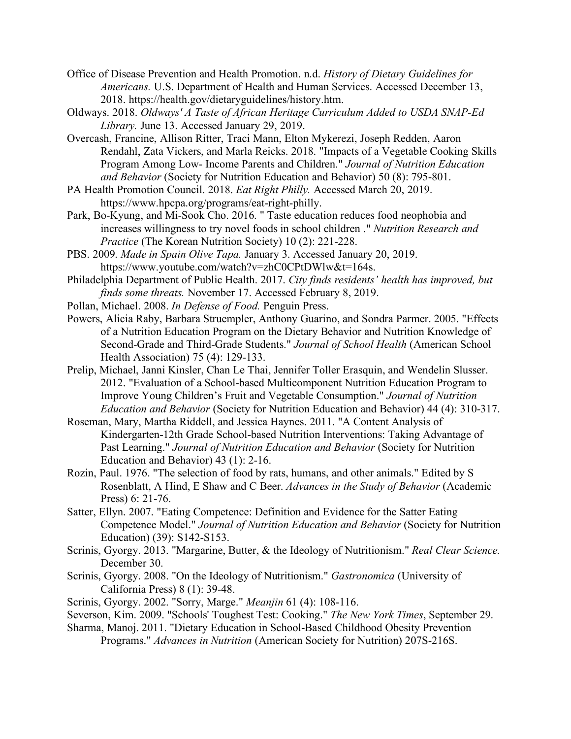- Office of Disease Prevention and Health Promotion. n.d. *History of Dietary Guidelines for Americans.* U.S. Department of Health and Human Services. Accessed December 13, 2018. https://health.gov/dietaryguidelines/history.htm.
- Oldways. 2018. *Oldways' A Taste of African Heritage Curriculum Added to USDA SNAP-Ed Library.* June 13. Accessed January 29, 2019.
- Overcash, Francine, Allison Ritter, Traci Mann, Elton Mykerezi, Joseph Redden, Aaron Rendahl, Zata Vickers, and Marla Reicks. 2018. "Impacts of a Vegetable Cooking Skills Program Among Low- Income Parents and Children." *Journal of Nutrition Education and Behavior* (Society for Nutrition Education and Behavior) 50 (8): 795-801.
- PA Health Promotion Council. 2018. *Eat Right Philly.* Accessed March 20, 2019. https://www.hpcpa.org/programs/eat-right-philly.
- Park, Bo-Kyung, and Mi-Sook Cho. 2016. " Taste education reduces food neophobia and increases willingness to try novel foods in school children ." *Nutrition Research and Practice* (The Korean Nutrition Society) 10 (2): 221-228.
- PBS. 2009. *Made in Spain Olive Tapa.* January 3. Accessed January 20, 2019. https://www.youtube.com/watch?v=zhC0CPtDWlw&t=164s.
- Philadelphia Department of Public Health. 2017. *City finds residents' health has improved, but finds some threats.* November 17. Accessed February 8, 2019.
- Pollan, Michael. 2008. *In Defense of Food.* Penguin Press.
- Powers, Alicia Raby, Barbara Struempler, Anthony Guarino, and Sondra Parmer. 2005. "Effects of a Nutrition Education Program on the Dietary Behavior and Nutrition Knowledge of Second-Grade and Third-Grade Students." *Journal of School Health* (American School Health Association) 75 (4): 129-133.
- Prelip, Michael, Janni Kinsler, Chan Le Thai, Jennifer Toller Erasquin, and Wendelin Slusser. 2012. "Evaluation of a School-based Multicomponent Nutrition Education Program to Improve Young Children's Fruit and Vegetable Consumption." *Journal of Nutrition Education and Behavior* (Society for Nutrition Education and Behavior) 44 (4): 310-317.
- Roseman, Mary, Martha Riddell, and Jessica Haynes. 2011. "A Content Analysis of Kindergarten-12th Grade School-based Nutrition Interventions: Taking Advantage of Past Learning." *Journal of Nutrition Education and Behavior* (Society for Nutrition Education and Behavior) 43 (1): 2-16.
- Rozin, Paul. 1976. "The selection of food by rats, humans, and other animals." Edited by S Rosenblatt, A Hind, E Shaw and C Beer. *Advances in the Study of Behavior* (Academic Press) 6: 21-76.
- Satter, Ellyn. 2007. "Eating Competence: Definition and Evidence for the Satter Eating Competence Model." *Journal of Nutrition Education and Behavior* (Society for Nutrition Education) (39): S142-S153.
- Scrinis, Gyorgy. 2013. "Margarine, Butter, & the Ideology of Nutritionism." *Real Clear Science.* December 30.
- Scrinis, Gyorgy. 2008. "On the Ideology of Nutritionism." *Gastronomica* (University of California Press) 8 (1): 39-48.
- Scrinis, Gyorgy. 2002. "Sorry, Marge." *Meanjin* 61 (4): 108-116.
- Severson, Kim. 2009. "Schools' Toughest Test: Cooking." *The New York Times*, September 29.
- Sharma, Manoj. 2011. "Dietary Education in School-Based Childhood Obesity Prevention Programs." *Advances in Nutrition* (American Society for Nutrition) 207S-216S.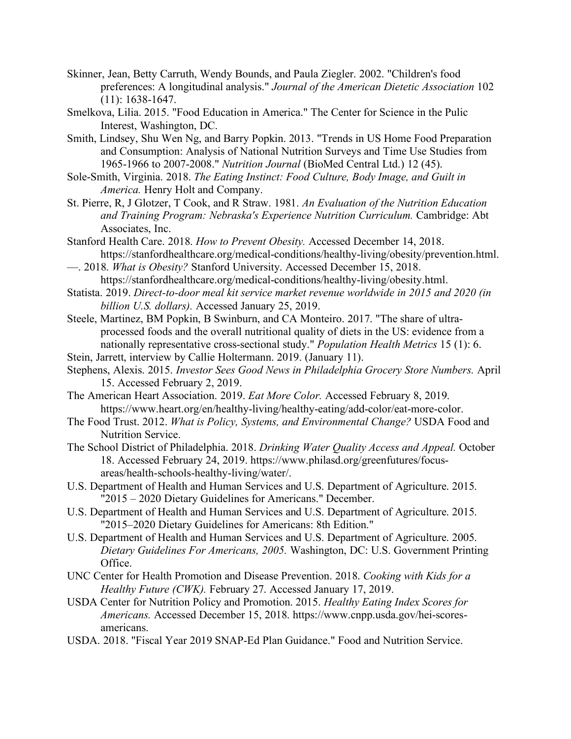- Skinner, Jean, Betty Carruth, Wendy Bounds, and Paula Ziegler. 2002. "Children's food preferences: A longitudinal analysis." *Journal of the American Dietetic Association* 102 (11): 1638-1647.
- Smelkova, Lilia. 2015. "Food Education in America." The Center for Science in the Pulic Interest, Washington, DC.
- Smith, Lindsey, Shu Wen Ng, and Barry Popkin. 2013. "Trends in US Home Food Preparation and Consumption: Analysis of National Nutrition Surveys and Time Use Studies from 1965-1966 to 2007-2008." *Nutrition Journal* (BioMed Central Ltd.) 12 (45).
- Sole-Smith, Virginia. 2018. *The Eating Instinct: Food Culture, Body Image, and Guilt in America.* Henry Holt and Company.
- St. Pierre, R, J Glotzer, T Cook, and R Straw. 1981. *An Evaluation of the Nutrition Education and Training Program: Nebraska's Experience Nutrition Curriculum.* Cambridge: Abt Associates, Inc.
- Stanford Health Care. 2018. *How to Prevent Obesity.* Accessed December 14, 2018. https://stanfordhealthcare.org/medical-conditions/healthy-living/obesity/prevention.html.
- —. 2018. *What is Obesity?* Stanford University. Accessed December 15, 2018. https://stanfordhealthcare.org/medical-conditions/healthy-living/obesity.html.
- Statista. 2019. *Direct-to-door meal kit service market revenue worldwide in 2015 and 2020 (in billion U.S. dollars).* Accessed January 25, 2019.
- Steele, Martinez, BM Popkin, B Swinburn, and CA Monteiro. 2017. "The share of ultraprocessed foods and the overall nutritional quality of diets in the US: evidence from a nationally representative cross-sectional study." *Population Health Metrics* 15 (1): 6.
- Stein, Jarrett, interview by Callie Holtermann. 2019. (January 11).
- Stephens, Alexis. 2015. *Investor Sees Good News in Philadelphia Grocery Store Numbers.* April 15. Accessed February 2, 2019.
- The American Heart Association. 2019. *Eat More Color.* Accessed February 8, 2019. https://www.heart.org/en/healthy-living/healthy-eating/add-color/eat-more-color.
- The Food Trust. 2012. *What is Policy, Systems, and Environmental Change?* USDA Food and Nutrition Service.
- The School District of Philadelphia. 2018. *Drinking Water Quality Access and Appeal.* October 18. Accessed February 24, 2019. https://www.philasd.org/greenfutures/focusareas/health-schools-healthy-living/water/.
- U.S. Department of Health and Human Services and U.S. Department of Agriculture. 2015. "2015 – 2020 Dietary Guidelines for Americans." December.
- U.S. Department of Health and Human Services and U.S. Department of Agriculture. 2015. "2015–2020 Dietary Guidelines for Americans: 8th Edition."
- U.S. Department of Health and Human Services and U.S. Department of Agriculture. 2005. *Dietary Guidelines For Americans, 2005.* Washington, DC: U.S. Government Printing Office.
- UNC Center for Health Promotion and Disease Prevention. 2018. *Cooking with Kids for a Healthy Future (CWK).* February 27. Accessed January 17, 2019.
- USDA Center for Nutrition Policy and Promotion. 2015. *Healthy Eating Index Scores for Americans.* Accessed December 15, 2018. https://www.cnpp.usda.gov/hei-scoresamericans.
- USDA. 2018. "Fiscal Year 2019 SNAP-Ed Plan Guidance." Food and Nutrition Service.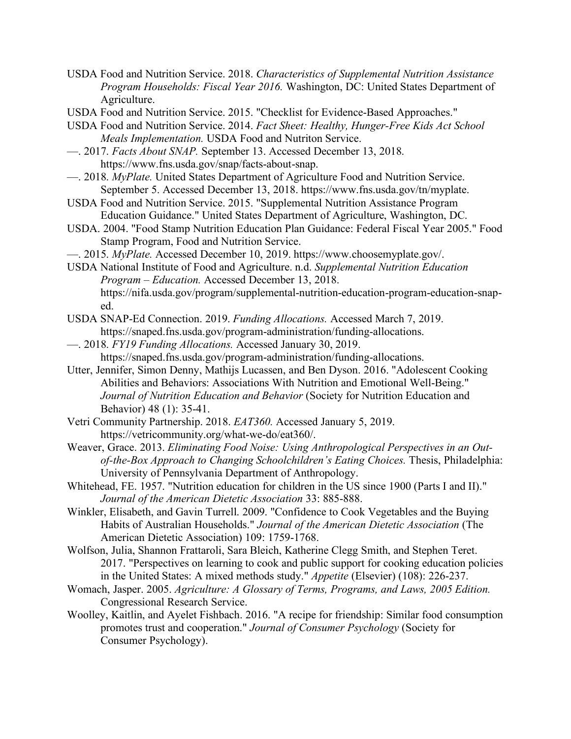- USDA Food and Nutrition Service. 2018. *Characteristics of Supplemental Nutrition Assistance Program Households: Fiscal Year 2016.* Washington, DC: United States Department of Agriculture.
- USDA Food and Nutrition Service. 2015. "Checklist for Evidence-Based Approaches."
- USDA Food and Nutrition Service. 2014. *Fact Sheet: Healthy, Hunger-Free Kids Act School Meals Implementation.* USDA Food and Nutriton Service.
- —. 2017. *Facts About SNAP.* September 13. Accessed December 13, 2018. https://www.fns.usda.gov/snap/facts-about-snap.
- —. 2018. *MyPlate.* United States Department of Agriculture Food and Nutrition Service. September 5. Accessed December 13, 2018. https://www.fns.usda.gov/tn/myplate.
- USDA Food and Nutrition Service. 2015. "Supplemental Nutrition Assistance Program Education Guidance." United States Department of Agriculture, Washington, DC.
- USDA. 2004. "Food Stamp Nutrition Education Plan Guidance: Federal Fiscal Year 2005." Food Stamp Program, Food and Nutrition Service.
- —. 2015. *MyPlate.* Accessed December 10, 2019. https://www.choosemyplate.gov/.

USDA National Institute of Food and Agriculture. n.d. *Supplemental Nutrition Education Program – Education.* Accessed December 13, 2018. https://nifa.usda.gov/program/supplemental-nutrition-education-program-education-snaped.

- USDA SNAP-Ed Connection. 2019. *Funding Allocations.* Accessed March 7, 2019. https://snaped.fns.usda.gov/program-administration/funding-allocations.
- —. 2018. *FY19 Funding Allocations.* Accessed January 30, 2019. https://snaped.fns.usda.gov/program-administration/funding-allocations.
- Utter, Jennifer, Simon Denny, Mathijs Lucassen, and Ben Dyson. 2016. "Adolescent Cooking Abilities and Behaviors: Associations With Nutrition and Emotional Well-Being." *Journal of Nutrition Education and Behavior* (Society for Nutrition Education and Behavior) 48 (1): 35-41.
- Vetri Community Partnership. 2018. *EAT360.* Accessed January 5, 2019. https://vetricommunity.org/what-we-do/eat360/.
- Weaver, Grace. 2013. *Eliminating Food Noise: Using Anthropological Perspectives in an Outof-the-Box Approach to Changing Schoolchildren's Eating Choices.* Thesis, Philadelphia: University of Pennsylvania Department of Anthropology.
- Whitehead, FE. 1957. "Nutrition education for children in the US since 1900 (Parts I and II)." *Journal of the American Dietetic Association* 33: 885-888.
- Winkler, Elisabeth, and Gavin Turrell. 2009. "Confidence to Cook Vegetables and the Buying Habits of Australian Households." *Journal of the American Dietetic Association* (The American Dietetic Association) 109: 1759-1768.
- Wolfson, Julia, Shannon Frattaroli, Sara Bleich, Katherine Clegg Smith, and Stephen Teret. 2017. "Perspectives on learning to cook and public support for cooking education policies in the United States: A mixed methods study." *Appetite* (Elsevier) (108): 226-237.
- Womach, Jasper. 2005. *Agriculture: A Glossary of Terms, Programs, and Laws, 2005 Edition.* Congressional Research Service.
- Woolley, Kaitlin, and Ayelet Fishbach. 2016. "A recipe for friendship: Similar food consumption promotes trust and cooperation." *Journal of Consumer Psychology* (Society for Consumer Psychology).